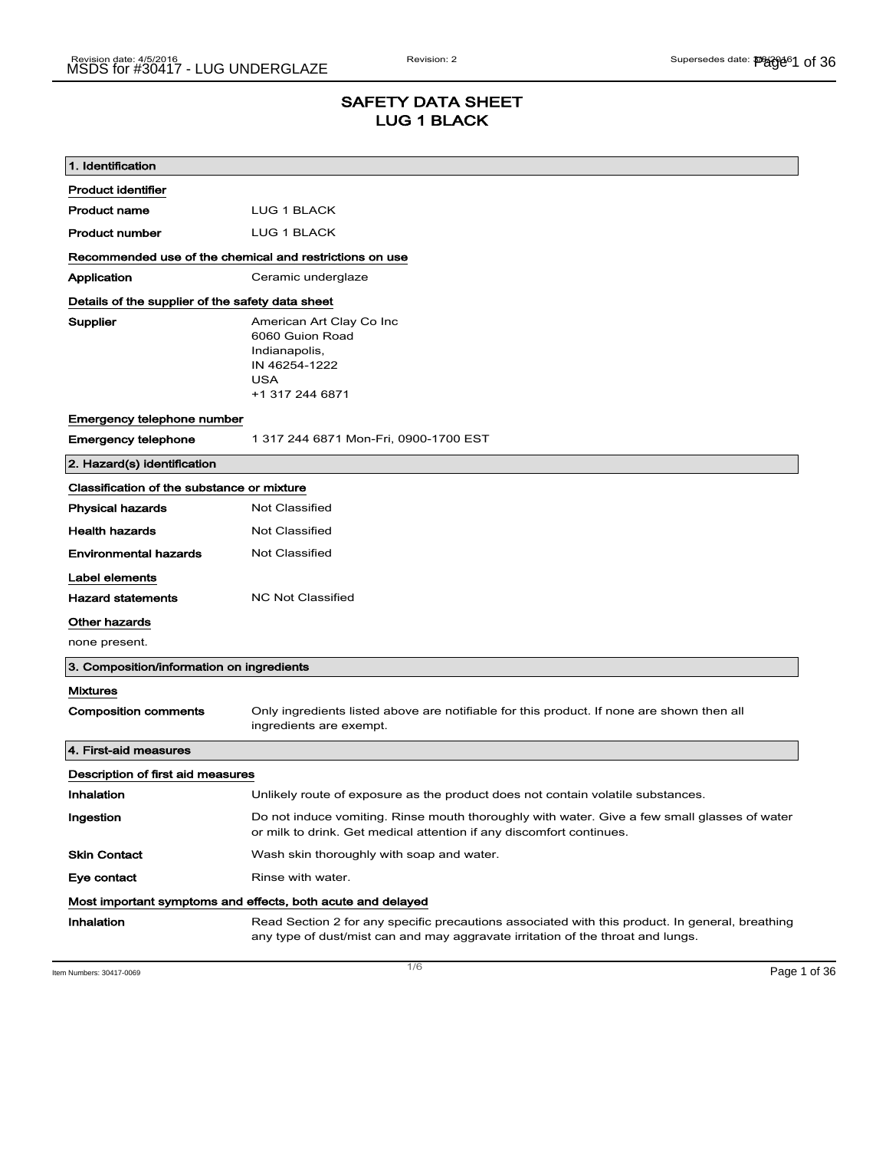# SAFETY DATA SHEET LUG 1 BLACK

| 1. Identification                                       |                                                                                                                                                                                    |  |
|---------------------------------------------------------|------------------------------------------------------------------------------------------------------------------------------------------------------------------------------------|--|
| <b>Product identifier</b>                               |                                                                                                                                                                                    |  |
| <b>Product name</b>                                     | LUG 1 BLACK                                                                                                                                                                        |  |
| <b>Product number</b>                                   | LUG 1 BLACK                                                                                                                                                                        |  |
| Recommended use of the chemical and restrictions on use |                                                                                                                                                                                    |  |
| Application                                             | Ceramic underglaze                                                                                                                                                                 |  |
| Details of the supplier of the safety data sheet        |                                                                                                                                                                                    |  |
| Supplier                                                | American Art Clay Co Inc<br>6060 Guion Road<br>Indianapolis,<br>IN 46254-1222<br><b>USA</b><br>+1 317 244 6871                                                                     |  |
| Emergency telephone number                              |                                                                                                                                                                                    |  |
| <b>Emergency telephone</b>                              | 1 317 244 6871 Mon-Fri, 0900-1700 EST                                                                                                                                              |  |
| 2. Hazard(s) identification                             |                                                                                                                                                                                    |  |
| Classification of the substance or mixture              |                                                                                                                                                                                    |  |
| <b>Physical hazards</b>                                 | <b>Not Classified</b>                                                                                                                                                              |  |
| <b>Health hazards</b>                                   | <b>Not Classified</b>                                                                                                                                                              |  |
| <b>Environmental hazards</b>                            | Not Classified                                                                                                                                                                     |  |
| Label elements                                          |                                                                                                                                                                                    |  |
| <b>Hazard statements</b>                                | <b>NC Not Classified</b>                                                                                                                                                           |  |
| Other hazards                                           |                                                                                                                                                                                    |  |
| none present.                                           |                                                                                                                                                                                    |  |
| 3. Composition/information on ingredients               |                                                                                                                                                                                    |  |
| <b>Mixtures</b>                                         |                                                                                                                                                                                    |  |
| <b>Composition comments</b>                             | Only ingredients listed above are notifiable for this product. If none are shown then all<br>ingredients are exempt.                                                               |  |
| 4. First-aid measures                                   |                                                                                                                                                                                    |  |
| Description of first aid measures                       |                                                                                                                                                                                    |  |
| Inhalation                                              | Unlikely route of exposure as the product does not contain volatile substances.                                                                                                    |  |
| Ingestion                                               | Do not induce vomiting. Rinse mouth thoroughly with water. Give a few small glasses of water<br>or milk to drink. Get medical attention if any discomfort continues.               |  |
| <b>Skin Contact</b>                                     | Wash skin thoroughly with soap and water.                                                                                                                                          |  |
| Eye contact                                             | Rinse with water.                                                                                                                                                                  |  |
|                                                         | Most important symptoms and effects, both acute and delayed                                                                                                                        |  |
| Inhalation                                              | Read Section 2 for any specific precautions associated with this product. In general, breathing<br>any type of dust/mist can and may aggravate irritation of the throat and lungs. |  |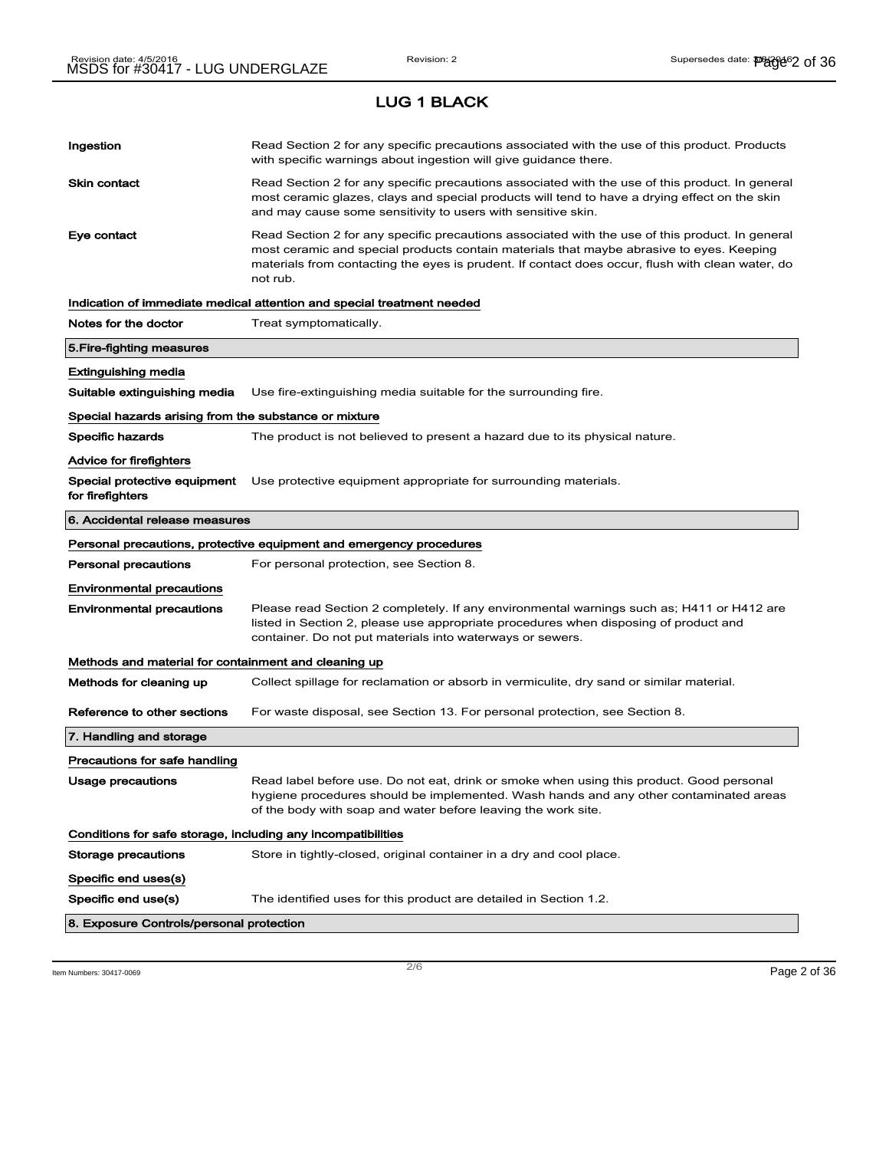LUG 1 BLACK

# Ingestion **Read Section 2 for any specific precautions associated with the use of this product. Products** with specific warnings about ingestion will give guidance there. Skin contact **Read Section 2 for any specific precautions associated with the use of this product. In general** most ceramic glazes, clays and special products will tend to have a drying effect on the skin and may cause some sensitivity to users with sensitive skin. Eye contact **Read Section 2 for any specific precautions associated with the use of this product. In general** most ceramic and special products contain materials that maybe abrasive to eyes. Keeping materials from contacting the eyes is prudent. If contact does occur, flush with clean water, do not rub. Indication of immediate medical attention and special treatment needed Notes for the doctor Treat symptomatically. 5.Fire-fighting measures Extinguishing media Suitable extinguishing media Use fire-extinguishing media suitable for the surrounding fire. Special hazards arising from the substance or mixture Specific hazards The product is not believed to present a hazard due to its physical nature. Advice for firefighters Special protective equipment Use protective equipment appropriate for surrounding materials. for firefighters 6. Accidental release measures Personal precautions, protective equipment and emergency procedures Personal precautions For personal protection, see Section 8. Environmental precautions Environmental precautions Please read Section 2 completely. If any environmental warnings such as; H411 or H412 are listed in Section 2, please use appropriate procedures when disposing of product and container. Do not put materials into waterways or sewers. Methods and material for containment and cleaning up Methods for cleaning up Collect spillage for reclamation or absorb in vermiculite, dry sand or similar material. Reference to other sections For waste disposal, see Section 13. For personal protection, see Section 8. 7. Handling and storage Precautions for safe handling Usage precautions **Read label before use. Do not eat, drink or smoke when using this product. Good personal** hygiene procedures should be implemented. Wash hands and any other contaminated areas of the body with soap and water before leaving the work site. Conditions for safe storage, including any incompatibilities Storage precautions Store in tightly-closed, original container in a dry and cool place. Specific end uses(s) Specific end use(s) The identified uses for this product are detailed in Section 1.2. 8. Exposure Controls/personal protection

 $\overline{\phantom{a}}$ ltem Numbers: 30417-0069  $\overline{\phantom{a}}$   $\overline{\phantom{a}}$   $\overline{\phantom{a}}$   $\overline{\phantom{a}}$   $\overline{\phantom{a}}$   $\overline{\phantom{a}}$   $\overline{\phantom{a}}$   $\overline{\phantom{a}}$   $\overline{\phantom{a}}$   $\overline{\phantom{a}}$   $\overline{\phantom{a}}$   $\overline{\phantom{a}}$   $\overline{\phantom{a}}$   $\overline{\phantom{a}}$   $\overline{\phantom{a}}$   $\overline{\$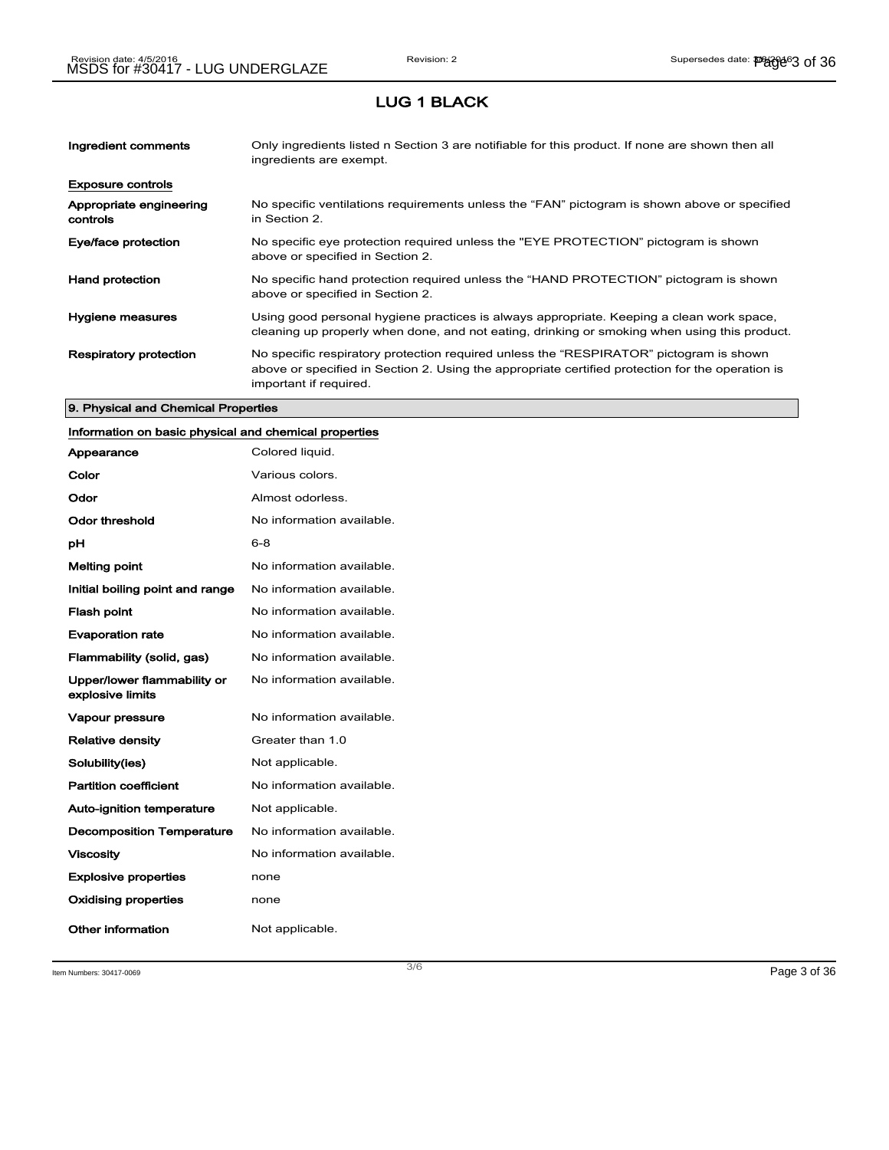### LUG 1 BLACK

| Ingredient comments                 | Only ingredients listed n Section 3 are notifiable for this product. If none are shown then all<br>ingredients are exempt.                                                                                           |
|-------------------------------------|----------------------------------------------------------------------------------------------------------------------------------------------------------------------------------------------------------------------|
| <b>Exposure controls</b>            |                                                                                                                                                                                                                      |
| Appropriate engineering<br>controls | No specific ventilations requirements unless the "FAN" pictogram is shown above or specified<br>in Section 2.                                                                                                        |
| Eye/face protection                 | No specific eye protection required unless the "EYE PROTECTION" pictogram is shown<br>above or specified in Section 2.                                                                                               |
| <b>Hand protection</b>              | No specific hand protection required unless the "HAND PROTECTION" pictogram is shown<br>above or specified in Section 2.                                                                                             |
| Hygiene measures                    | Using good personal hygiene practices is always appropriate. Keeping a clean work space,<br>cleaning up properly when done, and not eating, drinking or smoking when using this product.                             |
| <b>Respiratory protection</b>       | No specific respiratory protection required unless the "RESPIRATOR" pictogram is shown<br>above or specified in Section 2. Using the appropriate certified protection for the operation is<br>important if required. |

#### 9. Physical and Chemical Properties

## Information on basic physical and chemical properties

| Appearance                                      | Colored liquid.           |
|-------------------------------------------------|---------------------------|
| Color                                           | Various colors.           |
| Odor                                            | Almost odorless.          |
| Odor threshold                                  | No information available. |
| рH                                              | $6 - 8$                   |
| <b>Melting point</b>                            | No information available. |
| Initial boiling point and range                 | No information available. |
| <b>Flash point</b>                              | No information available. |
| <b>Evaporation rate</b>                         | No information available. |
| Flammability (solid, gas)                       | No information available. |
| Upper/lower flammability or<br>explosive limits | No information available. |
| <b>Vapour pressure</b>                          | No information available. |
| <b>Relative density</b>                         | Greater than 1.0          |
| Solubility(ies)                                 | Not applicable.           |
| <b>Partition coefficient</b>                    | No information available. |
| <b>Auto-ignition temperature</b>                | Not applicable.           |
| <b>Decomposition Temperature</b>                | No information available. |
| <b>Viscosity</b>                                | No information available. |
| <b>Explosive properties</b>                     | none                      |
| <b>Oxidising properties</b>                     | none                      |
| <b>Other information</b>                        | Not applicable.           |

Item Numbers: 30417-0069 Page 3 of 36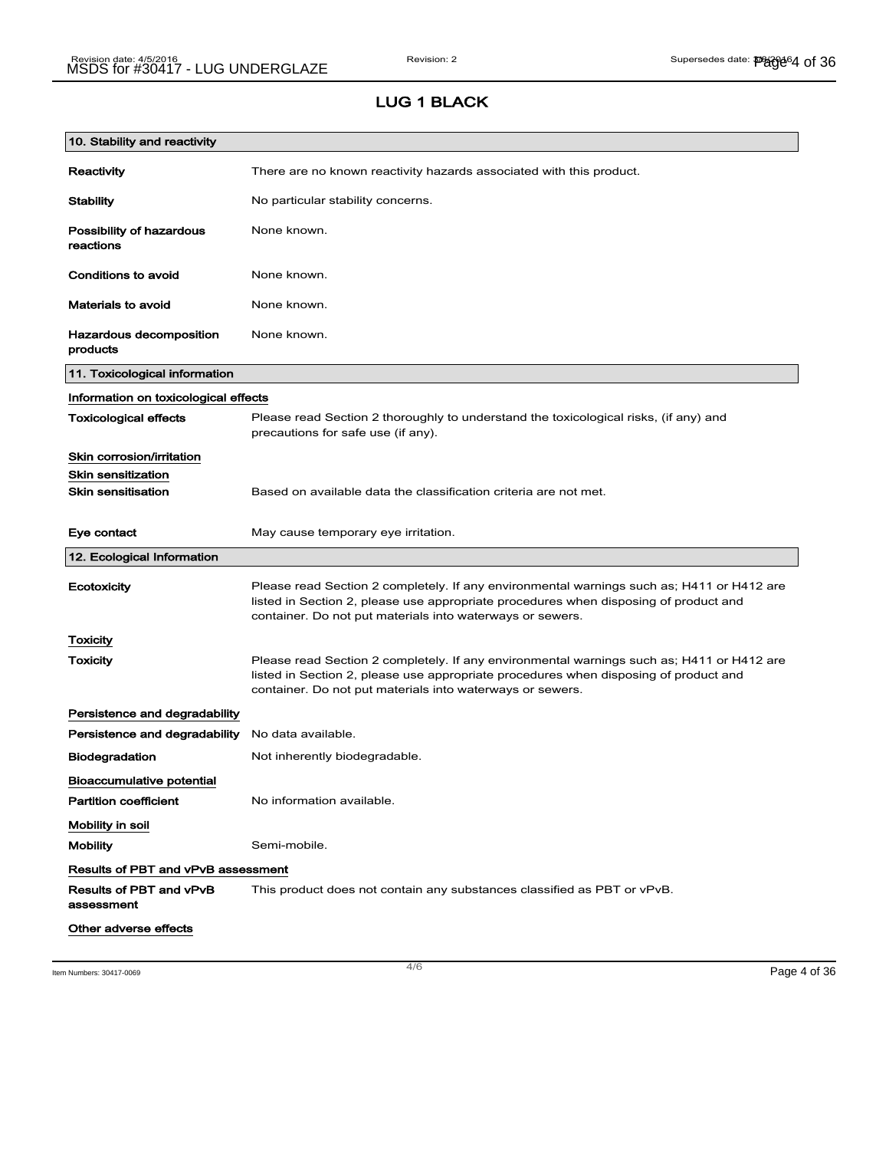# LUG 1 BLACK

| 10. Stability and reactivity          |                                                                                                                                                                                                                                                |
|---------------------------------------|------------------------------------------------------------------------------------------------------------------------------------------------------------------------------------------------------------------------------------------------|
| Reactivity                            | There are no known reactivity hazards associated with this product.                                                                                                                                                                            |
| <b>Stability</b>                      | No particular stability concerns.                                                                                                                                                                                                              |
| Possibility of hazardous<br>reactions | None known.                                                                                                                                                                                                                                    |
| Conditions to avoid                   | None known.                                                                                                                                                                                                                                    |
| <b>Materials to avoid</b>             | None known.                                                                                                                                                                                                                                    |
| Hazardous decomposition<br>products   | None known.                                                                                                                                                                                                                                    |
| 11. Toxicological information         |                                                                                                                                                                                                                                                |
| Information on toxicological effects  |                                                                                                                                                                                                                                                |
| <b>Toxicological effects</b>          | Please read Section 2 thoroughly to understand the toxicological risks, (if any) and<br>precautions for safe use (if any).                                                                                                                     |
| Skin corrosion/irritation             |                                                                                                                                                                                                                                                |
| <b>Skin sensitization</b>             |                                                                                                                                                                                                                                                |
| <b>Skin sensitisation</b>             | Based on available data the classification criteria are not met.                                                                                                                                                                               |
| Eye contact                           | May cause temporary eye irritation.                                                                                                                                                                                                            |
| 12. Ecological Information            |                                                                                                                                                                                                                                                |
| Ecotoxicity                           | Please read Section 2 completely. If any environmental warnings such as; H411 or H412 are<br>listed in Section 2, please use appropriate procedures when disposing of product and<br>container. Do not put materials into waterways or sewers. |
| Toxicity                              |                                                                                                                                                                                                                                                |
| Toxicity                              | Please read Section 2 completely. If any environmental warnings such as; H411 or H412 are<br>listed in Section 2, please use appropriate procedures when disposing of product and<br>container. Do not put materials into waterways or sewers. |
| Persistence and degradability         |                                                                                                                                                                                                                                                |
| Persistence and degradability         | No data available.                                                                                                                                                                                                                             |
| <b>Biodegradation</b>                 | Not inherently biodegradable.                                                                                                                                                                                                                  |
| <b>Bioaccumulative potential</b>      |                                                                                                                                                                                                                                                |
| <b>Partition coefficient</b>          | No information available.                                                                                                                                                                                                                      |
| Mobility in soil                      |                                                                                                                                                                                                                                                |
| <b>Mobility</b>                       | Semi-mobile.                                                                                                                                                                                                                                   |
| Results of PBT and vPvB assessment    |                                                                                                                                                                                                                                                |
| Results of PBT and vPvB<br>assessment | This product does not contain any substances classified as PBT or vPvB.                                                                                                                                                                        |
| Other adverse effects                 |                                                                                                                                                                                                                                                |

Item Numbers: 30417-0069 Page 4 of 36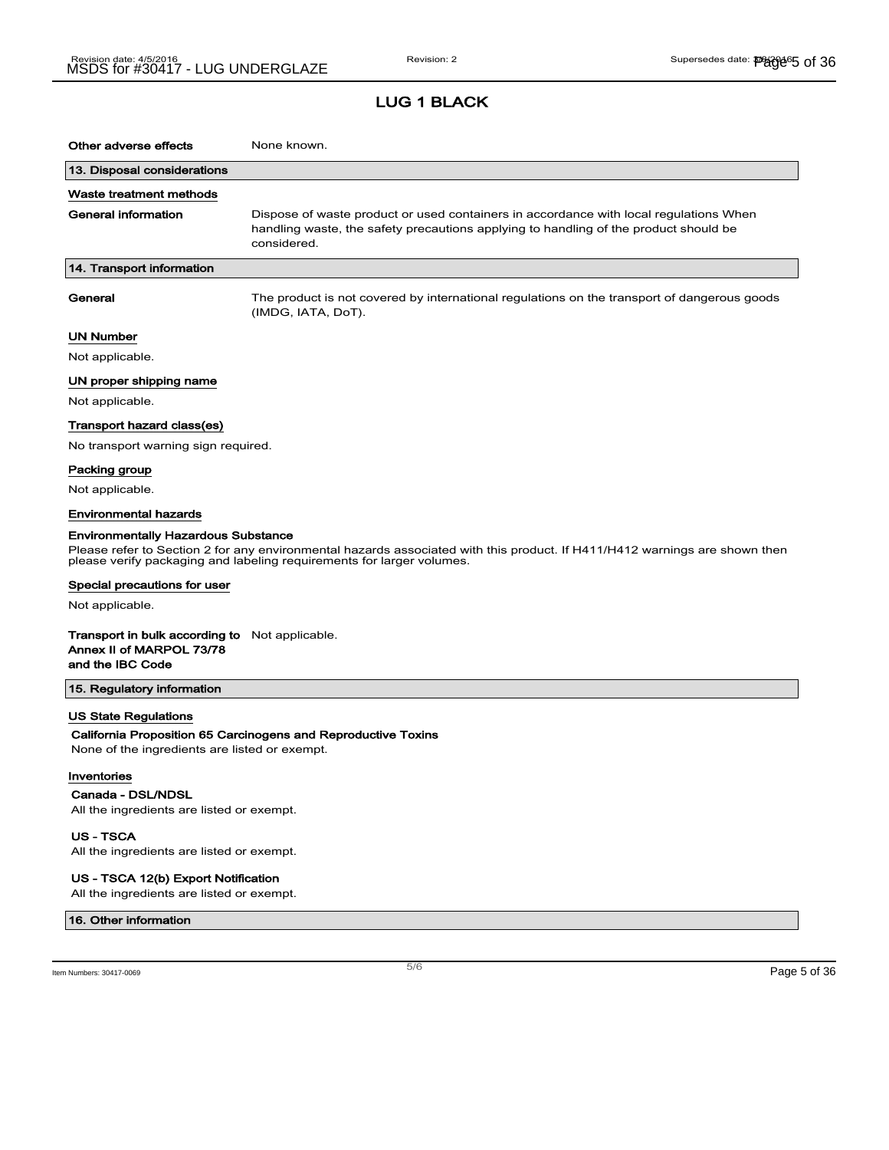### LUG 1 BLACK

| Other adverse effects                                                                                 | None known.                                                                                                                                                                                         |
|-------------------------------------------------------------------------------------------------------|-----------------------------------------------------------------------------------------------------------------------------------------------------------------------------------------------------|
|                                                                                                       |                                                                                                                                                                                                     |
| 13. Disposal considerations                                                                           |                                                                                                                                                                                                     |
| Waste treatment methods                                                                               |                                                                                                                                                                                                     |
| General information                                                                                   | Dispose of waste product or used containers in accordance with local regulations When<br>handling waste, the safety precautions applying to handling of the product should be<br>considered.        |
| 14. Transport information                                                                             |                                                                                                                                                                                                     |
| General                                                                                               | The product is not covered by international regulations on the transport of dangerous goods<br>(IMDG, IATA, DoT).                                                                                   |
| UN Number                                                                                             |                                                                                                                                                                                                     |
| Not applicable.                                                                                       |                                                                                                                                                                                                     |
| UN proper shipping name                                                                               |                                                                                                                                                                                                     |
| Not applicable.                                                                                       |                                                                                                                                                                                                     |
| Transport hazard class(es)                                                                            |                                                                                                                                                                                                     |
| No transport warning sign required.                                                                   |                                                                                                                                                                                                     |
| Packing group                                                                                         |                                                                                                                                                                                                     |
| Not applicable.                                                                                       |                                                                                                                                                                                                     |
| <b>Environmental hazards</b>                                                                          |                                                                                                                                                                                                     |
| <b>Environmentally Hazardous Substance</b>                                                            | Please refer to Section 2 for any environmental hazards associated with this product. If H411/H412 warnings are shown then<br>please verify packaging and labeling requirements for larger volumes. |
| Special precautions for user                                                                          |                                                                                                                                                                                                     |
| Not applicable.                                                                                       |                                                                                                                                                                                                     |
| <b>Transport in bulk according to</b> Not applicable.<br>Annex II of MARPOL 73/78<br>and the IBC Code |                                                                                                                                                                                                     |
| 15. Regulatory information                                                                            |                                                                                                                                                                                                     |
| US State Regulations                                                                                  |                                                                                                                                                                                                     |
| None of the ingredients are listed or exempt.                                                         | California Proposition 65 Carcinogens and Reproductive Toxins                                                                                                                                       |
| Inventories                                                                                           |                                                                                                                                                                                                     |
| Canada - DSL/NDSL<br>All the ingredients are listed or exempt.                                        |                                                                                                                                                                                                     |
| <b>US-TSCA</b>                                                                                        |                                                                                                                                                                                                     |

All the ingredients are listed or exempt.

#### US - TSCA 12(b) Export Notification

All the ingredients are listed or exempt.

#### 16. Other information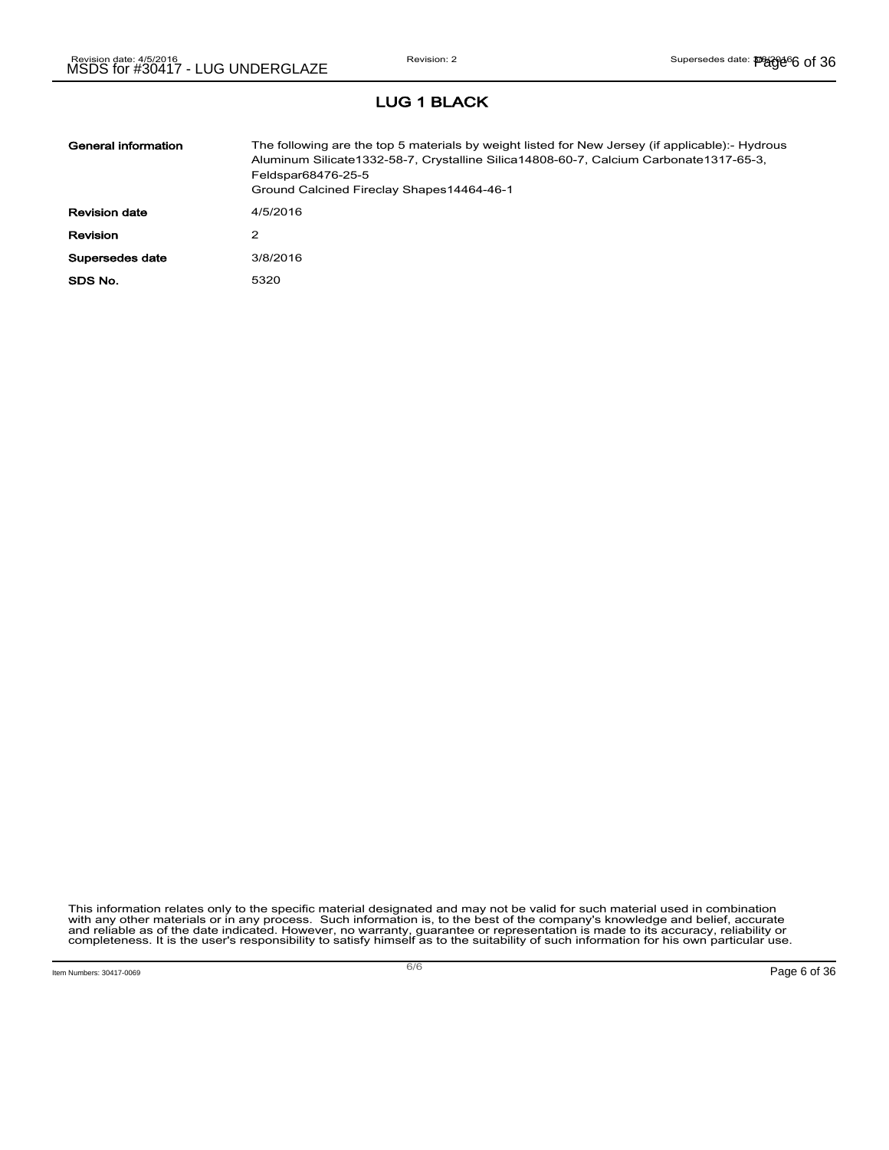# LUG 1 BLACK

| General information  | The following are the top 5 materials by weight listed for New Jersey (if applicable):- Hydrous<br>Aluminum Silicate 1332-58-7, Crystalline Silica 14808-60-7, Calcium Carbonate 1317-65-3,<br>Feldspar68476-25-5<br>Ground Calcined Fireclay Shapes14464-46-1 |
|----------------------|----------------------------------------------------------------------------------------------------------------------------------------------------------------------------------------------------------------------------------------------------------------|
| <b>Revision date</b> | 4/5/2016                                                                                                                                                                                                                                                       |
| <b>Revision</b>      | 2                                                                                                                                                                                                                                                              |
| Supersedes date      | 3/8/2016                                                                                                                                                                                                                                                       |
| SDS No.              | 5320                                                                                                                                                                                                                                                           |

This information relates only to the specific material designated and may not be valid for such material used in combination<br>with any other materials or in any process. Such information is, to the best of the company's kn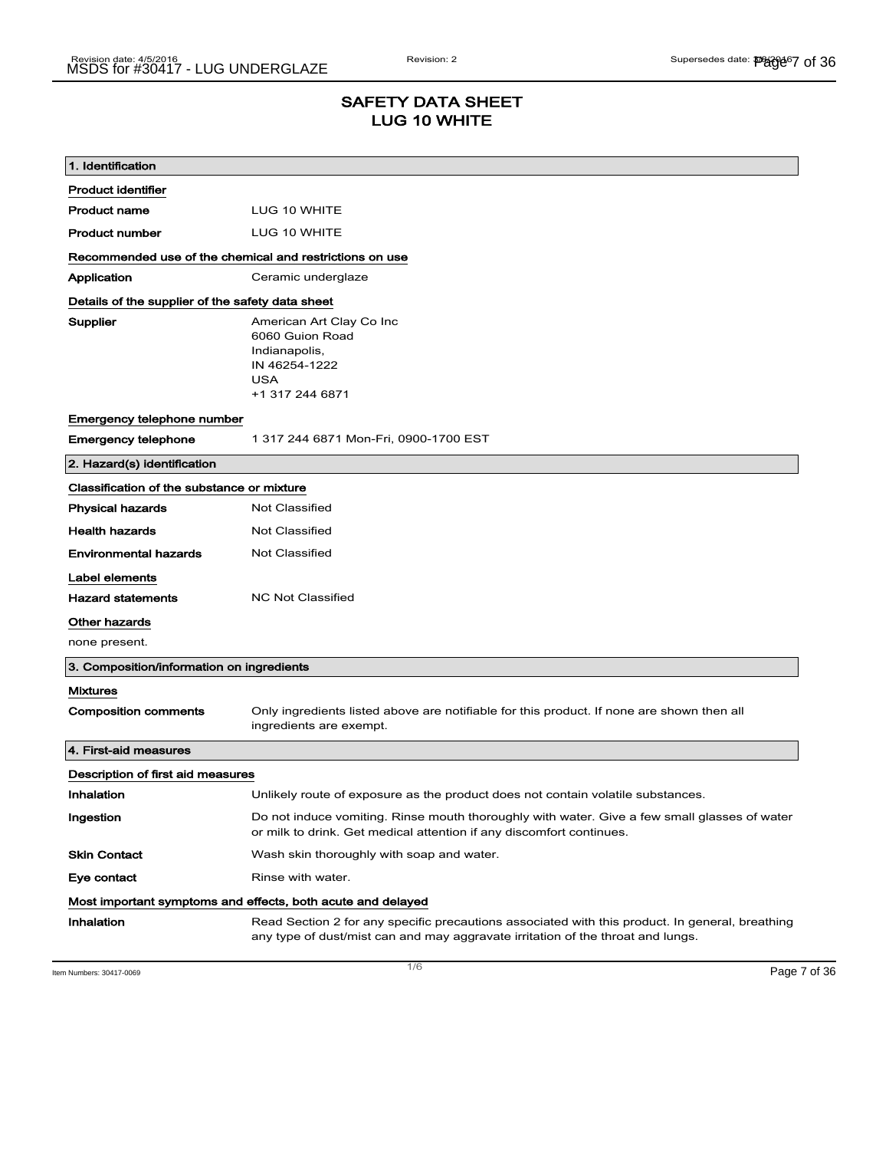## SAFETY DATA SHEET LUG 10 WHITE

| 1. Identification                                       |                                                                                                                                                                                    |
|---------------------------------------------------------|------------------------------------------------------------------------------------------------------------------------------------------------------------------------------------|
| <b>Product identifier</b>                               |                                                                                                                                                                                    |
| <b>Product name</b>                                     | LUG 10 WHITE                                                                                                                                                                       |
| <b>Product number</b>                                   | LUG 10 WHITE                                                                                                                                                                       |
| Recommended use of the chemical and restrictions on use |                                                                                                                                                                                    |
| Application                                             | Ceramic underglaze                                                                                                                                                                 |
| Details of the supplier of the safety data sheet        |                                                                                                                                                                                    |
| Supplier                                                | American Art Clay Co Inc<br>6060 Guion Road<br>Indianapolis,<br>IN 46254-1222<br><b>USA</b><br>+1 317 244 6871                                                                     |
| Emergency telephone number                              |                                                                                                                                                                                    |
| <b>Emergency telephone</b>                              | 1 317 244 6871 Mon-Fri, 0900-1700 EST                                                                                                                                              |
| 2. Hazard(s) identification                             |                                                                                                                                                                                    |
| Classification of the substance or mixture              |                                                                                                                                                                                    |
| <b>Physical hazards</b>                                 | <b>Not Classified</b>                                                                                                                                                              |
| <b>Health hazards</b>                                   | <b>Not Classified</b>                                                                                                                                                              |
| Environmental hazards                                   | Not Classified                                                                                                                                                                     |
| Label elements                                          |                                                                                                                                                                                    |
| <b>Hazard statements</b>                                | <b>NC Not Classified</b>                                                                                                                                                           |
| Other hazards                                           |                                                                                                                                                                                    |
| none present.                                           |                                                                                                                                                                                    |
| 3. Composition/information on ingredients               |                                                                                                                                                                                    |
| Mixtures                                                |                                                                                                                                                                                    |
| <b>Composition comments</b>                             | Only ingredients listed above are notifiable for this product. If none are shown then all<br>ingredients are exempt.                                                               |
| 4. First-aid measures                                   |                                                                                                                                                                                    |
| Description of first aid measures                       |                                                                                                                                                                                    |
| Inhalation                                              | Unlikely route of exposure as the product does not contain volatile substances.                                                                                                    |
| Ingestion                                               | Do not induce vomiting. Rinse mouth thoroughly with water. Give a few small glasses of water<br>or milk to drink. Get medical attention if any discomfort continues.               |
| Skin Contact                                            | Wash skin thoroughly with soap and water.                                                                                                                                          |
| Eye contact                                             | Rinse with water.                                                                                                                                                                  |
|                                                         | Most important symptoms and effects, both acute and delayed                                                                                                                        |
| Inhalation                                              | Read Section 2 for any specific precautions associated with this product. In general, breathing<br>any type of dust/mist can and may aggravate irritation of the throat and lungs. |

Item Numbers: 30417-0069  $\blacksquare$   $\blacksquare$   $\blacksquare$   $\blacksquare$   $\blacksquare$   $\blacksquare$   $\blacksquare$   $\blacksquare$   $\blacksquare$   $\blacksquare$   $\blacksquare$   $\blacksquare$   $\blacksquare$   $\blacksquare$   $\blacksquare$   $\blacksquare$   $\blacksquare$   $\blacksquare$   $\blacksquare$   $\blacksquare$   $\blacksquare$   $\blacksquare$   $\blacksquare$   $\blacksquare$   $\blacksquare$   $\blacksquare$   $\blacksquare$   $\blacksquare$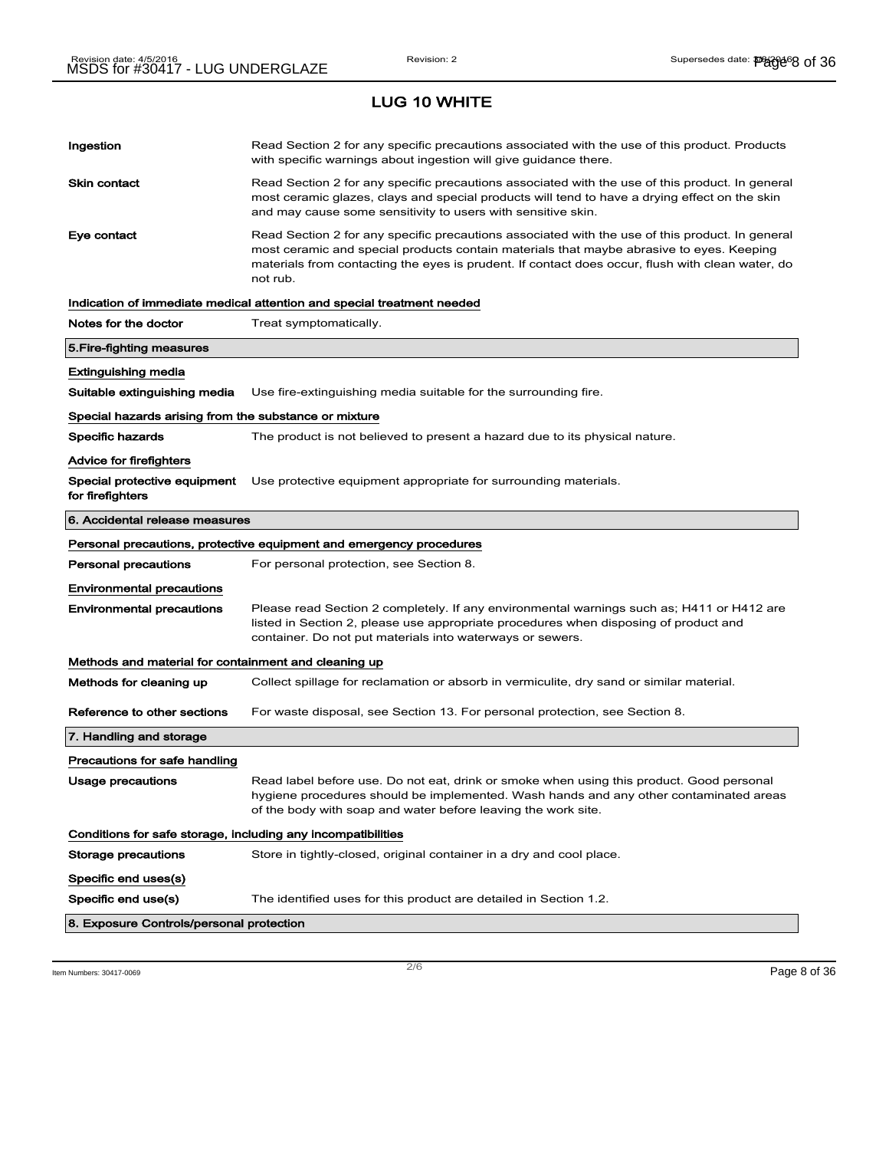# Ingestion **Read Section 2 for any specific precautions associated with the use of this product. Products** with specific warnings about ingestion will give guidance there. Skin contact **Read Section 2 for any specific precautions associated with the use of this product. In general** most ceramic glazes, clays and special products will tend to have a drying effect on the skin and may cause some sensitivity to users with sensitive skin. Eye contact **Read Section 2 for any specific precautions associated with the use of this product. In general** most ceramic and special products contain materials that maybe abrasive to eyes. Keeping materials from contacting the eyes is prudent. If contact does occur, flush with clean water, do not rub. Indication of immediate medical attention and special treatment needed Notes for the doctor Treat symptomatically. 5.Fire-fighting measures Extinguishing media Suitable extinguishing media Use fire-extinguishing media suitable for the surrounding fire. Special hazards arising from the substance or mixture Specific hazards The product is not believed to present a hazard due to its physical nature. Advice for firefighters Special protective equipment Use protective equipment appropriate for surrounding materials. for firefighters 6. Accidental release measures Personal precautions, protective equipment and emergency procedures Personal precautions For personal protection, see Section 8. Environmental precautions Environmental precautions Please read Section 2 completely. If any environmental warnings such as; H411 or H412 are listed in Section 2, please use appropriate procedures when disposing of product and container. Do not put materials into waterways or sewers. Methods and material for containment and cleaning up Methods for cleaning up Collect spillage for reclamation or absorb in vermiculite, dry sand or similar material. Reference to other sections For waste disposal, see Section 13. For personal protection, see Section 8. 7. Handling and storage Precautions for safe handling Usage precautions **Read label before use. Do not eat, drink or smoke when using this product. Good personal** hygiene procedures should be implemented. Wash hands and any other contaminated areas of the body with soap and water before leaving the work site. Conditions for safe storage, including any incompatibilities Storage precautions Store in tightly-closed, original container in a dry and cool place. Specific end uses(s) Specific end use(s) The identified uses for this product are detailed in Section 1.2. 8. Exposure Controls/personal protection

 $\overline{\phantom{a}}$ ltem Numbers: 30417-0069  $\overline{\phantom{a}}$   $\overline{\phantom{a}}$   $\overline{\phantom{a}}$   $\overline{\phantom{a}}$   $\overline{\phantom{a}}$   $\overline{\phantom{a}}$   $\overline{\phantom{a}}$   $\overline{\phantom{a}}$   $\overline{\phantom{a}}$   $\overline{\phantom{a}}$   $\overline{\phantom{a}}$   $\overline{\phantom{a}}$   $\overline{\phantom{a}}$   $\overline{\phantom{a}}$   $\overline{\phantom{a}}$   $\overline{\$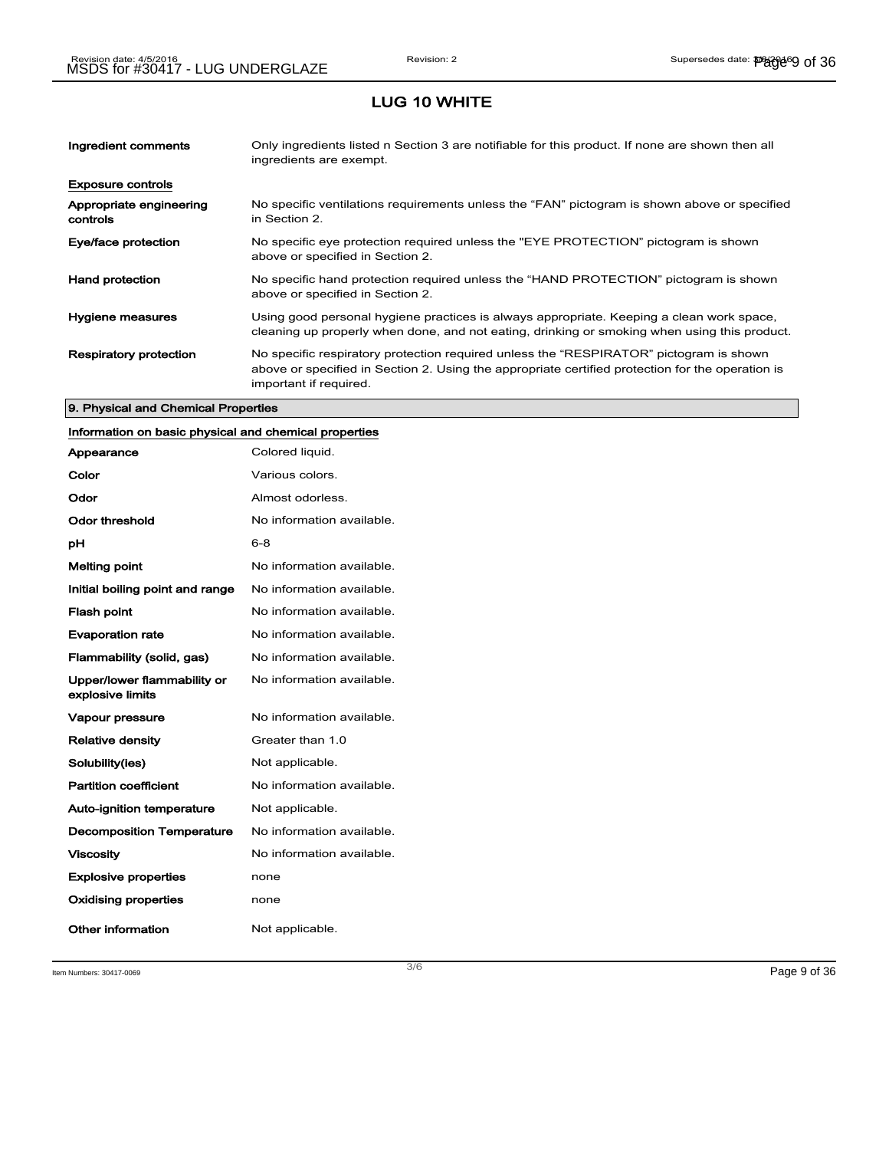| Ingredient comments                 | Only ingredients listed n Section 3 are notifiable for this product. If none are shown then all<br>ingredients are exempt.                                                                                           |
|-------------------------------------|----------------------------------------------------------------------------------------------------------------------------------------------------------------------------------------------------------------------|
| <b>Exposure controls</b>            |                                                                                                                                                                                                                      |
| Appropriate engineering<br>controls | No specific ventilations requirements unless the "FAN" pictogram is shown above or specified<br>in Section 2.                                                                                                        |
| Eye/face protection                 | No specific eye protection required unless the "EYE PROTECTION" pictogram is shown<br>above or specified in Section 2.                                                                                               |
| <b>Hand protection</b>              | No specific hand protection required unless the "HAND PROTECTION" pictogram is shown<br>above or specified in Section 2.                                                                                             |
| Hygiene measures                    | Using good personal hygiene practices is always appropriate. Keeping a clean work space,<br>cleaning up properly when done, and not eating, drinking or smoking when using this product.                             |
| <b>Respiratory protection</b>       | No specific respiratory protection required unless the "RESPIRATOR" pictogram is shown<br>above or specified in Section 2. Using the appropriate certified protection for the operation is<br>important if required. |

#### 9. Physical and Chemical Properties

## Information on basic physical and chemical properties

| Appearance                                      | Colored liquid.           |
|-------------------------------------------------|---------------------------|
| Color                                           | Various colors.           |
| Odor                                            | Almost odorless.          |
| Odor threshold                                  | No information available. |
| рH                                              | $6 - 8$                   |
| <b>Melting point</b>                            | No information available. |
| Initial boiling point and range                 | No information available. |
| <b>Flash point</b>                              | No information available. |
| <b>Evaporation rate</b>                         | No information available. |
| Flammability (solid, gas)                       | No information available. |
| Upper/lower flammability or<br>explosive limits | No information available. |
| Vapour pressure                                 | No information available. |
| <b>Relative density</b>                         | Greater than 1.0          |
| Solubility(ies)                                 | Not applicable.           |
| <b>Partition coefficient</b>                    | No information available. |
| <b>Auto-ignition temperature</b>                | Not applicable.           |
| <b>Decomposition Temperature</b>                | No information available. |
| <b>Viscosity</b>                                | No information available. |
| <b>Explosive properties</b>                     | none                      |
| <b>Oxidising properties</b>                     | none                      |
| Other information                               | Not applicable.           |

Item Numbers: 30417-0069 Page 9 of 36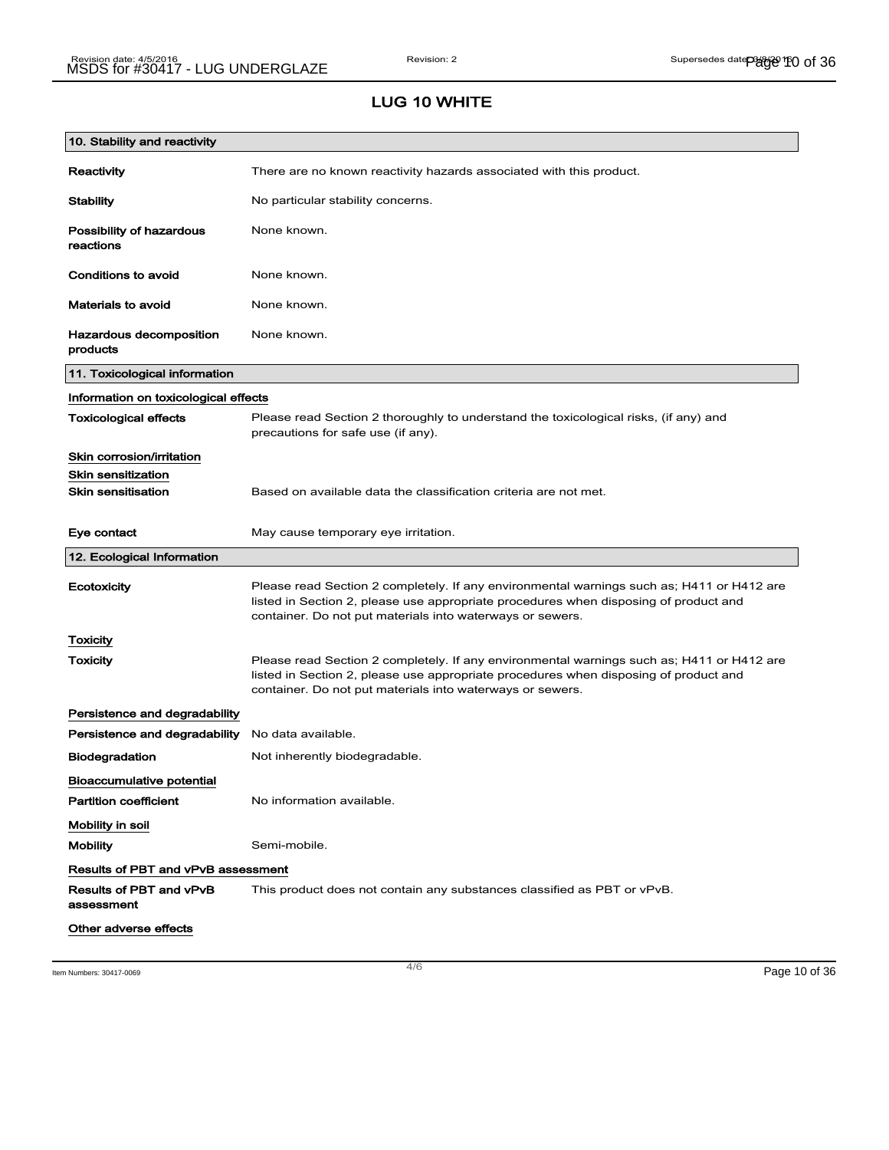| 10. Stability and reactivity              |                                                                                                                                                                                                                                                |
|-------------------------------------------|------------------------------------------------------------------------------------------------------------------------------------------------------------------------------------------------------------------------------------------------|
| Reactivity                                | There are no known reactivity hazards associated with this product.                                                                                                                                                                            |
| <b>Stability</b>                          | No particular stability concerns.                                                                                                                                                                                                              |
| Possibility of hazardous<br>reactions     | None known.                                                                                                                                                                                                                                    |
| Conditions to avoid                       | None known.                                                                                                                                                                                                                                    |
| <b>Materials to avoid</b>                 | None known.                                                                                                                                                                                                                                    |
| Hazardous decomposition<br>products       | None known.                                                                                                                                                                                                                                    |
| 11. Toxicological information             |                                                                                                                                                                                                                                                |
| Information on toxicological effects      |                                                                                                                                                                                                                                                |
| <b>Toxicological effects</b>              | Please read Section 2 thoroughly to understand the toxicological risks, (if any) and<br>precautions for safe use (if any).                                                                                                                     |
| Skin corrosion/irritation                 |                                                                                                                                                                                                                                                |
| <b>Skin sensitization</b>                 |                                                                                                                                                                                                                                                |
| <b>Skin sensitisation</b>                 | Based on available data the classification criteria are not met.                                                                                                                                                                               |
| Eye contact                               | May cause temporary eye irritation.                                                                                                                                                                                                            |
| 12. Ecological Information                |                                                                                                                                                                                                                                                |
| Ecotoxicity                               | Please read Section 2 completely. If any environmental warnings such as; H411 or H412 are<br>listed in Section 2, please use appropriate procedures when disposing of product and<br>container. Do not put materials into waterways or sewers. |
| Toxicity                                  |                                                                                                                                                                                                                                                |
| <b>Toxicity</b>                           | Please read Section 2 completely. If any environmental warnings such as; H411 or H412 are<br>listed in Section 2, please use appropriate procedures when disposing of product and<br>container. Do not put materials into waterways or sewers. |
| Persistence and degradability             |                                                                                                                                                                                                                                                |
| Persistence and degradability             | No data available.                                                                                                                                                                                                                             |
| <b>Biodegradation</b>                     | Not inherently biodegradable.                                                                                                                                                                                                                  |
| <b>Bioaccumulative potential</b>          |                                                                                                                                                                                                                                                |
| <b>Partition coefficient</b>              | No information available.                                                                                                                                                                                                                      |
| Mobility in soil                          |                                                                                                                                                                                                                                                |
| <b>Mobility</b>                           | Semi-mobile.                                                                                                                                                                                                                                   |
| <b>Results of PBT and vPvB assessment</b> |                                                                                                                                                                                                                                                |
| Results of PBT and vPvB<br>assessment     | This product does not contain any substances classified as PBT or vPvB.                                                                                                                                                                        |
| Other adverse effects                     |                                                                                                                                                                                                                                                |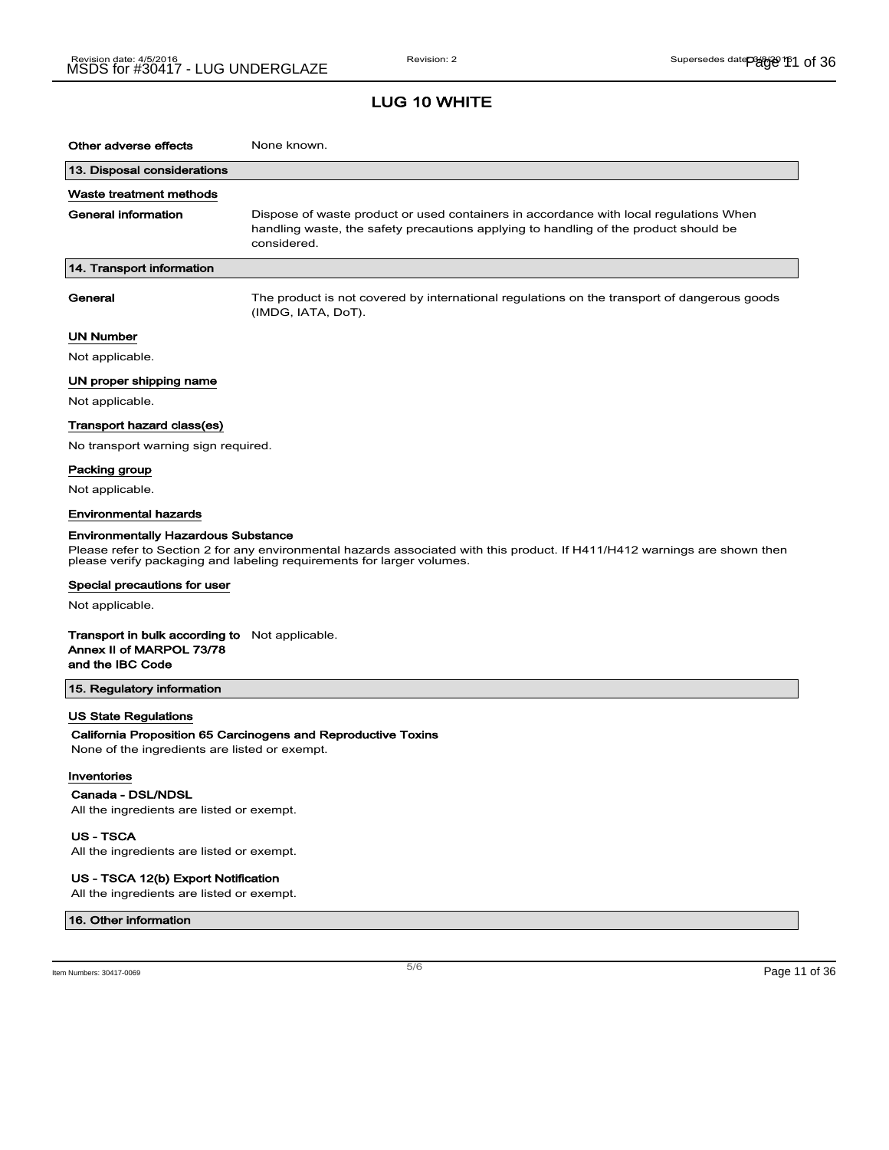| Other adverse effects                                                                                 | None known.                                                                                                                                                                                         |
|-------------------------------------------------------------------------------------------------------|-----------------------------------------------------------------------------------------------------------------------------------------------------------------------------------------------------|
| 13. Disposal considerations                                                                           |                                                                                                                                                                                                     |
| Waste treatment methods                                                                               |                                                                                                                                                                                                     |
| General information                                                                                   | Dispose of waste product or used containers in accordance with local regulations When<br>handling waste, the safety precautions applying to handling of the product should be<br>considered.        |
| 14. Transport information                                                                             |                                                                                                                                                                                                     |
| General                                                                                               | The product is not covered by international regulations on the transport of dangerous goods<br>(IMDG, IATA, DoT).                                                                                   |
| UN Number                                                                                             |                                                                                                                                                                                                     |
| Not applicable.                                                                                       |                                                                                                                                                                                                     |
| UN proper shipping name                                                                               |                                                                                                                                                                                                     |
| Not applicable.                                                                                       |                                                                                                                                                                                                     |
| Transport hazard class(es)                                                                            |                                                                                                                                                                                                     |
| No transport warning sign required.                                                                   |                                                                                                                                                                                                     |
| Packing group                                                                                         |                                                                                                                                                                                                     |
| Not applicable.                                                                                       |                                                                                                                                                                                                     |
| <b>Environmental hazards</b>                                                                          |                                                                                                                                                                                                     |
| Environmentally Hazardous Substance                                                                   | Please refer to Section 2 for any environmental hazards associated with this product. If H411/H412 warnings are shown then<br>please verify packaging and labeling requirements for larger volumes. |
| Special precautions for user                                                                          |                                                                                                                                                                                                     |
| Not applicable.                                                                                       |                                                                                                                                                                                                     |
| <b>Transport in bulk according to</b> Not applicable.<br>Annex II of MARPOL 73/78<br>and the IBC Code |                                                                                                                                                                                                     |
| 15. Regulatory information                                                                            |                                                                                                                                                                                                     |
| US State Regulations                                                                                  |                                                                                                                                                                                                     |
| None of the ingredients are listed or exempt.                                                         | California Proposition 65 Carcinogens and Reproductive Toxins                                                                                                                                       |
| Inventories                                                                                           |                                                                                                                                                                                                     |
| Canada - DSL/NDSL                                                                                     |                                                                                                                                                                                                     |
| All the ingredients are listed or exempt.                                                             |                                                                                                                                                                                                     |
| <b>US - TSCA</b><br>All the ingredients are listed or exempt.                                         |                                                                                                                                                                                                     |

US - TSCA 12(b) Export Notification

All the ingredients are listed or exempt.

#### 16. Other information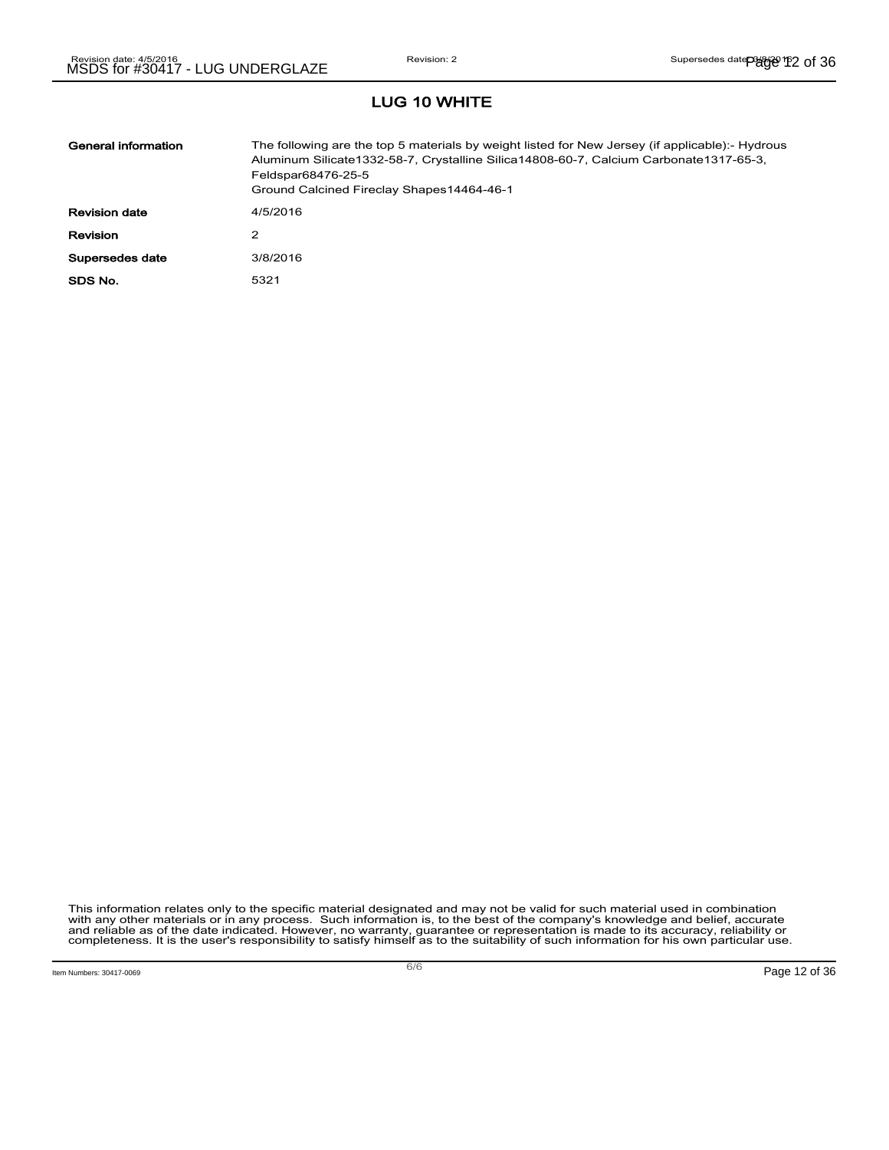| General information  | The following are the top 5 materials by weight listed for New Jersey (if applicable):- Hydrous<br>Aluminum Silicate1332-58-7, Crystalline Silica14808-60-7, Calcium Carbonate1317-65-3,<br>Feldspar68476-25-5<br>Ground Calcined Fireclay Shapes14464-46-1 |
|----------------------|-------------------------------------------------------------------------------------------------------------------------------------------------------------------------------------------------------------------------------------------------------------|
| <b>Revision date</b> | 4/5/2016                                                                                                                                                                                                                                                    |
| <b>Revision</b>      | 2                                                                                                                                                                                                                                                           |
| Supersedes date      | 3/8/2016                                                                                                                                                                                                                                                    |
| SDS No.              | 5321                                                                                                                                                                                                                                                        |

This information relates only to the specific material designated and may not be valid for such material used in combination<br>with any other materials or in any process. Such information is, to the best of the company's kn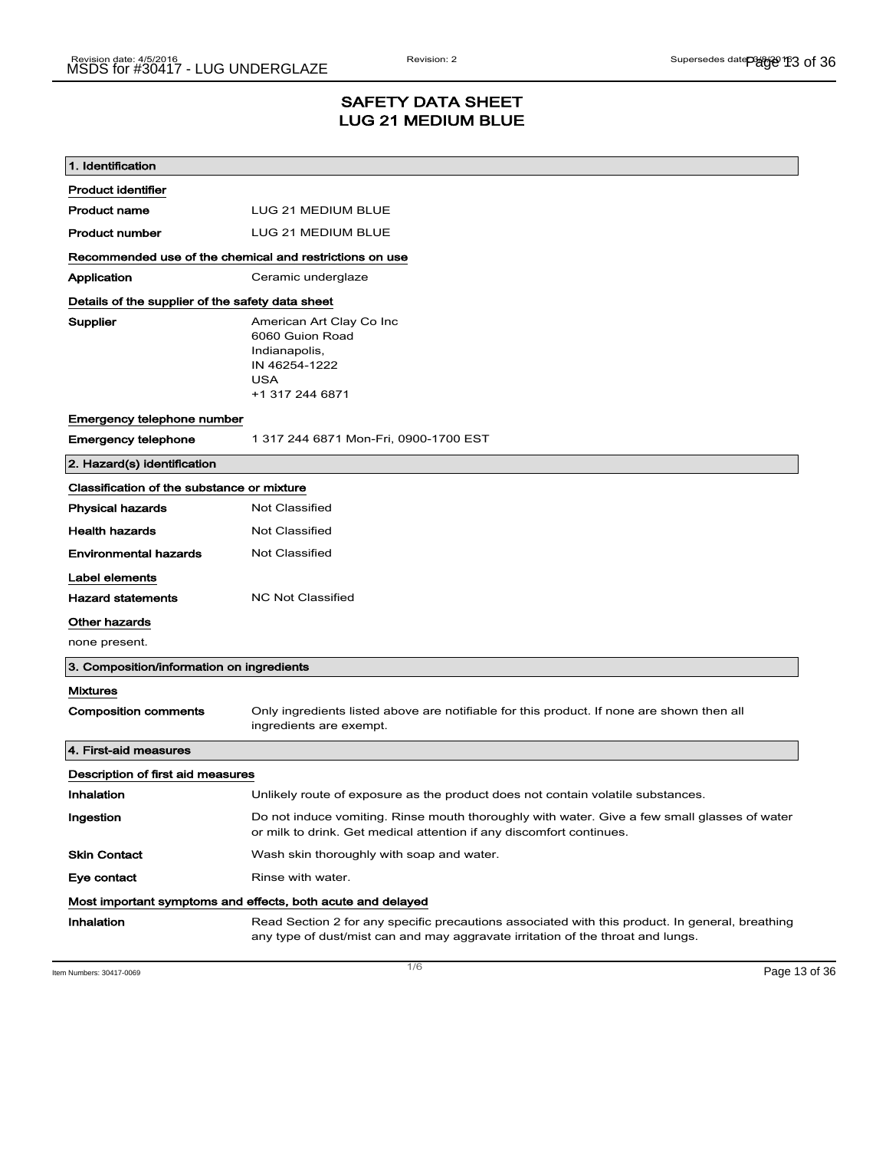## SAFETY DATA SHEET LUG 21 MEDIUM BLUE

| 1. Identification                                       |                                                                                                                                                                                    |  |  |
|---------------------------------------------------------|------------------------------------------------------------------------------------------------------------------------------------------------------------------------------------|--|--|
| <b>Product identifier</b>                               |                                                                                                                                                                                    |  |  |
| <b>Product name</b>                                     | LUG 21 MEDIUM BLUE                                                                                                                                                                 |  |  |
| <b>Product number</b>                                   | LUG 21 MEDIUM BLUE                                                                                                                                                                 |  |  |
| Recommended use of the chemical and restrictions on use |                                                                                                                                                                                    |  |  |
| Application                                             | Ceramic underglaze                                                                                                                                                                 |  |  |
|                                                         | Details of the supplier of the safety data sheet                                                                                                                                   |  |  |
| Supplier                                                | American Art Clay Co Inc<br>6060 Guion Road<br>Indianapolis,<br>IN 46254-1222<br><b>USA</b><br>+1 317 244 6871                                                                     |  |  |
| Emergency telephone number                              |                                                                                                                                                                                    |  |  |
| <b>Emergency telephone</b>                              | 1 317 244 6871 Mon-Fri, 0900-1700 EST                                                                                                                                              |  |  |
| 2. Hazard(s) identification                             |                                                                                                                                                                                    |  |  |
| Classification of the substance or mixture              |                                                                                                                                                                                    |  |  |
| <b>Physical hazards</b>                                 | <b>Not Classified</b>                                                                                                                                                              |  |  |
| <b>Health hazards</b>                                   | <b>Not Classified</b>                                                                                                                                                              |  |  |
| <b>Environmental hazards</b>                            | Not Classified                                                                                                                                                                     |  |  |
| Label elements                                          |                                                                                                                                                                                    |  |  |
| <b>Hazard statements</b>                                | <b>NC Not Classified</b>                                                                                                                                                           |  |  |
| Other hazards                                           |                                                                                                                                                                                    |  |  |
| none present.                                           |                                                                                                                                                                                    |  |  |
| 3. Composition/information on ingredients               |                                                                                                                                                                                    |  |  |
| <b>Mixtures</b>                                         |                                                                                                                                                                                    |  |  |
| <b>Composition comments</b>                             | Only ingredients listed above are notifiable for this product. If none are shown then all<br>ingredients are exempt.                                                               |  |  |
| 4. First-aid measures                                   |                                                                                                                                                                                    |  |  |
| Description of first aid measures                       |                                                                                                                                                                                    |  |  |
| Inhalation                                              | Unlikely route of exposure as the product does not contain volatile substances.                                                                                                    |  |  |
| Ingestion                                               | Do not induce vomiting. Rinse mouth thoroughly with water. Give a few small glasses of water<br>or milk to drink. Get medical attention if any discomfort continues.               |  |  |
| <b>Skin Contact</b>                                     | Wash skin thoroughly with soap and water.                                                                                                                                          |  |  |
| Eye contact                                             | Rinse with water.                                                                                                                                                                  |  |  |
|                                                         | Most important symptoms and effects, both acute and delayed                                                                                                                        |  |  |
| Inhalation                                              | Read Section 2 for any specific precautions associated with this product. In general, breathing<br>any type of dust/mist can and may aggravate irritation of the throat and lungs. |  |  |

Item Numbers: 30417-0069 Page 13 of 36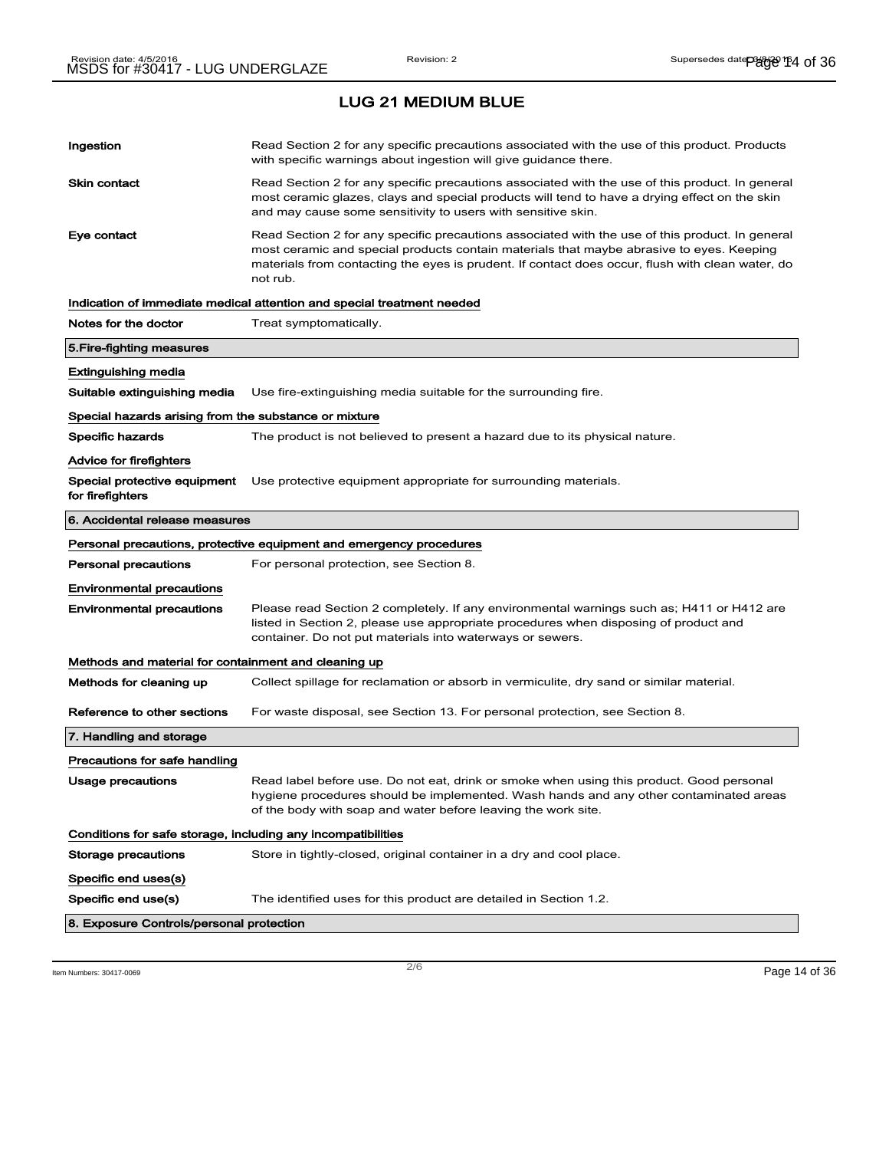| Ingestion<br>Read Section 2 for any specific precautions associated with the use of this product. Products<br>with specific warnings about ingestion will give guidance there.<br>Skin contact<br>Read Section 2 for any specific precautions associated with the use of this product. In general<br>most ceramic glazes, clays and special products will tend to have a drying effect on the skin<br>and may cause some sensitivity to users with sensitive skin.<br>Eye contact<br>Read Section 2 for any specific precautions associated with the use of this product. In general<br>most ceramic and special products contain materials that maybe abrasive to eyes. Keeping<br>materials from contacting the eyes is prudent. If contact does occur, flush with clean water, do<br>not rub.<br>Indication of immediate medical attention and special treatment needed<br>Notes for the doctor<br>Treat symptomatically.<br>5.Fire-fighting measures<br>Extinguishing media<br>Suitable extinguishing media<br>Use fire-extinguishing media suitable for the surrounding fire.<br>Special hazards arising from the substance or mixture<br><b>Specific hazards</b><br>The product is not believed to present a hazard due to its physical nature.<br>Advice for firefighters<br>Special protective equipment<br>Use protective equipment appropriate for surrounding materials.<br>6. Accidental release measures<br>Personal precautions, protective equipment and emergency procedures<br>Personal precautions<br>For personal protection, see Section 8.<br><b>Environmental precautions</b><br><b>Environmental precautions</b><br>Please read Section 2 completely. If any environmental warnings such as; H411 or H412 are<br>listed in Section 2, please use appropriate procedures when disposing of product and<br>container. Do not put materials into waterways or sewers.<br>Methods and material for containment and cleaning up<br>Methods for cleaning up<br>Collect spillage for reclamation or absorb in vermiculite, dry sand or similar material.<br>Reference to other sections<br>For waste disposal, see Section 13. For personal protection, see Section 8.<br>7. Handling and storage<br>Precautions for safe handling<br>Read label before use. Do not eat, drink or smoke when using this product. Good personal<br>Usage precautions<br>hygiene procedures should be implemented. Wash hands and any other contaminated areas<br>of the body with soap and water before leaving the work site.<br>Conditions for safe storage, including any incompatibilities<br>Storage precautions<br>Store in tightly-closed, original container in a dry and cool place.<br>Specific end uses(s)<br>Specific end use(s)<br>The identified uses for this product are detailed in Section 1.2.<br>8. Exposure Controls/personal protection |                  |  |
|--------------------------------------------------------------------------------------------------------------------------------------------------------------------------------------------------------------------------------------------------------------------------------------------------------------------------------------------------------------------------------------------------------------------------------------------------------------------------------------------------------------------------------------------------------------------------------------------------------------------------------------------------------------------------------------------------------------------------------------------------------------------------------------------------------------------------------------------------------------------------------------------------------------------------------------------------------------------------------------------------------------------------------------------------------------------------------------------------------------------------------------------------------------------------------------------------------------------------------------------------------------------------------------------------------------------------------------------------------------------------------------------------------------------------------------------------------------------------------------------------------------------------------------------------------------------------------------------------------------------------------------------------------------------------------------------------------------------------------------------------------------------------------------------------------------------------------------------------------------------------------------------------------------------------------------------------------------------------------------------------------------------------------------------------------------------------------------------------------------------------------------------------------------------------------------------------------------------------------------------------------------------------------------------------------------------------------------------------------------------------------------------------------------------------------------------------------------------------------------------------------------------------------------------------------------------------------------------------------------------------------------------------------------------------------------------------------------------------------------------------------------------------------------------------------------------------------------------------------------|------------------|--|
|                                                                                                                                                                                                                                                                                                                                                                                                                                                                                                                                                                                                                                                                                                                                                                                                                                                                                                                                                                                                                                                                                                                                                                                                                                                                                                                                                                                                                                                                                                                                                                                                                                                                                                                                                                                                                                                                                                                                                                                                                                                                                                                                                                                                                                                                                                                                                                                                                                                                                                                                                                                                                                                                                                                                                                                                                                                              |                  |  |
|                                                                                                                                                                                                                                                                                                                                                                                                                                                                                                                                                                                                                                                                                                                                                                                                                                                                                                                                                                                                                                                                                                                                                                                                                                                                                                                                                                                                                                                                                                                                                                                                                                                                                                                                                                                                                                                                                                                                                                                                                                                                                                                                                                                                                                                                                                                                                                                                                                                                                                                                                                                                                                                                                                                                                                                                                                                              |                  |  |
|                                                                                                                                                                                                                                                                                                                                                                                                                                                                                                                                                                                                                                                                                                                                                                                                                                                                                                                                                                                                                                                                                                                                                                                                                                                                                                                                                                                                                                                                                                                                                                                                                                                                                                                                                                                                                                                                                                                                                                                                                                                                                                                                                                                                                                                                                                                                                                                                                                                                                                                                                                                                                                                                                                                                                                                                                                                              |                  |  |
|                                                                                                                                                                                                                                                                                                                                                                                                                                                                                                                                                                                                                                                                                                                                                                                                                                                                                                                                                                                                                                                                                                                                                                                                                                                                                                                                                                                                                                                                                                                                                                                                                                                                                                                                                                                                                                                                                                                                                                                                                                                                                                                                                                                                                                                                                                                                                                                                                                                                                                                                                                                                                                                                                                                                                                                                                                                              |                  |  |
|                                                                                                                                                                                                                                                                                                                                                                                                                                                                                                                                                                                                                                                                                                                                                                                                                                                                                                                                                                                                                                                                                                                                                                                                                                                                                                                                                                                                                                                                                                                                                                                                                                                                                                                                                                                                                                                                                                                                                                                                                                                                                                                                                                                                                                                                                                                                                                                                                                                                                                                                                                                                                                                                                                                                                                                                                                                              |                  |  |
|                                                                                                                                                                                                                                                                                                                                                                                                                                                                                                                                                                                                                                                                                                                                                                                                                                                                                                                                                                                                                                                                                                                                                                                                                                                                                                                                                                                                                                                                                                                                                                                                                                                                                                                                                                                                                                                                                                                                                                                                                                                                                                                                                                                                                                                                                                                                                                                                                                                                                                                                                                                                                                                                                                                                                                                                                                                              |                  |  |
|                                                                                                                                                                                                                                                                                                                                                                                                                                                                                                                                                                                                                                                                                                                                                                                                                                                                                                                                                                                                                                                                                                                                                                                                                                                                                                                                                                                                                                                                                                                                                                                                                                                                                                                                                                                                                                                                                                                                                                                                                                                                                                                                                                                                                                                                                                                                                                                                                                                                                                                                                                                                                                                                                                                                                                                                                                                              |                  |  |
|                                                                                                                                                                                                                                                                                                                                                                                                                                                                                                                                                                                                                                                                                                                                                                                                                                                                                                                                                                                                                                                                                                                                                                                                                                                                                                                                                                                                                                                                                                                                                                                                                                                                                                                                                                                                                                                                                                                                                                                                                                                                                                                                                                                                                                                                                                                                                                                                                                                                                                                                                                                                                                                                                                                                                                                                                                                              |                  |  |
|                                                                                                                                                                                                                                                                                                                                                                                                                                                                                                                                                                                                                                                                                                                                                                                                                                                                                                                                                                                                                                                                                                                                                                                                                                                                                                                                                                                                                                                                                                                                                                                                                                                                                                                                                                                                                                                                                                                                                                                                                                                                                                                                                                                                                                                                                                                                                                                                                                                                                                                                                                                                                                                                                                                                                                                                                                                              |                  |  |
|                                                                                                                                                                                                                                                                                                                                                                                                                                                                                                                                                                                                                                                                                                                                                                                                                                                                                                                                                                                                                                                                                                                                                                                                                                                                                                                                                                                                                                                                                                                                                                                                                                                                                                                                                                                                                                                                                                                                                                                                                                                                                                                                                                                                                                                                                                                                                                                                                                                                                                                                                                                                                                                                                                                                                                                                                                                              |                  |  |
|                                                                                                                                                                                                                                                                                                                                                                                                                                                                                                                                                                                                                                                                                                                                                                                                                                                                                                                                                                                                                                                                                                                                                                                                                                                                                                                                                                                                                                                                                                                                                                                                                                                                                                                                                                                                                                                                                                                                                                                                                                                                                                                                                                                                                                                                                                                                                                                                                                                                                                                                                                                                                                                                                                                                                                                                                                                              |                  |  |
|                                                                                                                                                                                                                                                                                                                                                                                                                                                                                                                                                                                                                                                                                                                                                                                                                                                                                                                                                                                                                                                                                                                                                                                                                                                                                                                                                                                                                                                                                                                                                                                                                                                                                                                                                                                                                                                                                                                                                                                                                                                                                                                                                                                                                                                                                                                                                                                                                                                                                                                                                                                                                                                                                                                                                                                                                                                              | for firefighters |  |
|                                                                                                                                                                                                                                                                                                                                                                                                                                                                                                                                                                                                                                                                                                                                                                                                                                                                                                                                                                                                                                                                                                                                                                                                                                                                                                                                                                                                                                                                                                                                                                                                                                                                                                                                                                                                                                                                                                                                                                                                                                                                                                                                                                                                                                                                                                                                                                                                                                                                                                                                                                                                                                                                                                                                                                                                                                                              |                  |  |
|                                                                                                                                                                                                                                                                                                                                                                                                                                                                                                                                                                                                                                                                                                                                                                                                                                                                                                                                                                                                                                                                                                                                                                                                                                                                                                                                                                                                                                                                                                                                                                                                                                                                                                                                                                                                                                                                                                                                                                                                                                                                                                                                                                                                                                                                                                                                                                                                                                                                                                                                                                                                                                                                                                                                                                                                                                                              |                  |  |
|                                                                                                                                                                                                                                                                                                                                                                                                                                                                                                                                                                                                                                                                                                                                                                                                                                                                                                                                                                                                                                                                                                                                                                                                                                                                                                                                                                                                                                                                                                                                                                                                                                                                                                                                                                                                                                                                                                                                                                                                                                                                                                                                                                                                                                                                                                                                                                                                                                                                                                                                                                                                                                                                                                                                                                                                                                                              |                  |  |
|                                                                                                                                                                                                                                                                                                                                                                                                                                                                                                                                                                                                                                                                                                                                                                                                                                                                                                                                                                                                                                                                                                                                                                                                                                                                                                                                                                                                                                                                                                                                                                                                                                                                                                                                                                                                                                                                                                                                                                                                                                                                                                                                                                                                                                                                                                                                                                                                                                                                                                                                                                                                                                                                                                                                                                                                                                                              |                  |  |
|                                                                                                                                                                                                                                                                                                                                                                                                                                                                                                                                                                                                                                                                                                                                                                                                                                                                                                                                                                                                                                                                                                                                                                                                                                                                                                                                                                                                                                                                                                                                                                                                                                                                                                                                                                                                                                                                                                                                                                                                                                                                                                                                                                                                                                                                                                                                                                                                                                                                                                                                                                                                                                                                                                                                                                                                                                                              |                  |  |
|                                                                                                                                                                                                                                                                                                                                                                                                                                                                                                                                                                                                                                                                                                                                                                                                                                                                                                                                                                                                                                                                                                                                                                                                                                                                                                                                                                                                                                                                                                                                                                                                                                                                                                                                                                                                                                                                                                                                                                                                                                                                                                                                                                                                                                                                                                                                                                                                                                                                                                                                                                                                                                                                                                                                                                                                                                                              |                  |  |
|                                                                                                                                                                                                                                                                                                                                                                                                                                                                                                                                                                                                                                                                                                                                                                                                                                                                                                                                                                                                                                                                                                                                                                                                                                                                                                                                                                                                                                                                                                                                                                                                                                                                                                                                                                                                                                                                                                                                                                                                                                                                                                                                                                                                                                                                                                                                                                                                                                                                                                                                                                                                                                                                                                                                                                                                                                                              |                  |  |
|                                                                                                                                                                                                                                                                                                                                                                                                                                                                                                                                                                                                                                                                                                                                                                                                                                                                                                                                                                                                                                                                                                                                                                                                                                                                                                                                                                                                                                                                                                                                                                                                                                                                                                                                                                                                                                                                                                                                                                                                                                                                                                                                                                                                                                                                                                                                                                                                                                                                                                                                                                                                                                                                                                                                                                                                                                                              |                  |  |
|                                                                                                                                                                                                                                                                                                                                                                                                                                                                                                                                                                                                                                                                                                                                                                                                                                                                                                                                                                                                                                                                                                                                                                                                                                                                                                                                                                                                                                                                                                                                                                                                                                                                                                                                                                                                                                                                                                                                                                                                                                                                                                                                                                                                                                                                                                                                                                                                                                                                                                                                                                                                                                                                                                                                                                                                                                                              |                  |  |
|                                                                                                                                                                                                                                                                                                                                                                                                                                                                                                                                                                                                                                                                                                                                                                                                                                                                                                                                                                                                                                                                                                                                                                                                                                                                                                                                                                                                                                                                                                                                                                                                                                                                                                                                                                                                                                                                                                                                                                                                                                                                                                                                                                                                                                                                                                                                                                                                                                                                                                                                                                                                                                                                                                                                                                                                                                                              |                  |  |
|                                                                                                                                                                                                                                                                                                                                                                                                                                                                                                                                                                                                                                                                                                                                                                                                                                                                                                                                                                                                                                                                                                                                                                                                                                                                                                                                                                                                                                                                                                                                                                                                                                                                                                                                                                                                                                                                                                                                                                                                                                                                                                                                                                                                                                                                                                                                                                                                                                                                                                                                                                                                                                                                                                                                                                                                                                                              |                  |  |
|                                                                                                                                                                                                                                                                                                                                                                                                                                                                                                                                                                                                                                                                                                                                                                                                                                                                                                                                                                                                                                                                                                                                                                                                                                                                                                                                                                                                                                                                                                                                                                                                                                                                                                                                                                                                                                                                                                                                                                                                                                                                                                                                                                                                                                                                                                                                                                                                                                                                                                                                                                                                                                                                                                                                                                                                                                                              |                  |  |
|                                                                                                                                                                                                                                                                                                                                                                                                                                                                                                                                                                                                                                                                                                                                                                                                                                                                                                                                                                                                                                                                                                                                                                                                                                                                                                                                                                                                                                                                                                                                                                                                                                                                                                                                                                                                                                                                                                                                                                                                                                                                                                                                                                                                                                                                                                                                                                                                                                                                                                                                                                                                                                                                                                                                                                                                                                                              |                  |  |
|                                                                                                                                                                                                                                                                                                                                                                                                                                                                                                                                                                                                                                                                                                                                                                                                                                                                                                                                                                                                                                                                                                                                                                                                                                                                                                                                                                                                                                                                                                                                                                                                                                                                                                                                                                                                                                                                                                                                                                                                                                                                                                                                                                                                                                                                                                                                                                                                                                                                                                                                                                                                                                                                                                                                                                                                                                                              |                  |  |
|                                                                                                                                                                                                                                                                                                                                                                                                                                                                                                                                                                                                                                                                                                                                                                                                                                                                                                                                                                                                                                                                                                                                                                                                                                                                                                                                                                                                                                                                                                                                                                                                                                                                                                                                                                                                                                                                                                                                                                                                                                                                                                                                                                                                                                                                                                                                                                                                                                                                                                                                                                                                                                                                                                                                                                                                                                                              |                  |  |
|                                                                                                                                                                                                                                                                                                                                                                                                                                                                                                                                                                                                                                                                                                                                                                                                                                                                                                                                                                                                                                                                                                                                                                                                                                                                                                                                                                                                                                                                                                                                                                                                                                                                                                                                                                                                                                                                                                                                                                                                                                                                                                                                                                                                                                                                                                                                                                                                                                                                                                                                                                                                                                                                                                                                                                                                                                                              |                  |  |

Item Numbers: 30417-0069 Page 14 of 36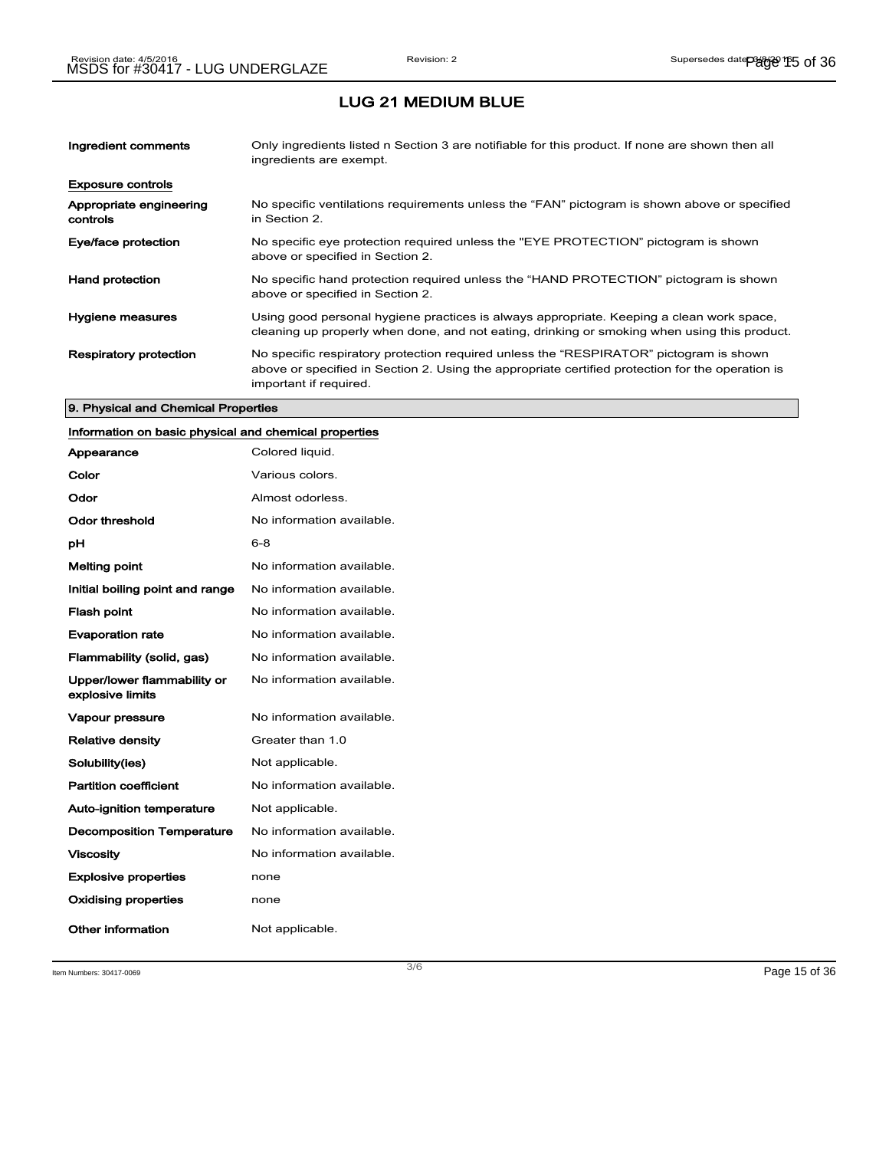| Ingredient comments                 | Only ingredients listed n Section 3 are notifiable for this product. If none are shown then all<br>ingredients are exempt.                                                                                           |
|-------------------------------------|----------------------------------------------------------------------------------------------------------------------------------------------------------------------------------------------------------------------|
| <b>Exposure controls</b>            |                                                                                                                                                                                                                      |
| Appropriate engineering<br>controls | No specific ventilations requirements unless the "FAN" pictogram is shown above or specified<br>in Section 2.                                                                                                        |
| Eye/face protection                 | No specific eye protection required unless the "EYE PROTECTION" pictogram is shown<br>above or specified in Section 2.                                                                                               |
| <b>Hand protection</b>              | No specific hand protection required unless the "HAND PROTECTION" pictogram is shown<br>above or specified in Section 2.                                                                                             |
| Hygiene measures                    | Using good personal hygiene practices is always appropriate. Keeping a clean work space,<br>cleaning up properly when done, and not eating, drinking or smoking when using this product.                             |
| <b>Respiratory protection</b>       | No specific respiratory protection required unless the "RESPIRATOR" pictogram is shown<br>above or specified in Section 2. Using the appropriate certified protection for the operation is<br>important if required. |

#### 9. Physical and Chemical Properties

## Information on basic physical and chemical properties

| Appearance                                      | Colored liquid.           |
|-------------------------------------------------|---------------------------|
| Color                                           | Various colors.           |
| Odor                                            | Almost odorless.          |
| Odor threshold                                  | No information available. |
| рH                                              | $6 - 8$                   |
| <b>Melting point</b>                            | No information available. |
| Initial boiling point and range                 | No information available. |
| <b>Flash point</b>                              | No information available. |
| <b>Evaporation rate</b>                         | No information available. |
| Flammability (solid, gas)                       | No information available. |
| Upper/lower flammability or<br>explosive limits | No information available. |
| <b>Vapour pressure</b>                          | No information available. |
| <b>Relative density</b>                         | Greater than 1.0          |
| Solubility(ies)                                 | Not applicable.           |
| <b>Partition coefficient</b>                    | No information available. |
| <b>Auto-ignition temperature</b>                | Not applicable.           |
| <b>Decomposition Temperature</b>                | No information available. |
| <b>Viscosity</b>                                | No information available. |
| <b>Explosive properties</b>                     | none                      |
| <b>Oxidising properties</b>                     | none                      |
| Other information                               | Not applicable.           |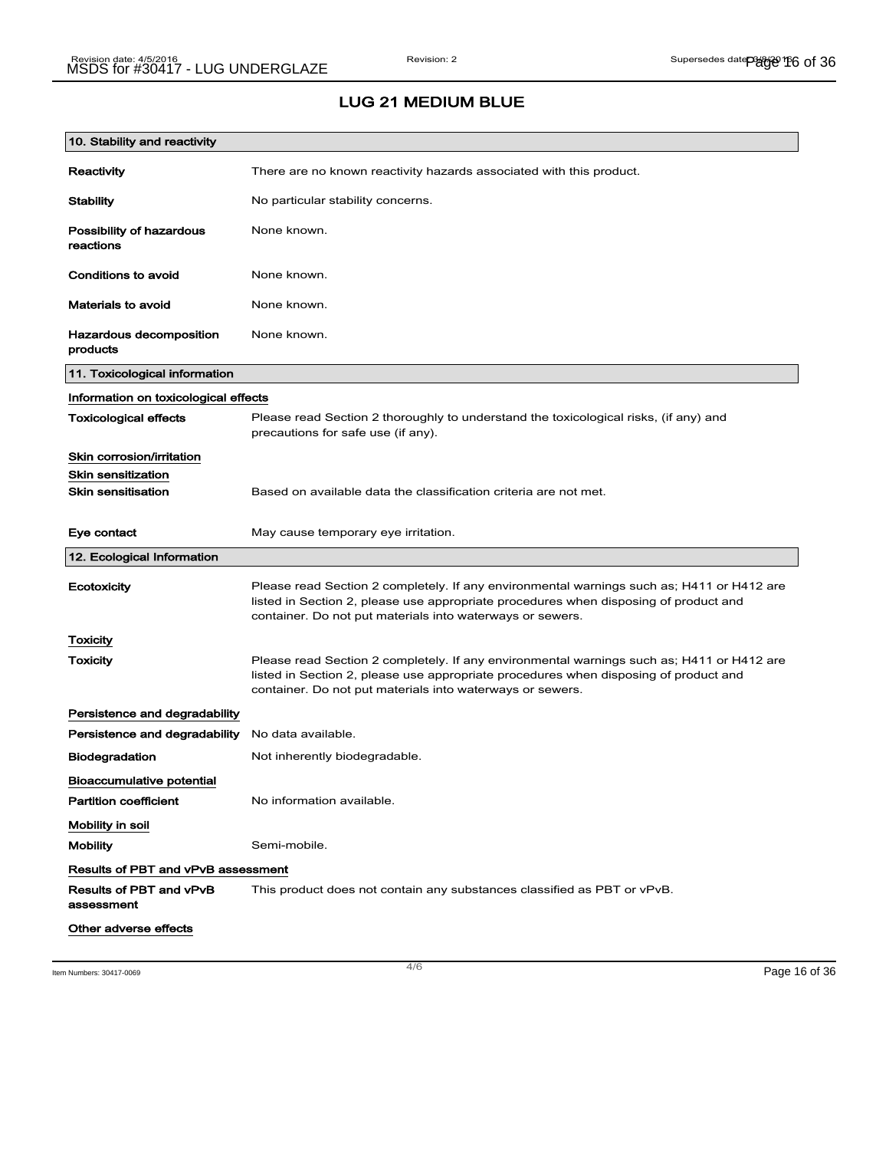| 10. Stability and reactivity              |                                                                                                                                                                                                                                                |
|-------------------------------------------|------------------------------------------------------------------------------------------------------------------------------------------------------------------------------------------------------------------------------------------------|
| Reactivity                                | There are no known reactivity hazards associated with this product.                                                                                                                                                                            |
| Stability                                 | No particular stability concerns.                                                                                                                                                                                                              |
| Possibility of hazardous<br>reactions     | None known.                                                                                                                                                                                                                                    |
| Conditions to avoid                       | None known.                                                                                                                                                                                                                                    |
| Materials to avoid                        | None known.                                                                                                                                                                                                                                    |
| Hazardous decomposition<br>products       | None known.                                                                                                                                                                                                                                    |
| 11. Toxicological information             |                                                                                                                                                                                                                                                |
| Information on toxicological effects      |                                                                                                                                                                                                                                                |
| <b>Toxicological effects</b>              | Please read Section 2 thoroughly to understand the toxicological risks, (if any) and<br>precautions for safe use (if any).                                                                                                                     |
| Skin corrosion/irritation                 |                                                                                                                                                                                                                                                |
| <b>Skin sensitization</b>                 |                                                                                                                                                                                                                                                |
| <b>Skin sensitisation</b>                 | Based on available data the classification criteria are not met.                                                                                                                                                                               |
| Eye contact                               | May cause temporary eye irritation.                                                                                                                                                                                                            |
|                                           |                                                                                                                                                                                                                                                |
| 12. Ecological Information                |                                                                                                                                                                                                                                                |
| Ecotoxicity                               | Please read Section 2 completely. If any environmental warnings such as; H411 or H412 are<br>listed in Section 2, please use appropriate procedures when disposing of product and<br>container. Do not put materials into waterways or sewers. |
| Toxicity                                  |                                                                                                                                                                                                                                                |
| Toxicity                                  | Please read Section 2 completely. If any environmental warnings such as; H411 or H412 are<br>listed in Section 2, please use appropriate procedures when disposing of product and<br>container. Do not put materials into waterways or sewers. |
| Persistence and degradability             |                                                                                                                                                                                                                                                |
| Persistence and degradability             | No data available.                                                                                                                                                                                                                             |
| <b>Biodegradation</b>                     | Not inherently biodegradable.                                                                                                                                                                                                                  |
| <b>Bioaccumulative potential</b>          |                                                                                                                                                                                                                                                |
| <b>Partition coefficient</b>              | No information available.                                                                                                                                                                                                                      |
| Mobility in soil                          |                                                                                                                                                                                                                                                |
| <b>Mobility</b>                           | Semi-mobile.                                                                                                                                                                                                                                   |
| <b>Results of PBT and vPvB assessment</b> |                                                                                                                                                                                                                                                |
| Results of PBT and vPvB<br>assessment     | This product does not contain any substances classified as PBT or vPvB.                                                                                                                                                                        |

Item Numbers: 30417-0069 Page 16 of 36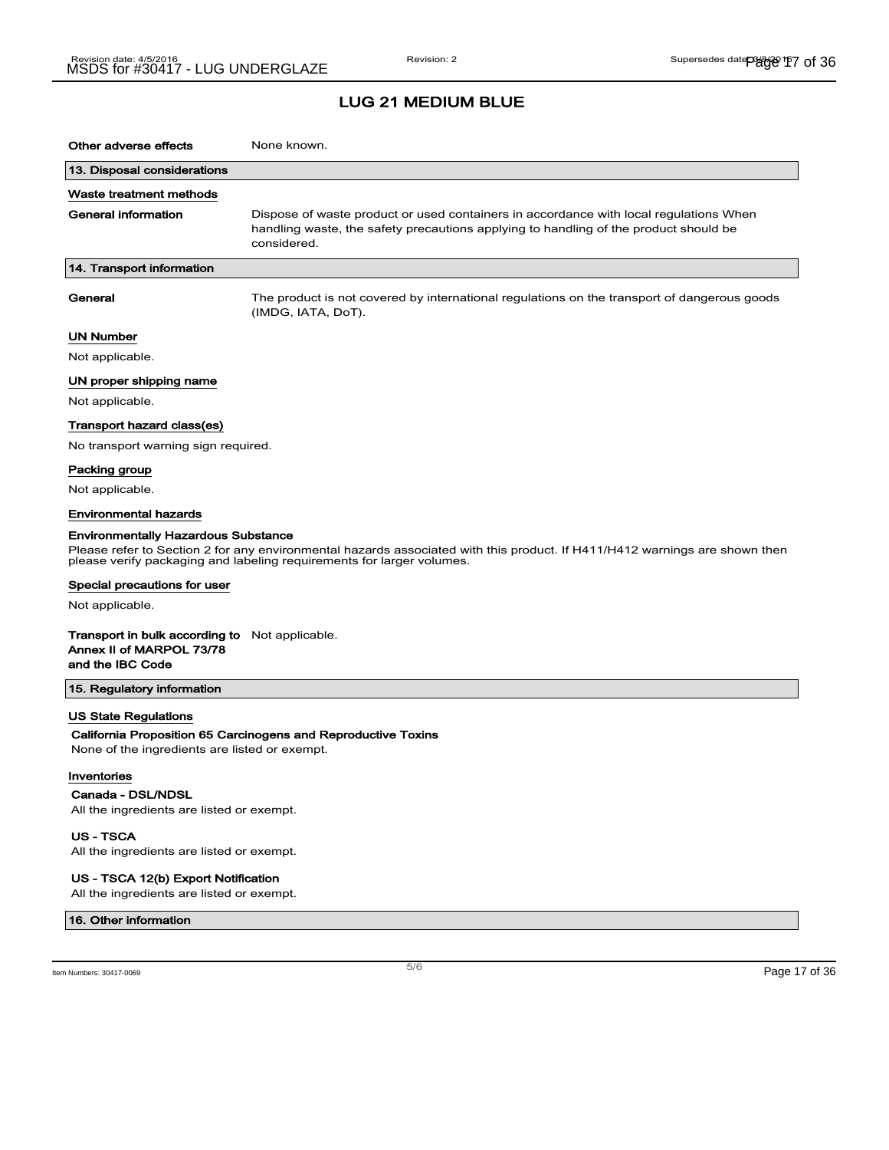| Other adverse effects                                                                                 | None known.                                                                                                                                                                                         |
|-------------------------------------------------------------------------------------------------------|-----------------------------------------------------------------------------------------------------------------------------------------------------------------------------------------------------|
|                                                                                                       |                                                                                                                                                                                                     |
| 13. Disposal considerations                                                                           |                                                                                                                                                                                                     |
| Waste treatment methods                                                                               |                                                                                                                                                                                                     |
| <b>General information</b>                                                                            | Dispose of waste product or used containers in accordance with local regulations When<br>handling waste, the safety precautions applying to handling of the product should be<br>considered.        |
| 14. Transport information                                                                             |                                                                                                                                                                                                     |
| General                                                                                               | The product is not covered by international regulations on the transport of dangerous goods<br>(IMDG, IATA, DoT).                                                                                   |
| <b>UN Number</b>                                                                                      |                                                                                                                                                                                                     |
| Not applicable.                                                                                       |                                                                                                                                                                                                     |
| UN proper shipping name                                                                               |                                                                                                                                                                                                     |
| Not applicable.                                                                                       |                                                                                                                                                                                                     |
| Transport hazard class(es)                                                                            |                                                                                                                                                                                                     |
| No transport warning sign required.                                                                   |                                                                                                                                                                                                     |
| Packing group                                                                                         |                                                                                                                                                                                                     |
| Not applicable.                                                                                       |                                                                                                                                                                                                     |
| <b>Environmental hazards</b>                                                                          |                                                                                                                                                                                                     |
| <b>Environmentally Hazardous Substance</b>                                                            |                                                                                                                                                                                                     |
|                                                                                                       | Please refer to Section 2 for any environmental hazards associated with this product. If H411/H412 warnings are shown then<br>please verify packaging and labeling requirements for larger volumes. |
| Special precautions for user                                                                          |                                                                                                                                                                                                     |
| Not applicable.                                                                                       |                                                                                                                                                                                                     |
| <b>Transport in bulk according to</b> Not applicable.<br>Annex II of MARPOL 73/78<br>and the IBC Code |                                                                                                                                                                                                     |
| 15. Regulatory information                                                                            |                                                                                                                                                                                                     |
| <b>US State Regulations</b>                                                                           |                                                                                                                                                                                                     |
|                                                                                                       | California Proposition 65 Carcinogens and Reproductive Toxins                                                                                                                                       |
| None of the ingredients are listed or exempt.                                                         |                                                                                                                                                                                                     |
| Inventories                                                                                           |                                                                                                                                                                                                     |
| Canada - DSL/NDSL                                                                                     |                                                                                                                                                                                                     |
| All the ingredients are listed or exempt.                                                             |                                                                                                                                                                                                     |
| <b>US-TSCA</b><br>All the ingredients are listed or exempt.                                           |                                                                                                                                                                                                     |

### US - TSCA 12(b) Export Notification

All the ingredients are listed or exempt.

#### 16. Other information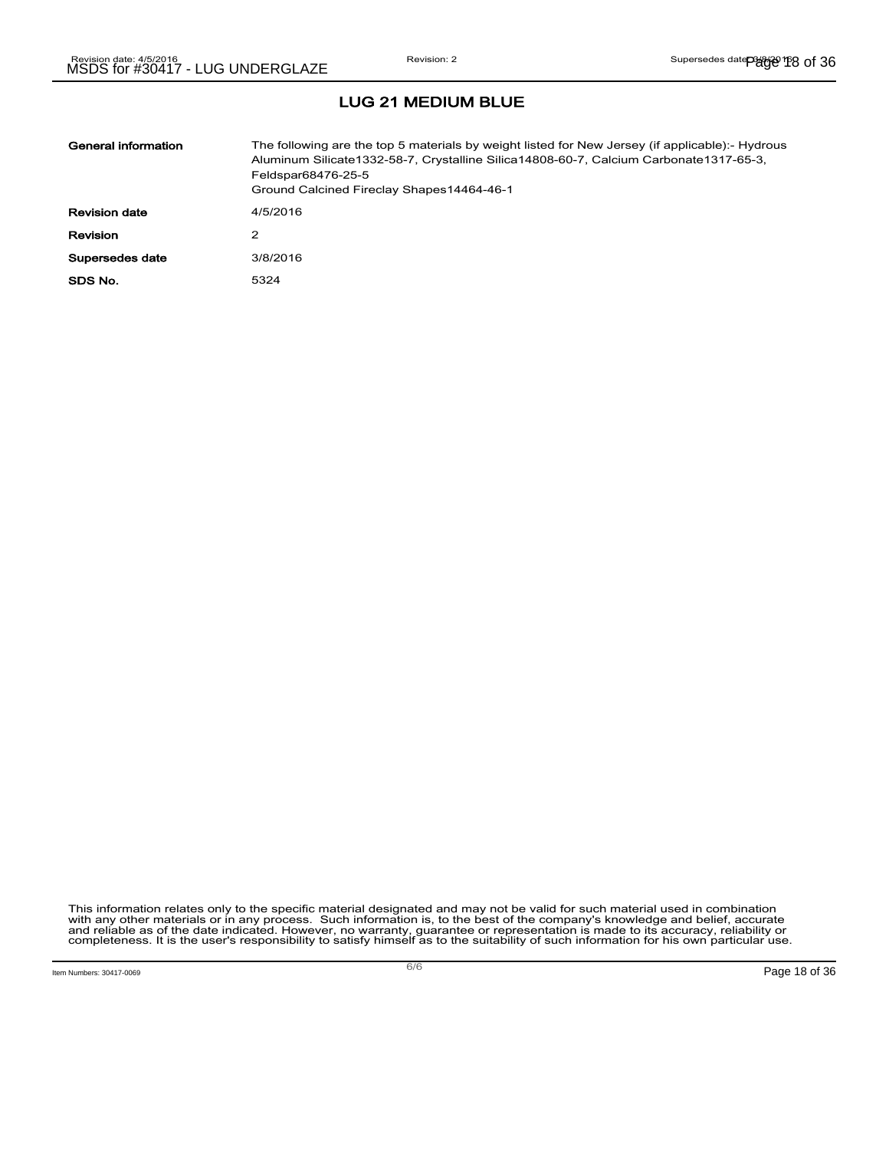| General information  | The following are the top 5 materials by weight listed for New Jersey (if applicable):- Hydrous<br>Aluminum Silicate1332-58-7, Crystalline Silica14808-60-7, Calcium Carbonate1317-65-3,<br>Feldspar68476-25-5<br>Ground Calcined Fireclay Shapes14464-46-1 |
|----------------------|-------------------------------------------------------------------------------------------------------------------------------------------------------------------------------------------------------------------------------------------------------------|
| <b>Revision date</b> | 4/5/2016                                                                                                                                                                                                                                                    |
| <b>Revision</b>      | 2                                                                                                                                                                                                                                                           |
| Supersedes date      | 3/8/2016                                                                                                                                                                                                                                                    |
| SDS No.              | 5324                                                                                                                                                                                                                                                        |

This information relates only to the specific material designated and may not be valid for such material used in combination<br>with any other materials or in any process. Such information is, to the best of the company's kn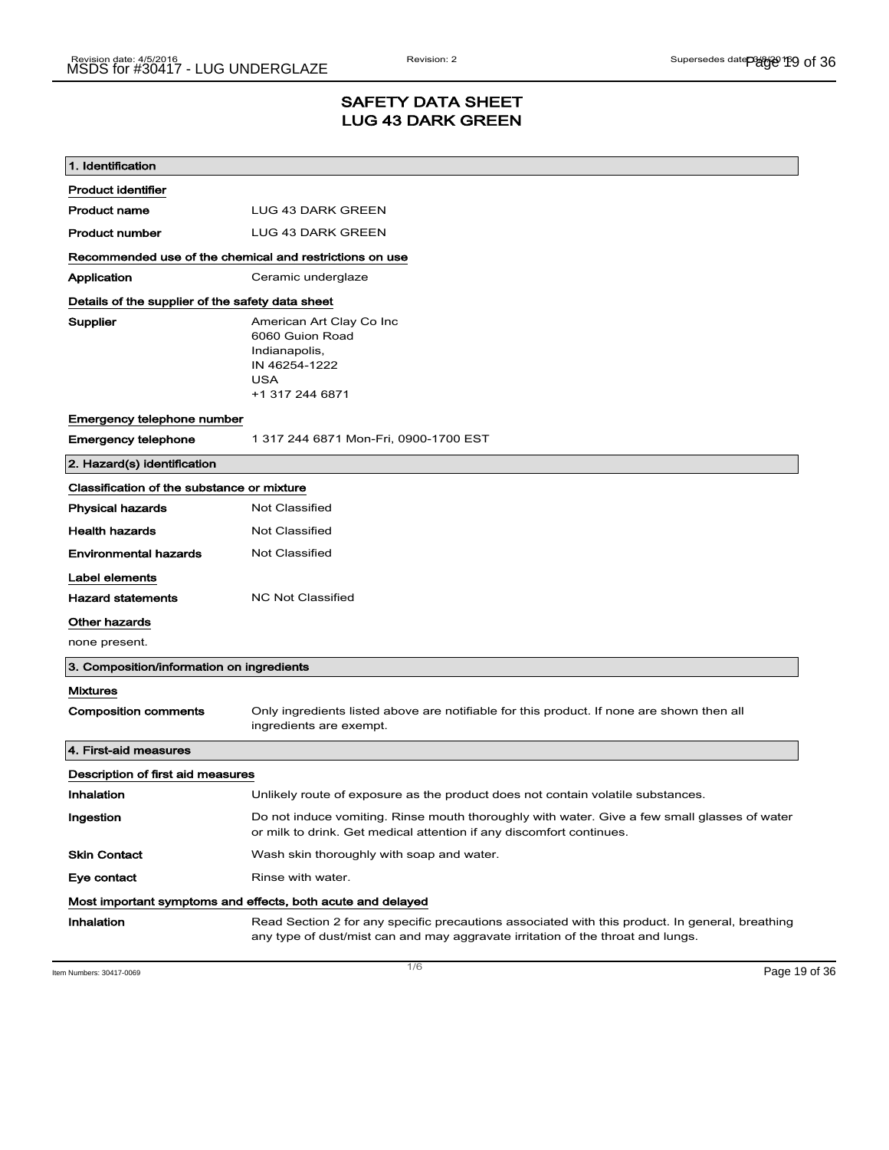### SAFETY DATA SHEET LUG 43 DARK GREEN

| 1. Identification                                       |                                                                                                                                                                                    |
|---------------------------------------------------------|------------------------------------------------------------------------------------------------------------------------------------------------------------------------------------|
| <b>Product identifier</b>                               |                                                                                                                                                                                    |
| <b>Product name</b>                                     | LUG 43 DARK GREEN                                                                                                                                                                  |
| <b>Product number</b>                                   | LUG 43 DARK GREEN                                                                                                                                                                  |
| Recommended use of the chemical and restrictions on use |                                                                                                                                                                                    |
| Application                                             | Ceramic underglaze                                                                                                                                                                 |
| Details of the supplier of the safety data sheet        |                                                                                                                                                                                    |
| Supplier                                                | American Art Clay Co Inc<br>6060 Guion Road<br>Indianapolis,<br>IN 46254-1222<br><b>USA</b><br>+1 317 244 6871                                                                     |
| Emergency telephone number                              |                                                                                                                                                                                    |
| <b>Emergency telephone</b>                              | 1 317 244 6871 Mon-Fri, 0900-1700 EST                                                                                                                                              |
| 2. Hazard(s) identification                             |                                                                                                                                                                                    |
| Classification of the substance or mixture              |                                                                                                                                                                                    |
| <b>Physical hazards</b>                                 | <b>Not Classified</b>                                                                                                                                                              |
| <b>Health hazards</b>                                   | <b>Not Classified</b>                                                                                                                                                              |
| <b>Environmental hazards</b>                            | Not Classified                                                                                                                                                                     |
| Label elements                                          |                                                                                                                                                                                    |
| <b>Hazard statements</b>                                | <b>NC Not Classified</b>                                                                                                                                                           |
| Other hazards                                           |                                                                                                                                                                                    |
| none present.                                           |                                                                                                                                                                                    |
| 3. Composition/information on ingredients               |                                                                                                                                                                                    |
| <b>Mixtures</b>                                         |                                                                                                                                                                                    |
| <b>Composition comments</b>                             | Only ingredients listed above are notifiable for this product. If none are shown then all<br>ingredients are exempt.                                                               |
| 4. First-aid measures                                   |                                                                                                                                                                                    |
| Description of first aid measures                       |                                                                                                                                                                                    |
| Inhalation                                              | Unlikely route of exposure as the product does not contain volatile substances.                                                                                                    |
| Ingestion                                               | Do not induce vomiting. Rinse mouth thoroughly with water. Give a few small glasses of water<br>or milk to drink. Get medical attention if any discomfort continues.               |
| <b>Skin Contact</b>                                     | Wash skin thoroughly with soap and water.                                                                                                                                          |
| Eye contact                                             | Rinse with water.                                                                                                                                                                  |
|                                                         | Most important symptoms and effects, both acute and delayed                                                                                                                        |
| Inhalation                                              | Read Section 2 for any specific precautions associated with this product. In general, breathing<br>any type of dust/mist can and may aggravate irritation of the throat and lungs. |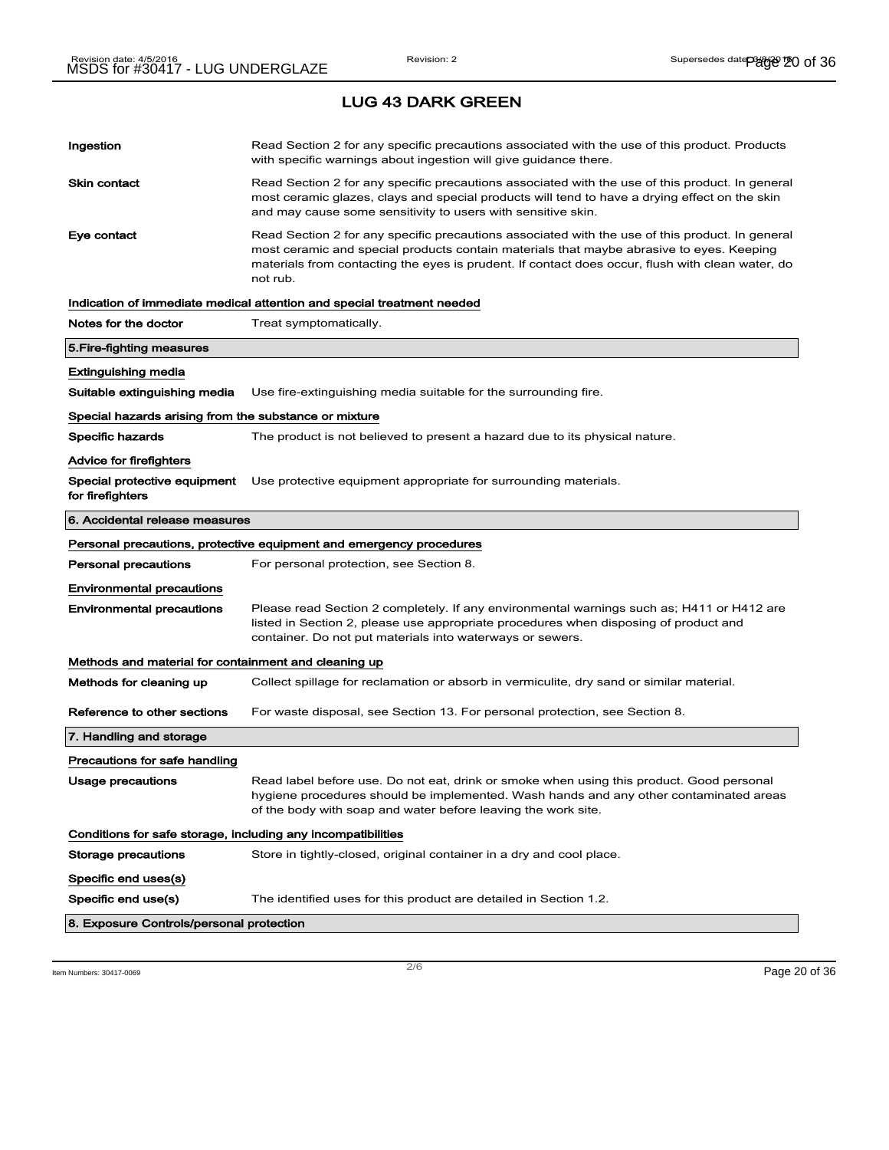LUG 43 DARK GREEN

| Ingestion                                             | Read Section 2 for any specific precautions associated with the use of this product. Products<br>with specific warnings about ingestion will give guidance there.                                                                                                                                           |  |
|-------------------------------------------------------|-------------------------------------------------------------------------------------------------------------------------------------------------------------------------------------------------------------------------------------------------------------------------------------------------------------|--|
| Skin contact                                          | Read Section 2 for any specific precautions associated with the use of this product. In general<br>most ceramic glazes, clays and special products will tend to have a drying effect on the skin<br>and may cause some sensitivity to users with sensitive skin.                                            |  |
| Eye contact                                           | Read Section 2 for any specific precautions associated with the use of this product. In general<br>most ceramic and special products contain materials that maybe abrasive to eyes. Keeping<br>materials from contacting the eyes is prudent. If contact does occur, flush with clean water, do<br>not rub. |  |
|                                                       | Indication of immediate medical attention and special treatment needed                                                                                                                                                                                                                                      |  |
| Notes for the doctor                                  | Treat symptomatically.                                                                                                                                                                                                                                                                                      |  |
| 5.Fire-fighting measures                              |                                                                                                                                                                                                                                                                                                             |  |
| Extinguishing media                                   |                                                                                                                                                                                                                                                                                                             |  |
| Suitable extinguishing media                          | Use fire-extinguishing media suitable for the surrounding fire.                                                                                                                                                                                                                                             |  |
| Special hazards arising from the substance or mixture |                                                                                                                                                                                                                                                                                                             |  |
| <b>Specific hazards</b>                               | The product is not believed to present a hazard due to its physical nature.                                                                                                                                                                                                                                 |  |
| Advice for firefighters                               |                                                                                                                                                                                                                                                                                                             |  |
| Special protective equipment<br>for firefighters      | Use protective equipment appropriate for surrounding materials.                                                                                                                                                                                                                                             |  |
| 6. Accidental release measures                        |                                                                                                                                                                                                                                                                                                             |  |
|                                                       | Personal precautions, protective equipment and emergency procedures                                                                                                                                                                                                                                         |  |
| Personal precautions                                  | For personal protection, see Section 8.                                                                                                                                                                                                                                                                     |  |
| <b>Environmental precautions</b>                      |                                                                                                                                                                                                                                                                                                             |  |
| <b>Environmental precautions</b>                      | Please read Section 2 completely. If any environmental warnings such as; H411 or H412 are<br>listed in Section 2, please use appropriate procedures when disposing of product and<br>container. Do not put materials into waterways or sewers.                                                              |  |
| Methods and material for containment and cleaning up  |                                                                                                                                                                                                                                                                                                             |  |
| Methods for cleaning up                               | Collect spillage for reclamation or absorb in vermiculite, dry sand or similar material.                                                                                                                                                                                                                    |  |
| Reference to other sections                           | For waste disposal, see Section 13. For personal protection, see Section 8.                                                                                                                                                                                                                                 |  |
| 7. Handling and storage                               |                                                                                                                                                                                                                                                                                                             |  |
| Precautions for safe handling                         |                                                                                                                                                                                                                                                                                                             |  |
| Usage precautions                                     | Read label before use. Do not eat, drink or smoke when using this product. Good personal<br>hygiene procedures should be implemented. Wash hands and any other contaminated areas<br>of the body with soap and water before leaving the work site.                                                          |  |
|                                                       | Conditions for safe storage, including any incompatibilities                                                                                                                                                                                                                                                |  |
| Storage precautions                                   | Store in tightly-closed, original container in a dry and cool place.                                                                                                                                                                                                                                        |  |
| Specific end uses(s)                                  |                                                                                                                                                                                                                                                                                                             |  |
| Specific end use(s)                                   | The identified uses for this product are detailed in Section 1.2.                                                                                                                                                                                                                                           |  |
| 8. Exposure Controls/personal protection              |                                                                                                                                                                                                                                                                                                             |  |

Item Numbers: 30417-0069 Page 20 of 36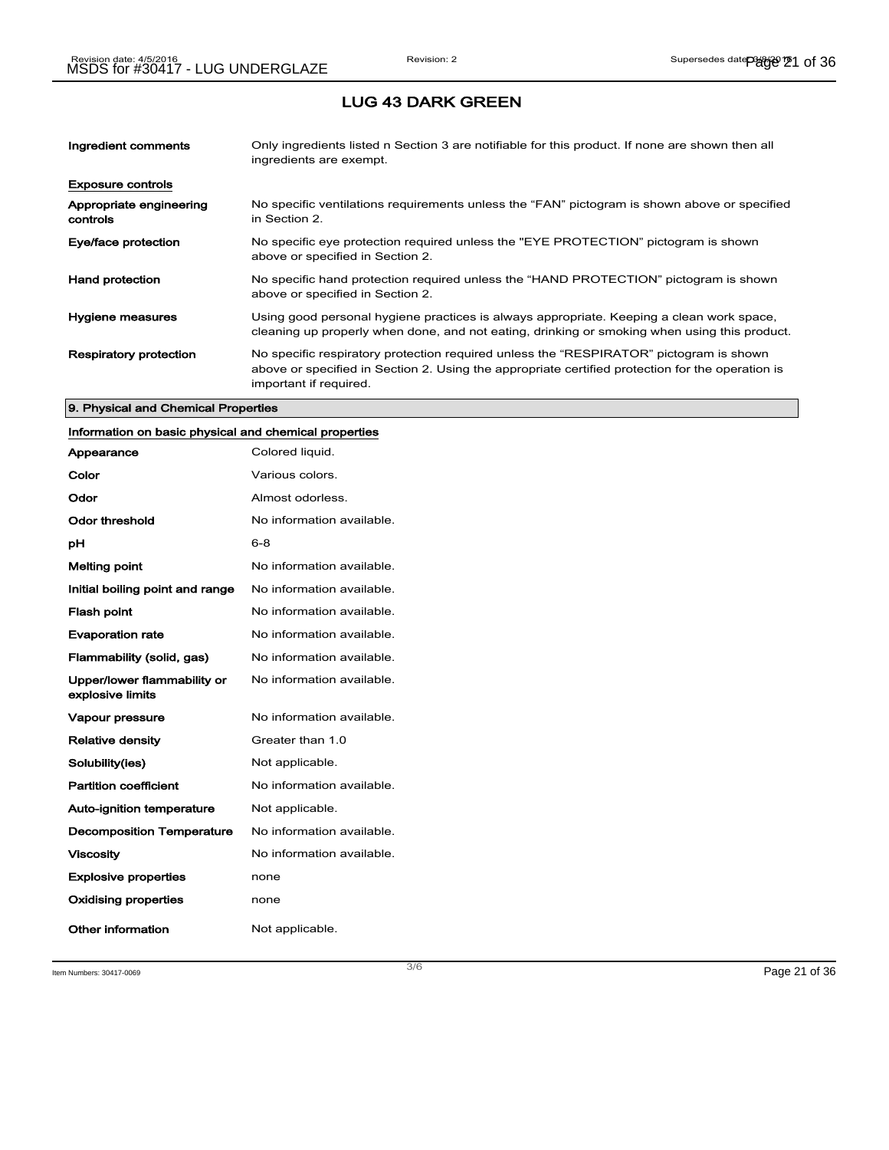### LUG 43 DARK GREEN

| Ingredient comments                 | Only ingredients listed n Section 3 are notifiable for this product. If none are shown then all<br>ingredients are exempt.                                                                                           |
|-------------------------------------|----------------------------------------------------------------------------------------------------------------------------------------------------------------------------------------------------------------------|
| <b>Exposure controls</b>            |                                                                                                                                                                                                                      |
| Appropriate engineering<br>controls | No specific ventilations requirements unless the "FAN" pictogram is shown above or specified<br>in Section 2.                                                                                                        |
| Eye/face protection                 | No specific eye protection required unless the "EYE PROTECTION" pictogram is shown<br>above or specified in Section 2.                                                                                               |
| <b>Hand protection</b>              | No specific hand protection required unless the "HAND PROTECTION" pictogram is shown<br>above or specified in Section 2.                                                                                             |
| Hygiene measures                    | Using good personal hygiene practices is always appropriate. Keeping a clean work space,<br>cleaning up properly when done, and not eating, drinking or smoking when using this product.                             |
| <b>Respiratory protection</b>       | No specific respiratory protection required unless the "RESPIRATOR" pictogram is shown<br>above or specified in Section 2. Using the appropriate certified protection for the operation is<br>important if required. |

#### 9. Physical and Chemical Properties

## Information on basic physical and chemical properties

| Appearance                                      | Colored liquid.           |
|-------------------------------------------------|---------------------------|
| Color                                           | Various colors.           |
| Odor                                            | Almost odorless.          |
| Odor threshold                                  | No information available. |
| рH                                              | $6 - 8$                   |
| <b>Melting point</b>                            | No information available. |
| Initial boiling point and range                 | No information available. |
| <b>Flash point</b>                              | No information available. |
| <b>Evaporation rate</b>                         | No information available. |
| Flammability (solid, gas)                       | No information available. |
| Upper/lower flammability or<br>explosive limits | No information available. |
| <b>Vapour pressure</b>                          | No information available. |
| <b>Relative density</b>                         | Greater than 1.0          |
| Solubility(ies)                                 | Not applicable.           |
| <b>Partition coefficient</b>                    | No information available. |
| <b>Auto-ignition temperature</b>                | Not applicable.           |
| <b>Decomposition Temperature</b>                | No information available. |
| <b>Viscosity</b>                                | No information available. |
| <b>Explosive properties</b>                     | none                      |
| <b>Oxidising properties</b>                     | none                      |
| Other information                               | Not applicable.           |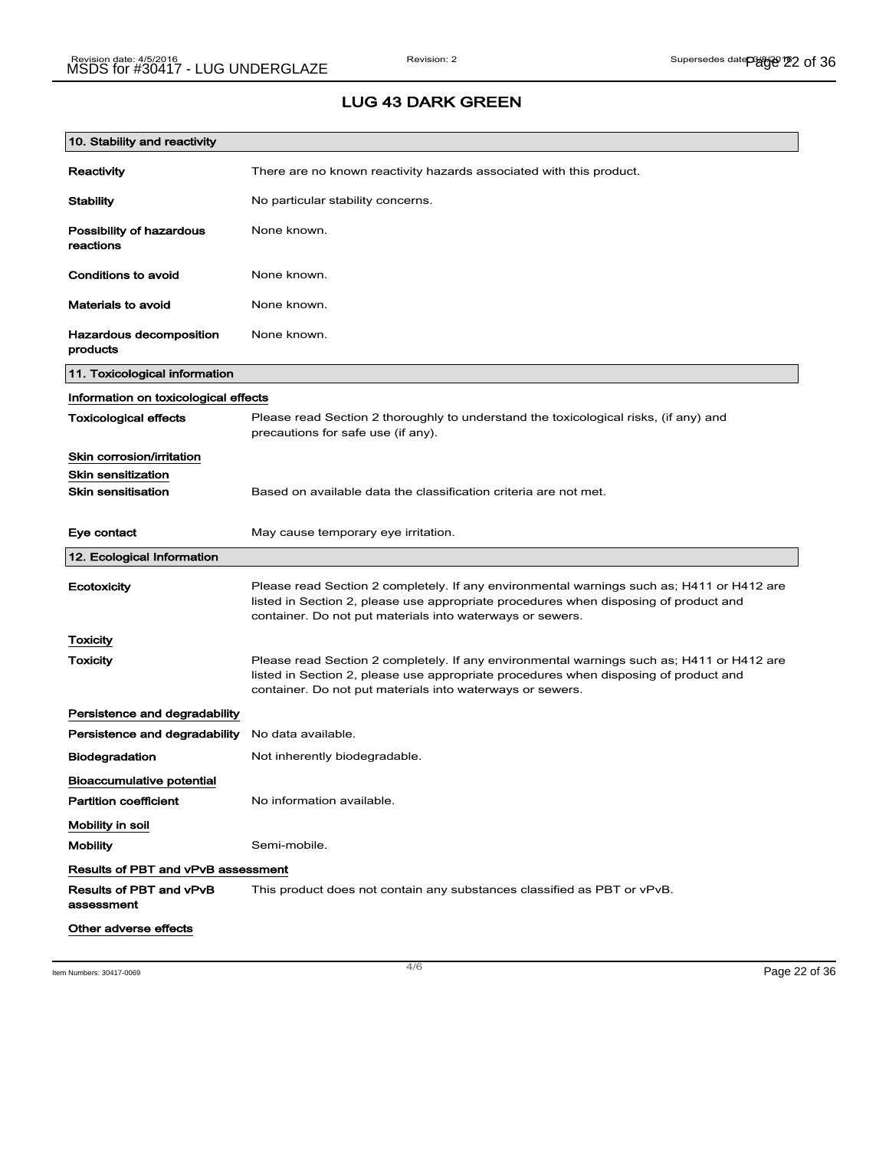### LUG 43 DARK GREEN

| 10. Stability and reactivity              |                                                                                                                                                                                                                                                |
|-------------------------------------------|------------------------------------------------------------------------------------------------------------------------------------------------------------------------------------------------------------------------------------------------|
| Reactivity                                | There are no known reactivity hazards associated with this product.                                                                                                                                                                            |
| <b>Stability</b>                          | No particular stability concerns.                                                                                                                                                                                                              |
| Possibility of hazardous<br>reactions     | None known.                                                                                                                                                                                                                                    |
| Conditions to avoid                       | None known.                                                                                                                                                                                                                                    |
| <b>Materials to avoid</b>                 | None known.                                                                                                                                                                                                                                    |
| Hazardous decomposition<br>products       | None known.                                                                                                                                                                                                                                    |
| 11. Toxicological information             |                                                                                                                                                                                                                                                |
| Information on toxicological effects      |                                                                                                                                                                                                                                                |
| <b>Toxicological effects</b>              | Please read Section 2 thoroughly to understand the toxicological risks, (if any) and<br>precautions for safe use (if any).                                                                                                                     |
| Skin corrosion/irritation                 |                                                                                                                                                                                                                                                |
| <b>Skin sensitization</b>                 |                                                                                                                                                                                                                                                |
| <b>Skin sensitisation</b>                 | Based on available data the classification criteria are not met.                                                                                                                                                                               |
| Eye contact                               | May cause temporary eye irritation.                                                                                                                                                                                                            |
| 12. Ecological Information                |                                                                                                                                                                                                                                                |
| Ecotoxicity                               | Please read Section 2 completely. If any environmental warnings such as; H411 or H412 are<br>listed in Section 2, please use appropriate procedures when disposing of product and<br>container. Do not put materials into waterways or sewers. |
| <b>Toxicity</b>                           |                                                                                                                                                                                                                                                |
| Toxicity                                  | Please read Section 2 completely. If any environmental warnings such as; H411 or H412 are<br>listed in Section 2, please use appropriate procedures when disposing of product and<br>container. Do not put materials into waterways or sewers. |
| Persistence and degradability             |                                                                                                                                                                                                                                                |
| Persistence and degradability             | No data available.                                                                                                                                                                                                                             |
| <b>Biodegradation</b>                     | Not inherently biodegradable.                                                                                                                                                                                                                  |
| <b>Bioaccumulative potential</b>          |                                                                                                                                                                                                                                                |
| <b>Partition coefficient</b>              | No information available.                                                                                                                                                                                                                      |
| Mobility in soil                          |                                                                                                                                                                                                                                                |
| <b>Mobility</b>                           | Semi-mobile.                                                                                                                                                                                                                                   |
| <b>Results of PBT and vPvB assessment</b> |                                                                                                                                                                                                                                                |
| Results of PBT and vPvB<br>assessment     | This product does not contain any substances classified as PBT or vPvB.                                                                                                                                                                        |
| Other adverse effects                     |                                                                                                                                                                                                                                                |

Item Numbers: 30417-0069 Page 22 of 36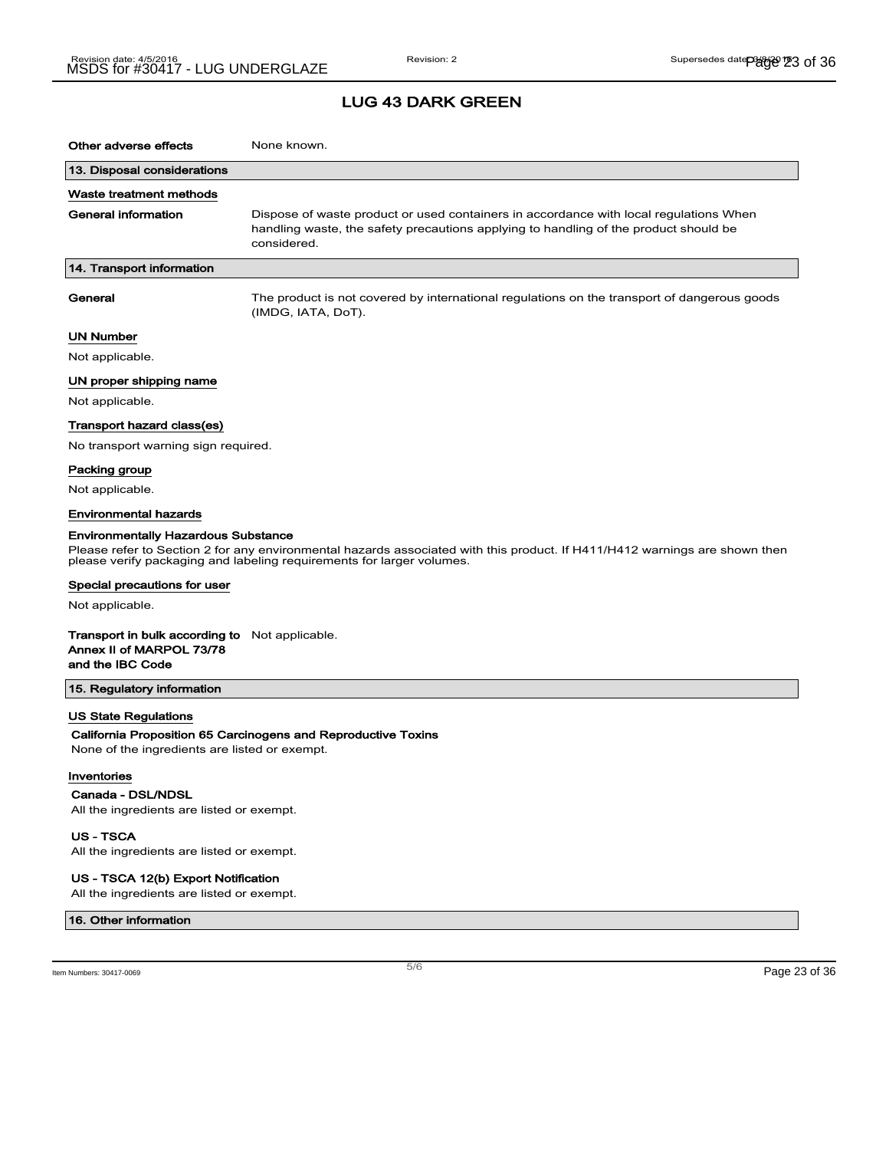## LUG 43 DARK GREEN

| Other adverse effects                                                                                            | None known.                                                                                                                                                                                         |  |
|------------------------------------------------------------------------------------------------------------------|-----------------------------------------------------------------------------------------------------------------------------------------------------------------------------------------------------|--|
| 13. Disposal considerations                                                                                      |                                                                                                                                                                                                     |  |
| Waste treatment methods                                                                                          |                                                                                                                                                                                                     |  |
| <b>General information</b>                                                                                       | Dispose of waste product or used containers in accordance with local regulations When<br>handling waste, the safety precautions applying to handling of the product should be<br>considered.        |  |
| 14. Transport information                                                                                        |                                                                                                                                                                                                     |  |
| General                                                                                                          | The product is not covered by international regulations on the transport of dangerous goods<br>(IMDG, IATA, DoT).                                                                                   |  |
| <b>UN Number</b>                                                                                                 |                                                                                                                                                                                                     |  |
| Not applicable.                                                                                                  |                                                                                                                                                                                                     |  |
| UN proper shipping name                                                                                          |                                                                                                                                                                                                     |  |
| Not applicable.                                                                                                  |                                                                                                                                                                                                     |  |
| Transport hazard class(es)                                                                                       |                                                                                                                                                                                                     |  |
| No transport warning sign required.                                                                              |                                                                                                                                                                                                     |  |
| Packing group                                                                                                    |                                                                                                                                                                                                     |  |
| Not applicable.                                                                                                  |                                                                                                                                                                                                     |  |
| <b>Environmental hazards</b>                                                                                     |                                                                                                                                                                                                     |  |
| <b>Environmentally Hazardous Substance</b>                                                                       | Please refer to Section 2 for any environmental hazards associated with this product. If H411/H412 warnings are shown then<br>please verify packaging and labeling requirements for larger volumes. |  |
| Special precautions for user                                                                                     |                                                                                                                                                                                                     |  |
| Not applicable.                                                                                                  |                                                                                                                                                                                                     |  |
| <b>Transport in bulk according to</b> Not applicable.<br>Annex II of MARPOL 73/78<br>and the IBC Code            |                                                                                                                                                                                                     |  |
| 15. Regulatory information                                                                                       |                                                                                                                                                                                                     |  |
| <b>US State Regulations</b><br>None of the ingredients are listed or exempt.<br>Inventories<br>Canada - DSL/NDSL | California Proposition 65 Carcinogens and Reproductive Toxins                                                                                                                                       |  |
| All the ingredients are listed or exempt.                                                                        |                                                                                                                                                                                                     |  |

US - TSCA

All the ingredients are listed or exempt.

#### US - TSCA 12(b) Export Notification

All the ingredients are listed or exempt.

#### 16. Other information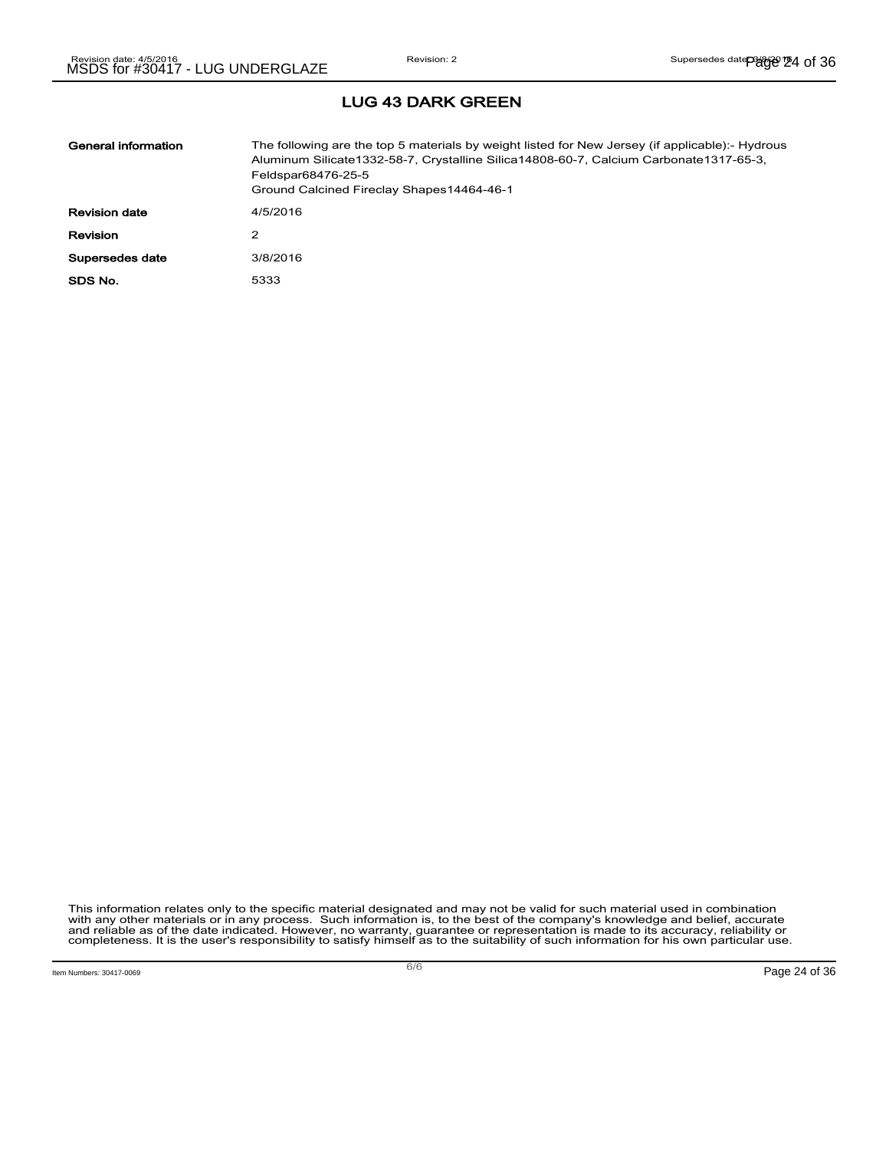| General information  | The following are the top 5 materials by weight listed for New Jersey (if applicable):- Hydrous<br>Aluminum Silicate 1332-58-7, Crystalline Silica 14808-60-7, Calcium Carbonate 1317-65-3,<br>Feldspar68476-25-5<br>Ground Calcined Fireclay Shapes14464-46-1 |
|----------------------|----------------------------------------------------------------------------------------------------------------------------------------------------------------------------------------------------------------------------------------------------------------|
| <b>Revision date</b> | 4/5/2016                                                                                                                                                                                                                                                       |
| <b>Revision</b>      | 2                                                                                                                                                                                                                                                              |
| Supersedes date      | 3/8/2016                                                                                                                                                                                                                                                       |
| SDS No.              | 5333                                                                                                                                                                                                                                                           |

# LUG 43 DARK GREEN

This information relates only to the specific material designated and may not be valid for such material used in combination<br>with any other materials or in any process. Such information is, to the best of the company's kn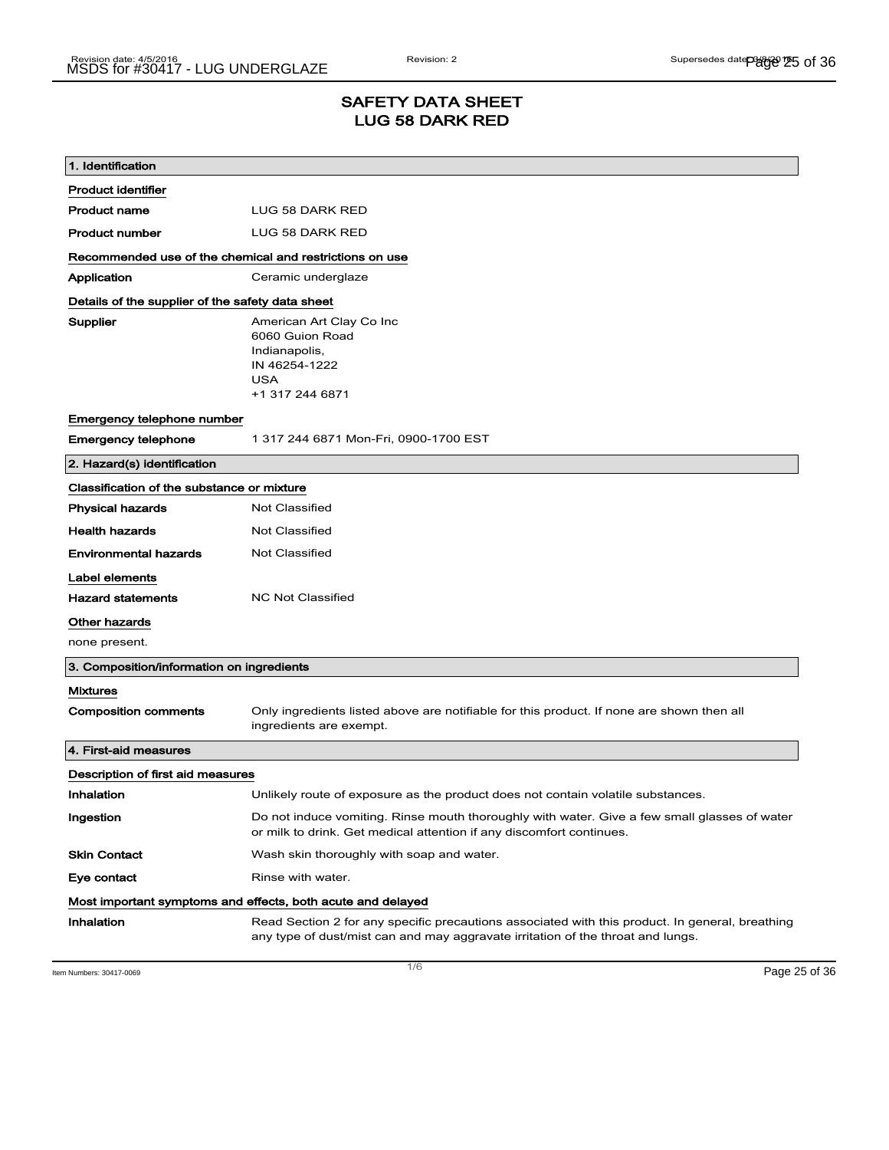## SAFETY DATA SHEET LUG 58 DARK RED

| 1. Identification                                       |                                                                                                                                                                                    |
|---------------------------------------------------------|------------------------------------------------------------------------------------------------------------------------------------------------------------------------------------|
| <b>Product identifier</b>                               |                                                                                                                                                                                    |
| <b>Product name</b>                                     | <b>LUG 58 DARK RED</b>                                                                                                                                                             |
| <b>Product number</b>                                   | LUG 58 DARK RED                                                                                                                                                                    |
| Recommended use of the chemical and restrictions on use |                                                                                                                                                                                    |
| Application                                             | Ceramic underglaze                                                                                                                                                                 |
| Details of the supplier of the safety data sheet        |                                                                                                                                                                                    |
| Supplier                                                | American Art Clay Co Inc<br>6060 Guion Road<br>Indianapolis,<br>IN 46254-1222<br><b>USA</b><br>+1 317 244 6871                                                                     |
| Emergency telephone number                              |                                                                                                                                                                                    |
| <b>Emergency telephone</b>                              | 1 317 244 6871 Mon-Fri, 0900-1700 EST                                                                                                                                              |
| 2. Hazard(s) identification                             |                                                                                                                                                                                    |
| Classification of the substance or mixture              |                                                                                                                                                                                    |
| <b>Physical hazards</b>                                 | <b>Not Classified</b>                                                                                                                                                              |
| <b>Health hazards</b>                                   | <b>Not Classified</b>                                                                                                                                                              |
| <b>Environmental hazards</b>                            | <b>Not Classified</b>                                                                                                                                                              |
| Label elements                                          |                                                                                                                                                                                    |
| <b>Hazard statements</b>                                | <b>NC Not Classified</b>                                                                                                                                                           |
| Other hazards                                           |                                                                                                                                                                                    |
| none present.                                           |                                                                                                                                                                                    |
| 3. Composition/information on ingredients               |                                                                                                                                                                                    |
| <b>Mixtures</b>                                         |                                                                                                                                                                                    |
| <b>Composition comments</b>                             | Only ingredients listed above are notifiable for this product. If none are shown then all<br>ingredients are exempt.                                                               |
| 4. First-aid measures                                   |                                                                                                                                                                                    |
| Description of first aid measures                       |                                                                                                                                                                                    |
| Inhalation                                              | Unlikely route of exposure as the product does not contain volatile substances.                                                                                                    |
| Ingestion                                               | Do not induce vomiting. Rinse mouth thoroughly with water. Give a few small glasses of water<br>or milk to drink. Get medical attention if any discomfort continues.               |
| <b>Skin Contact</b>                                     | Wash skin thoroughly with soap and water.                                                                                                                                          |
| Eye contact                                             | Rinse with water.                                                                                                                                                                  |
|                                                         | Most important symptoms and effects, both acute and delayed                                                                                                                        |
| Inhalation                                              | Read Section 2 for any specific precautions associated with this product. In general, breathing<br>any type of dust/mist can and may aggravate irritation of the throat and lungs. |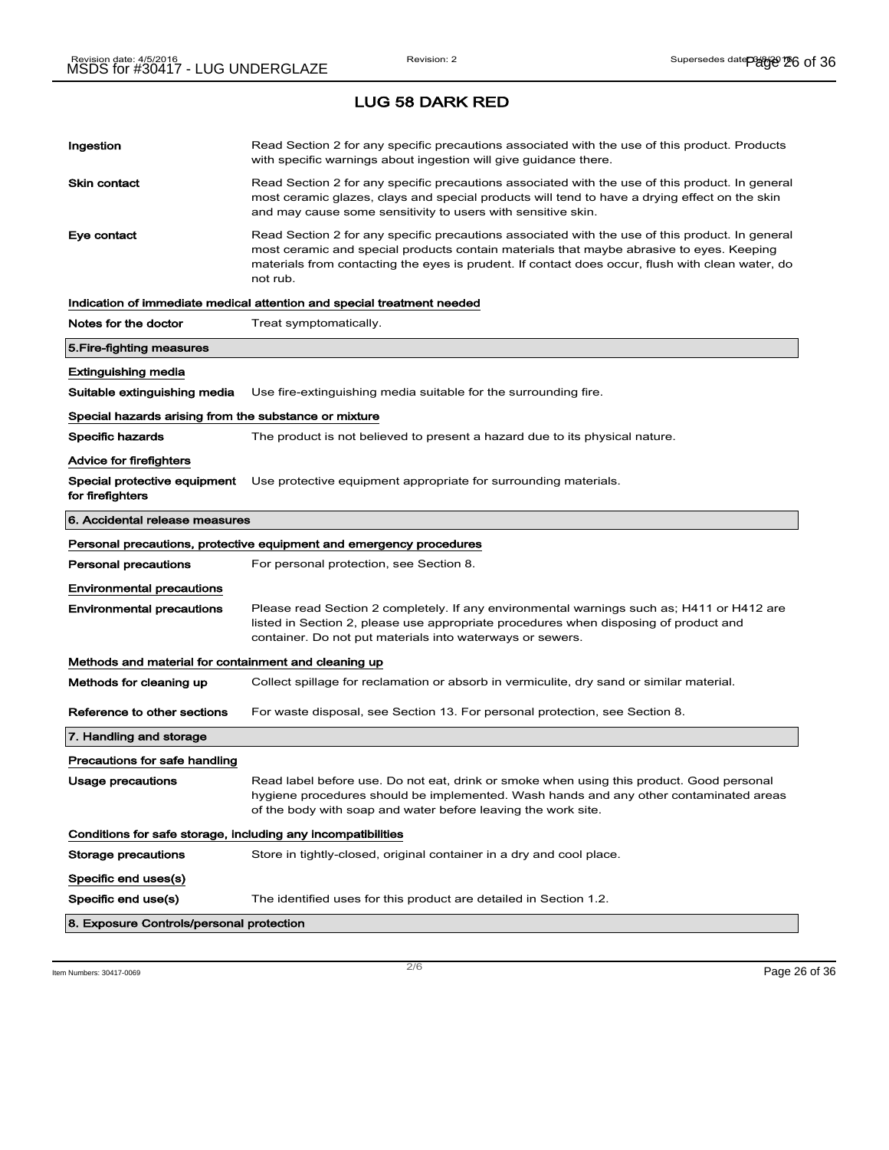# Ingestion **Read Section 2 for any specific precautions associated with the use of this product. Products** with specific warnings about ingestion will give guidance there. Skin contact **Read Section 2 for any specific precautions associated with the use of this product. In general** most ceramic glazes, clays and special products will tend to have a drying effect on the skin and may cause some sensitivity to users with sensitive skin. Eye contact **Read Section 2 for any specific precautions associated with the use of this product. In general** most ceramic and special products contain materials that maybe abrasive to eyes. Keeping materials from contacting the eyes is prudent. If contact does occur, flush with clean water, do not rub. Indication of immediate medical attention and special treatment needed Notes for the doctor Treat symptomatically. 5.Fire-fighting measures Extinguishing media Suitable extinguishing media Use fire-extinguishing media suitable for the surrounding fire. Special hazards arising from the substance or mixture Specific hazards The product is not believed to present a hazard due to its physical nature. Advice for firefighters Special protective equipment Use protective equipment appropriate for surrounding materials. for firefighters 6. Accidental release measures Personal precautions, protective equipment and emergency procedures Personal precautions For personal protection, see Section 8. Environmental precautions Environmental precautions Please read Section 2 completely. If any environmental warnings such as; H411 or H412 are listed in Section 2, please use appropriate procedures when disposing of product and container. Do not put materials into waterways or sewers. Methods and material for containment and cleaning up Methods for cleaning up Collect spillage for reclamation or absorb in vermiculite, dry sand or similar material. Reference to other sections For waste disposal, see Section 13. For personal protection, see Section 8. 7. Handling and storage Precautions for safe handling Usage precautions **Read label before use. Do not eat, drink or smoke when using this product. Good personal** hygiene procedures should be implemented. Wash hands and any other contaminated areas of the body with soap and water before leaving the work site. Conditions for safe storage, including any incompatibilities Storage precautions Store in tightly-closed, original container in a dry and cool place. Specific end uses(s) Specific end use(s) The identified uses for this product are detailed in Section 1.2. 8. Exposure Controls/personal protection

Item Numbers: 30417-0069 Page 26 of 36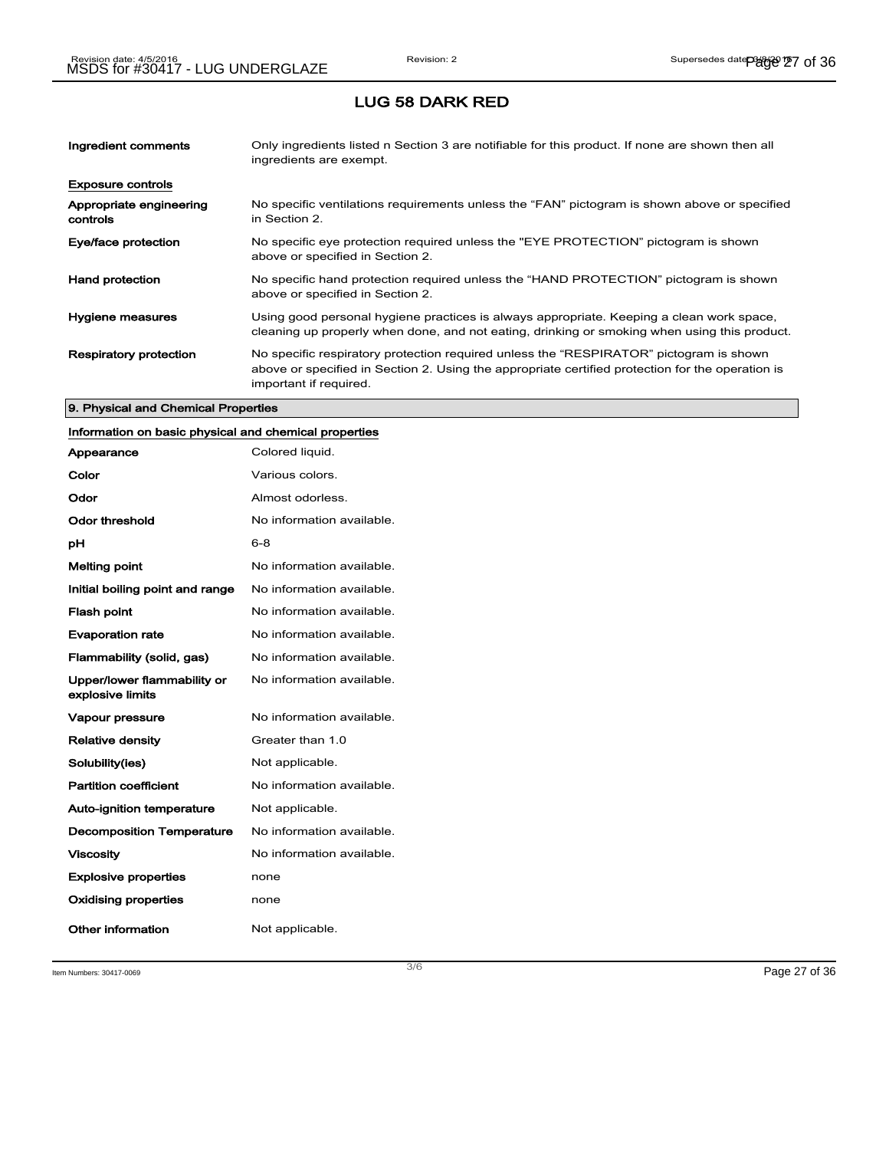| Ingredient comments                 | Only ingredients listed n Section 3 are notifiable for this product. If none are shown then all<br>ingredients are exempt.                                                                                           |
|-------------------------------------|----------------------------------------------------------------------------------------------------------------------------------------------------------------------------------------------------------------------|
| <b>Exposure controls</b>            |                                                                                                                                                                                                                      |
| Appropriate engineering<br>controls | No specific ventilations requirements unless the "FAN" pictogram is shown above or specified<br>in Section 2.                                                                                                        |
| Eye/face protection                 | No specific eye protection required unless the "EYE PROTECTION" pictogram is shown<br>above or specified in Section 2.                                                                                               |
| <b>Hand protection</b>              | No specific hand protection required unless the "HAND PROTECTION" pictogram is shown<br>above or specified in Section 2.                                                                                             |
| Hygiene measures                    | Using good personal hygiene practices is always appropriate. Keeping a clean work space,<br>cleaning up properly when done, and not eating, drinking or smoking when using this product.                             |
| <b>Respiratory protection</b>       | No specific respiratory protection required unless the "RESPIRATOR" pictogram is shown<br>above or specified in Section 2. Using the appropriate certified protection for the operation is<br>important if required. |

#### 9. Physical and Chemical Properties

## Information on basic physical and chemical properties

| Appearance                                      | Colored liquid.           |
|-------------------------------------------------|---------------------------|
| Color                                           | Various colors.           |
| Odor                                            | Almost odorless.          |
| Odor threshold                                  | No information available. |
| рH                                              | $6 - 8$                   |
| <b>Melting point</b>                            | No information available. |
| Initial boiling point and range                 | No information available. |
| <b>Flash point</b>                              | No information available. |
| <b>Evaporation rate</b>                         | No information available. |
| Flammability (solid, gas)                       | No information available. |
| Upper/lower flammability or<br>explosive limits | No information available. |
| Vapour pressure                                 | No information available. |
| <b>Relative density</b>                         | Greater than 1.0          |
| Solubility(ies)                                 | Not applicable.           |
| <b>Partition coefficient</b>                    | No information available. |
| <b>Auto-ignition temperature</b>                | Not applicable.           |
| <b>Decomposition Temperature</b>                | No information available. |
| <b>Viscosity</b>                                | No information available. |
| <b>Explosive properties</b>                     | none                      |
| <b>Oxidising properties</b>                     | none                      |
| Other information                               | Not applicable.           |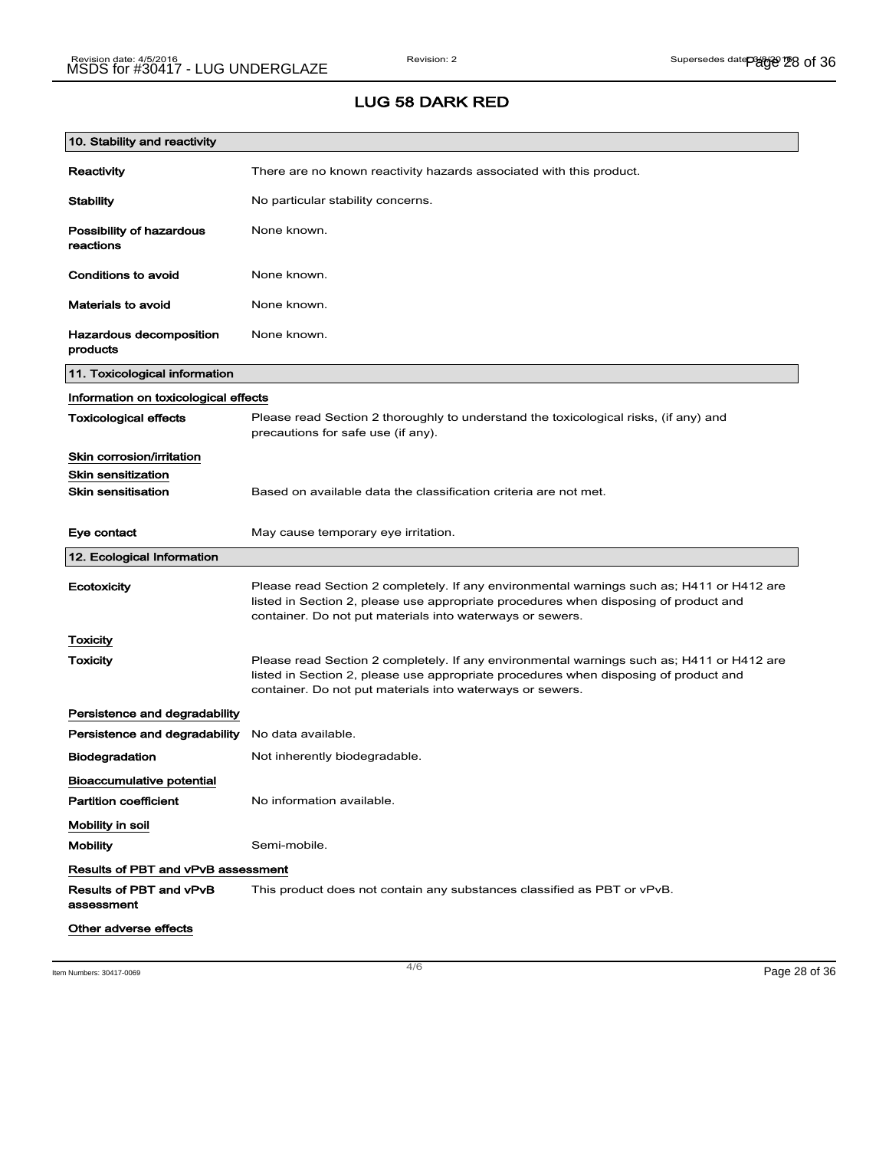| 10. Stability and reactivity              |                                                                                                                                                                                                                                                |
|-------------------------------------------|------------------------------------------------------------------------------------------------------------------------------------------------------------------------------------------------------------------------------------------------|
| Reactivity                                | There are no known reactivity hazards associated with this product.                                                                                                                                                                            |
| <b>Stability</b>                          | No particular stability concerns.                                                                                                                                                                                                              |
| Possibility of hazardous<br>reactions     | None known.                                                                                                                                                                                                                                    |
| Conditions to avoid                       | None known.                                                                                                                                                                                                                                    |
| <b>Materials to avoid</b>                 | None known.                                                                                                                                                                                                                                    |
| Hazardous decomposition<br>products       | None known.                                                                                                                                                                                                                                    |
| 11. Toxicological information             |                                                                                                                                                                                                                                                |
| Information on toxicological effects      |                                                                                                                                                                                                                                                |
| <b>Toxicological effects</b>              | Please read Section 2 thoroughly to understand the toxicological risks, (if any) and<br>precautions for safe use (if any).                                                                                                                     |
| Skin corrosion/irritation                 |                                                                                                                                                                                                                                                |
| <b>Skin sensitization</b>                 |                                                                                                                                                                                                                                                |
| <b>Skin sensitisation</b>                 | Based on available data the classification criteria are not met.                                                                                                                                                                               |
| Eye contact                               | May cause temporary eye irritation.                                                                                                                                                                                                            |
|                                           |                                                                                                                                                                                                                                                |
| 12. Ecological Information                |                                                                                                                                                                                                                                                |
| Ecotoxicity                               | Please read Section 2 completely. If any environmental warnings such as; H411 or H412 are<br>listed in Section 2, please use appropriate procedures when disposing of product and<br>container. Do not put materials into waterways or sewers. |
| Toxicity                                  |                                                                                                                                                                                                                                                |
| <b>Toxicity</b>                           | Please read Section 2 completely. If any environmental warnings such as; H411 or H412 are<br>listed in Section 2, please use appropriate procedures when disposing of product and<br>container. Do not put materials into waterways or sewers. |
| Persistence and degradability             |                                                                                                                                                                                                                                                |
| Persistence and degradability             | No data available.                                                                                                                                                                                                                             |
| <b>Biodegradation</b>                     | Not inherently biodegradable.                                                                                                                                                                                                                  |
| <b>Bioaccumulative potential</b>          |                                                                                                                                                                                                                                                |
| <b>Partition coefficient</b>              | No information available.                                                                                                                                                                                                                      |
| Mobility in soil                          |                                                                                                                                                                                                                                                |
| <b>Mobility</b>                           | Semi-mobile.                                                                                                                                                                                                                                   |
| <b>Results of PBT and vPvB assessment</b> |                                                                                                                                                                                                                                                |
| Results of PBT and vPvB<br>assessment     | This product does not contain any substances classified as PBT or vPvB.                                                                                                                                                                        |

Item Numbers: 30417-0069 Page 28 of 36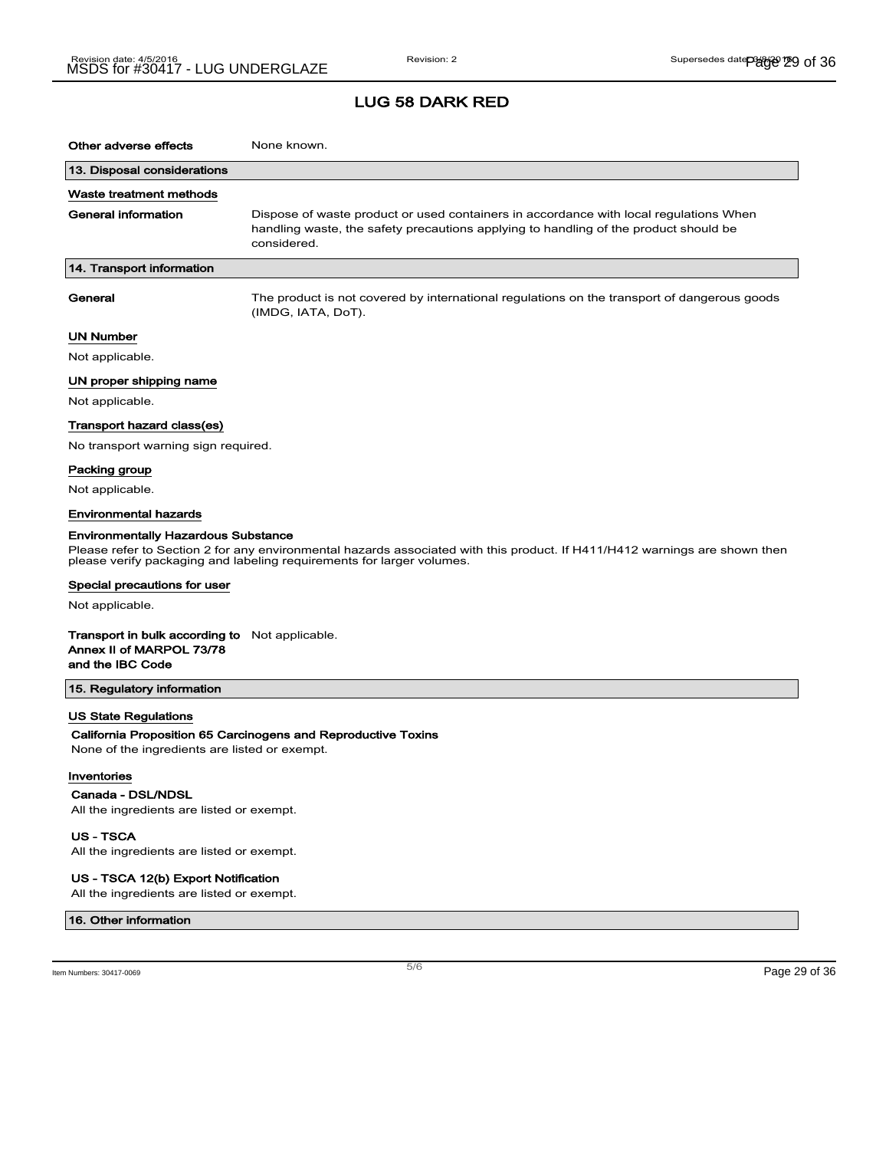### LUG 58 DARK RED

| Other adverse effects                                                                                                                                                                               | None known.                                                                                                                                                                                  |  |
|-----------------------------------------------------------------------------------------------------------------------------------------------------------------------------------------------------|----------------------------------------------------------------------------------------------------------------------------------------------------------------------------------------------|--|
| 13. Disposal considerations                                                                                                                                                                         |                                                                                                                                                                                              |  |
| Waste treatment methods                                                                                                                                                                             |                                                                                                                                                                                              |  |
| General information                                                                                                                                                                                 | Dispose of waste product or used containers in accordance with local regulations When<br>handling waste, the safety precautions applying to handling of the product should be<br>considered. |  |
| 14. Transport information                                                                                                                                                                           |                                                                                                                                                                                              |  |
| General                                                                                                                                                                                             | The product is not covered by international regulations on the transport of dangerous goods<br>(IMDG, IATA, DoT).                                                                            |  |
| UN Number                                                                                                                                                                                           |                                                                                                                                                                                              |  |
| Not applicable.                                                                                                                                                                                     |                                                                                                                                                                                              |  |
| UN proper shipping name                                                                                                                                                                             |                                                                                                                                                                                              |  |
| Not applicable.                                                                                                                                                                                     |                                                                                                                                                                                              |  |
| Transport hazard class(es)                                                                                                                                                                          |                                                                                                                                                                                              |  |
| No transport warning sign required.                                                                                                                                                                 |                                                                                                                                                                                              |  |
| Packing group                                                                                                                                                                                       |                                                                                                                                                                                              |  |
| Not applicable.                                                                                                                                                                                     |                                                                                                                                                                                              |  |
| Environmental hazards                                                                                                                                                                               |                                                                                                                                                                                              |  |
| <b>Environmentally Hazardous Substance</b>                                                                                                                                                          |                                                                                                                                                                                              |  |
| Please refer to Section 2 for any environmental hazards associated with this product. If H411/H412 warnings are shown then<br>please verify packaging and labeling requirements for larger volumes. |                                                                                                                                                                                              |  |
| Special precautions for user                                                                                                                                                                        |                                                                                                                                                                                              |  |
| Not applicable.                                                                                                                                                                                     |                                                                                                                                                                                              |  |
| <b>Transport in bulk according to</b> Not applicable.<br>Annex II of MARPOL 73/78<br>and the IBC Code                                                                                               |                                                                                                                                                                                              |  |
| 15. Regulatory information                                                                                                                                                                          |                                                                                                                                                                                              |  |
| <b>US State Regulations</b>                                                                                                                                                                         |                                                                                                                                                                                              |  |
|                                                                                                                                                                                                     | California Proposition 65 Carcinogens and Reproductive Toxins                                                                                                                                |  |
| None of the ingredients are listed or exempt.                                                                                                                                                       |                                                                                                                                                                                              |  |
| Inventories                                                                                                                                                                                         |                                                                                                                                                                                              |  |
| Canada - DSL/NDSL                                                                                                                                                                                   |                                                                                                                                                                                              |  |
| All the ingredients are listed or exempt.                                                                                                                                                           |                                                                                                                                                                                              |  |

US - TSCA

All the ingredients are listed or exempt.

#### US - TSCA 12(b) Export Notification

All the ingredients are listed or exempt.

#### 16. Other information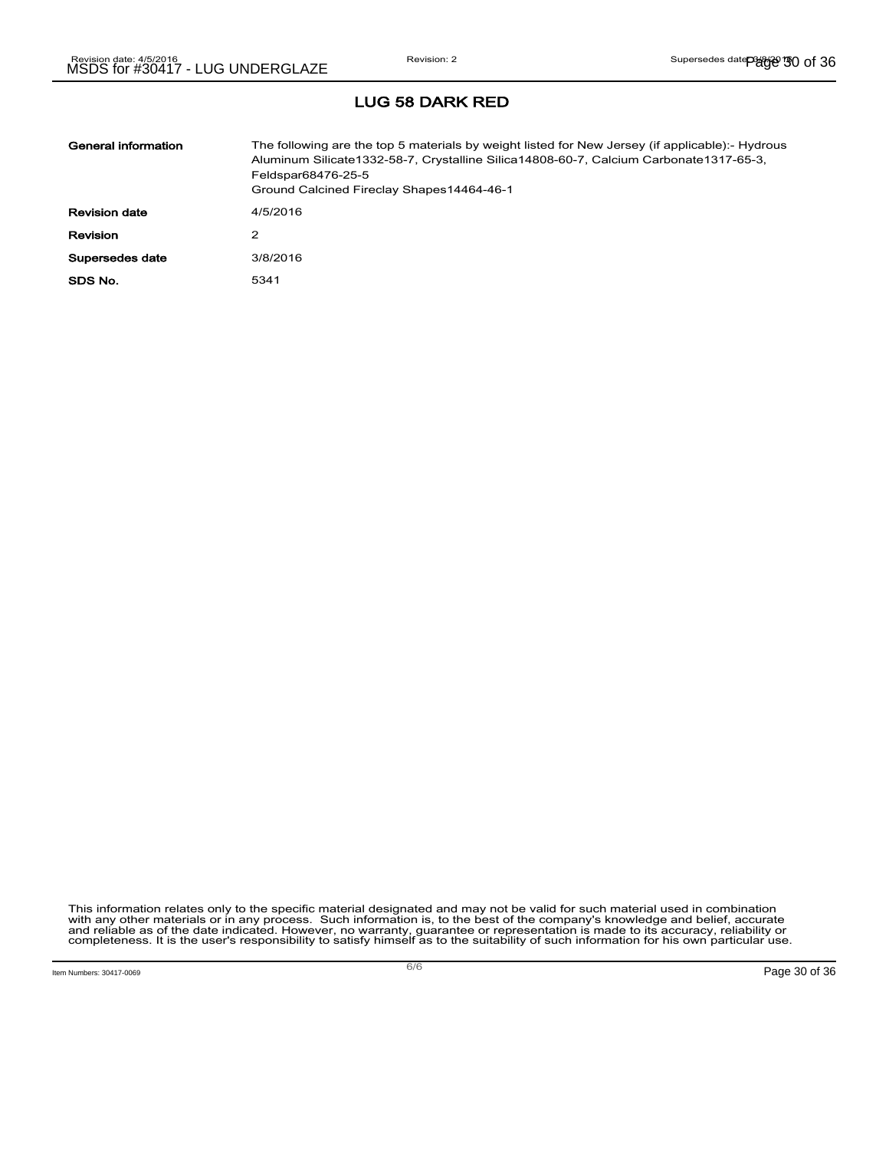| General information  | The following are the top 5 materials by weight listed for New Jersey (if applicable):- Hydrous<br>Aluminum Silicate1332-58-7, Crystalline Silica14808-60-7, Calcium Carbonate1317-65-3,<br>Feldspar68476-25-5<br>Ground Calcined Fireclay Shapes14464-46-1 |
|----------------------|-------------------------------------------------------------------------------------------------------------------------------------------------------------------------------------------------------------------------------------------------------------|
| <b>Revision date</b> | 4/5/2016                                                                                                                                                                                                                                                    |
| <b>Revision</b>      | 2                                                                                                                                                                                                                                                           |
| Supersedes date      | 3/8/2016                                                                                                                                                                                                                                                    |
| SDS No.              | 5341                                                                                                                                                                                                                                                        |

This information relates only to the specific material designated and may not be valid for such material used in combination<br>with any other materials or in any process. Such information is, to the best of the company's kn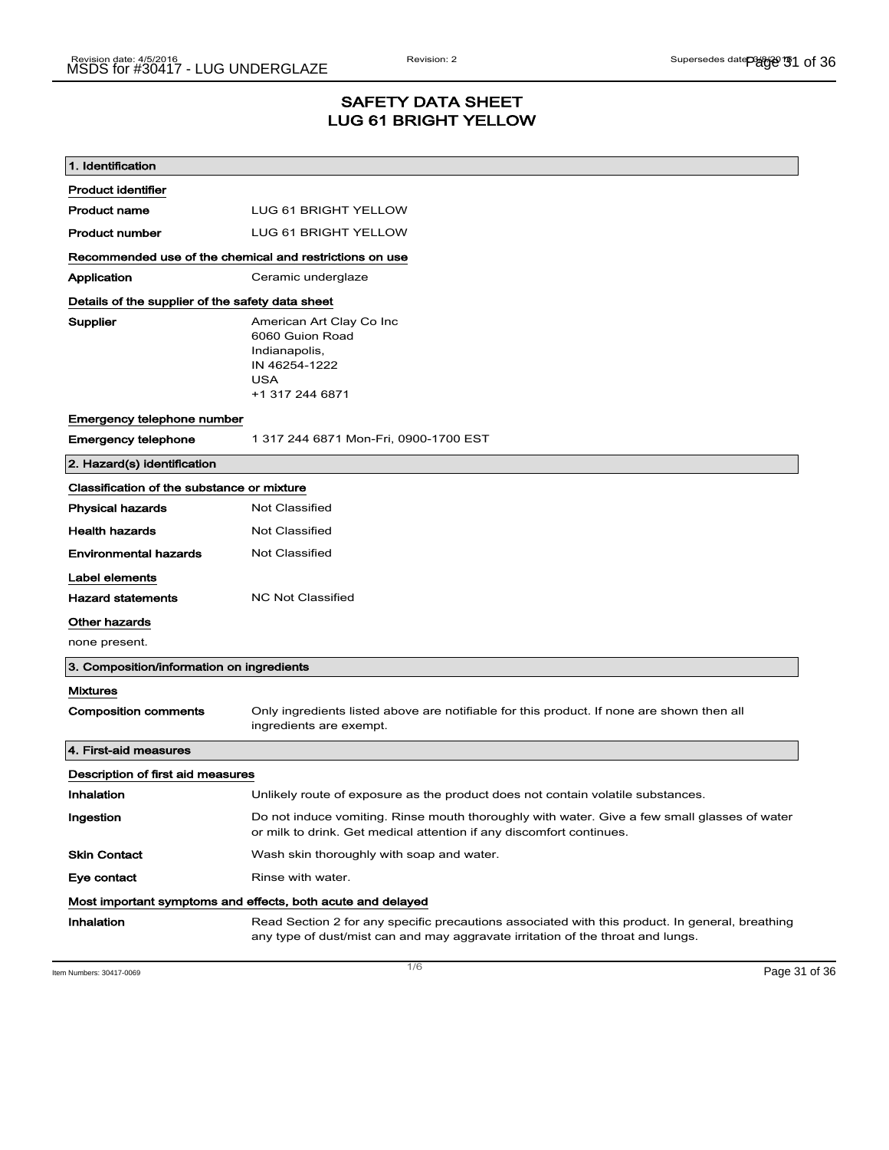## SAFETY DATA SHEET LUG 61 BRIGHT YELLOW

| 1. Identification                                           |                                                                                                                                                                                    |  |  |
|-------------------------------------------------------------|------------------------------------------------------------------------------------------------------------------------------------------------------------------------------------|--|--|
| <b>Product identifier</b>                                   |                                                                                                                                                                                    |  |  |
| <b>Product name</b>                                         | <b>LUG 61 BRIGHT YELLOW</b>                                                                                                                                                        |  |  |
| <b>Product number</b>                                       | LUG 61 BRIGHT YELLOW                                                                                                                                                               |  |  |
|                                                             | Recommended use of the chemical and restrictions on use                                                                                                                            |  |  |
| Application                                                 | Ceramic underglaze                                                                                                                                                                 |  |  |
| Details of the supplier of the safety data sheet            |                                                                                                                                                                                    |  |  |
| Supplier                                                    | American Art Clay Co Inc<br>6060 Guion Road<br>Indianapolis,<br>IN 46254-1222<br><b>USA</b><br>+1 317 244 6871                                                                     |  |  |
| Emergency telephone number                                  |                                                                                                                                                                                    |  |  |
| <b>Emergency telephone</b>                                  | 1 317 244 6871 Mon-Fri, 0900-1700 EST                                                                                                                                              |  |  |
| 2. Hazard(s) identification                                 |                                                                                                                                                                                    |  |  |
| Classification of the substance or mixture                  |                                                                                                                                                                                    |  |  |
| <b>Physical hazards</b>                                     | <b>Not Classified</b>                                                                                                                                                              |  |  |
| <b>Health hazards</b>                                       | <b>Not Classified</b>                                                                                                                                                              |  |  |
| <b>Environmental hazards</b>                                | Not Classified                                                                                                                                                                     |  |  |
| Label elements                                              |                                                                                                                                                                                    |  |  |
| <b>Hazard statements</b>                                    | <b>NC Not Classified</b>                                                                                                                                                           |  |  |
| Other hazards                                               |                                                                                                                                                                                    |  |  |
| none present.                                               |                                                                                                                                                                                    |  |  |
| 3. Composition/information on ingredients                   |                                                                                                                                                                                    |  |  |
| <b>Mixtures</b>                                             |                                                                                                                                                                                    |  |  |
| <b>Composition comments</b>                                 | Only ingredients listed above are notifiable for this product. If none are shown then all<br>ingredients are exempt.                                                               |  |  |
| 4. First-aid measures                                       |                                                                                                                                                                                    |  |  |
| Description of first aid measures                           |                                                                                                                                                                                    |  |  |
| Inhalation                                                  | Unlikely route of exposure as the product does not contain volatile substances.                                                                                                    |  |  |
| Ingestion                                                   | Do not induce vomiting. Rinse mouth thoroughly with water. Give a few small glasses of water<br>or milk to drink. Get medical attention if any discomfort continues.               |  |  |
| <b>Skin Contact</b>                                         | Wash skin thoroughly with soap and water.                                                                                                                                          |  |  |
| Eye contact                                                 | Rinse with water.                                                                                                                                                                  |  |  |
| Most important symptoms and effects, both acute and delayed |                                                                                                                                                                                    |  |  |
| Inhalation                                                  | Read Section 2 for any specific precautions associated with this product. In general, breathing<br>any type of dust/mist can and may aggravate irritation of the throat and lungs. |  |  |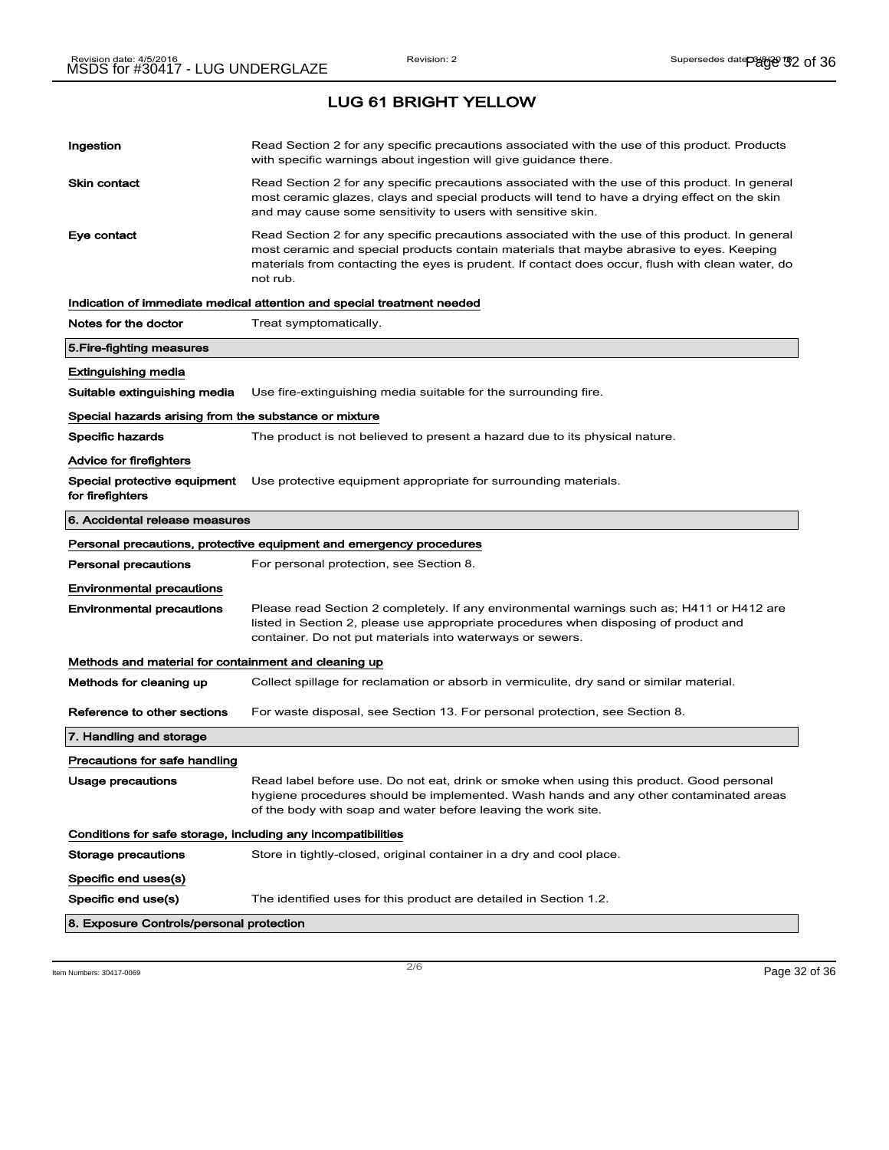| Ingestion                                                    | Read Section 2 for any specific precautions associated with the use of this product. Products<br>with specific warnings about ingestion will give guidance there.                                                                                                                                           |  |
|--------------------------------------------------------------|-------------------------------------------------------------------------------------------------------------------------------------------------------------------------------------------------------------------------------------------------------------------------------------------------------------|--|
| Skin contact                                                 | Read Section 2 for any specific precautions associated with the use of this product. In general<br>most ceramic glazes, clays and special products will tend to have a drying effect on the skin<br>and may cause some sensitivity to users with sensitive skin.                                            |  |
| Eye contact                                                  | Read Section 2 for any specific precautions associated with the use of this product. In general<br>most ceramic and special products contain materials that maybe abrasive to eyes. Keeping<br>materials from contacting the eyes is prudent. If contact does occur, flush with clean water, do<br>not rub. |  |
|                                                              | Indication of immediate medical attention and special treatment needed                                                                                                                                                                                                                                      |  |
| Notes for the doctor                                         | Treat symptomatically.                                                                                                                                                                                                                                                                                      |  |
| 5.Fire-fighting measures                                     |                                                                                                                                                                                                                                                                                                             |  |
| Extinguishing media                                          |                                                                                                                                                                                                                                                                                                             |  |
| Suitable extinguishing media                                 | Use fire-extinguishing media suitable for the surrounding fire.                                                                                                                                                                                                                                             |  |
| Special hazards arising from the substance or mixture        |                                                                                                                                                                                                                                                                                                             |  |
| Specific hazards                                             | The product is not believed to present a hazard due to its physical nature.                                                                                                                                                                                                                                 |  |
| Advice for firefighters                                      |                                                                                                                                                                                                                                                                                                             |  |
| Special protective equipment<br>for firefighters             | Use protective equipment appropriate for surrounding materials.                                                                                                                                                                                                                                             |  |
| 6. Accidental release measures                               |                                                                                                                                                                                                                                                                                                             |  |
|                                                              | Personal precautions, protective equipment and emergency procedures                                                                                                                                                                                                                                         |  |
| Personal precautions                                         | For personal protection, see Section 8.                                                                                                                                                                                                                                                                     |  |
| <b>Environmental precautions</b>                             |                                                                                                                                                                                                                                                                                                             |  |
| <b>Environmental precautions</b>                             | Please read Section 2 completely. If any environmental warnings such as; H411 or H412 are<br>listed in Section 2, please use appropriate procedures when disposing of product and<br>container. Do not put materials into waterways or sewers.                                                              |  |
| Methods and material for containment and cleaning up         |                                                                                                                                                                                                                                                                                                             |  |
| Methods for cleaning up                                      | Collect spillage for reclamation or absorb in vermiculite, dry sand or similar material.                                                                                                                                                                                                                    |  |
| Reference to other sections                                  | For waste disposal, see Section 13. For personal protection, see Section 8.                                                                                                                                                                                                                                 |  |
| 7. Handling and storage                                      |                                                                                                                                                                                                                                                                                                             |  |
| Precautions for safe handling                                |                                                                                                                                                                                                                                                                                                             |  |
| <b>Usage precautions</b>                                     | Read label before use. Do not eat, drink or smoke when using this product. Good personal<br>hygiene procedures should be implemented. Wash hands and any other contaminated areas<br>of the body with soap and water before leaving the work site.                                                          |  |
| Conditions for safe storage, including any incompatibilities |                                                                                                                                                                                                                                                                                                             |  |
| Storage precautions                                          | Store in tightly-closed, original container in a dry and cool place.                                                                                                                                                                                                                                        |  |
| Specific end uses(s)                                         |                                                                                                                                                                                                                                                                                                             |  |
| Specific end use(s)                                          | The identified uses for this product are detailed in Section 1.2.                                                                                                                                                                                                                                           |  |
| 8. Exposure Controls/personal protection                     |                                                                                                                                                                                                                                                                                                             |  |
|                                                              |                                                                                                                                                                                                                                                                                                             |  |

Item Numbers: 30417-0069 Page 32 of 36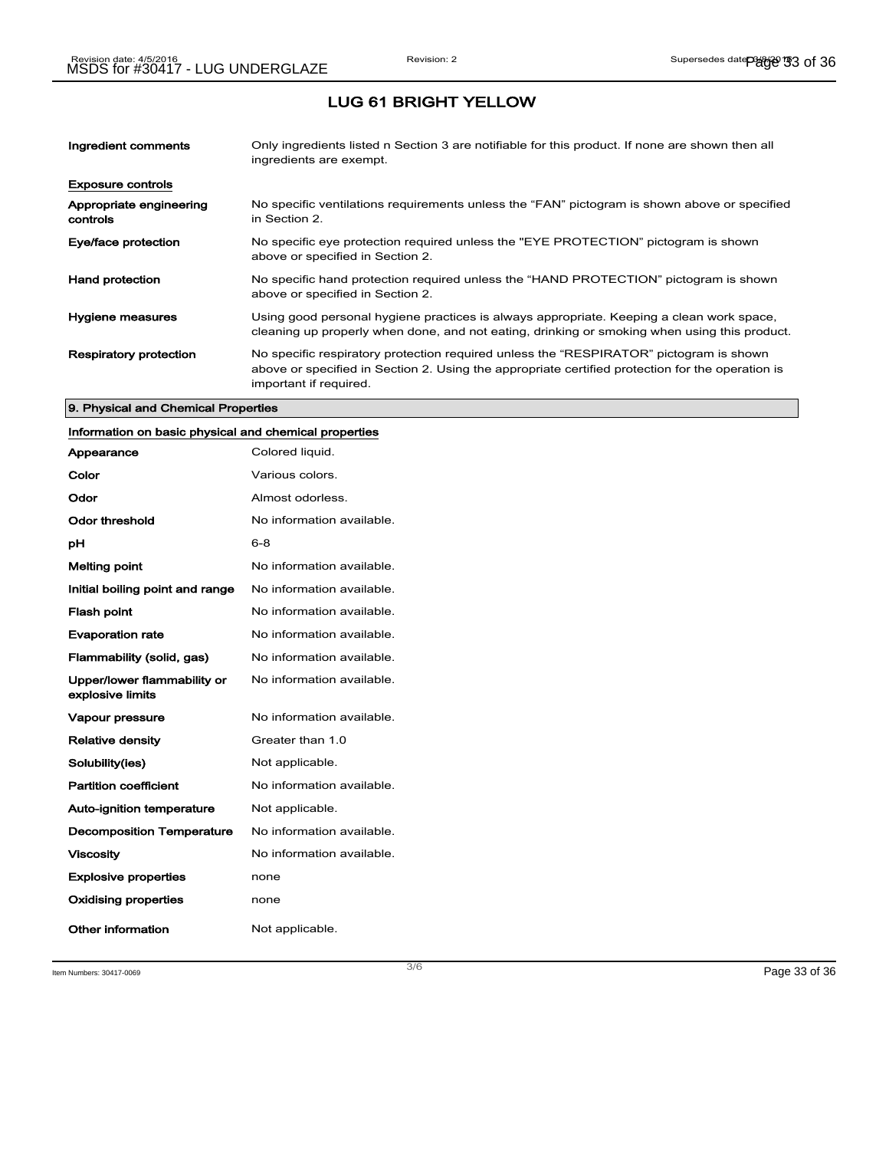| Ingredient comments                 | Only ingredients listed n Section 3 are notifiable for this product. If none are shown then all<br>ingredients are exempt.                                                                                           |
|-------------------------------------|----------------------------------------------------------------------------------------------------------------------------------------------------------------------------------------------------------------------|
| <b>Exposure controls</b>            |                                                                                                                                                                                                                      |
| Appropriate engineering<br>controls | No specific ventilations requirements unless the "FAN" pictogram is shown above or specified<br>in Section 2.                                                                                                        |
| Eye/face protection                 | No specific eye protection required unless the "EYE PROTECTION" pictogram is shown<br>above or specified in Section 2.                                                                                               |
| <b>Hand protection</b>              | No specific hand protection required unless the "HAND PROTECTION" pictogram is shown<br>above or specified in Section 2.                                                                                             |
| Hygiene measures                    | Using good personal hygiene practices is always appropriate. Keeping a clean work space,<br>cleaning up properly when done, and not eating, drinking or smoking when using this product.                             |
| <b>Respiratory protection</b>       | No specific respiratory protection required unless the "RESPIRATOR" pictogram is shown<br>above or specified in Section 2. Using the appropriate certified protection for the operation is<br>important if required. |

#### 9. Physical and Chemical Properties

### Information on basic physical and chemical properties

| Appearance                                      | Colored liquid.           |
|-------------------------------------------------|---------------------------|
| Color                                           | Various colors.           |
| Odor                                            | Almost odorless.          |
| Odor threshold                                  | No information available. |
| рH                                              | 6-8                       |
| Melting point                                   | No information available. |
| Initial boiling point and range                 | No information available. |
| <b>Flash point</b>                              | No information available. |
| <b>Evaporation rate</b>                         | No information available. |
| Flammability (solid, gas)                       | No information available. |
| Upper/lower flammability or<br>explosive limits | No information available. |
| Vapour pressure                                 | No information available. |
| <b>Relative density</b>                         | Greater than 1.0          |
| Solubility(ies)                                 | Not applicable.           |
| <b>Partition coefficient</b>                    | No information available. |
| <b>Auto-ignition temperature</b>                | Not applicable.           |
| <b>Decomposition Temperature</b>                | No information available. |
| <b>Viscosity</b>                                | No information available. |
| <b>Explosive properties</b>                     | none                      |
| Oxidising properties                            | none                      |
| Other information                               | Not applicable.           |

Item Numbers: 30417-0069 Page 33 of 36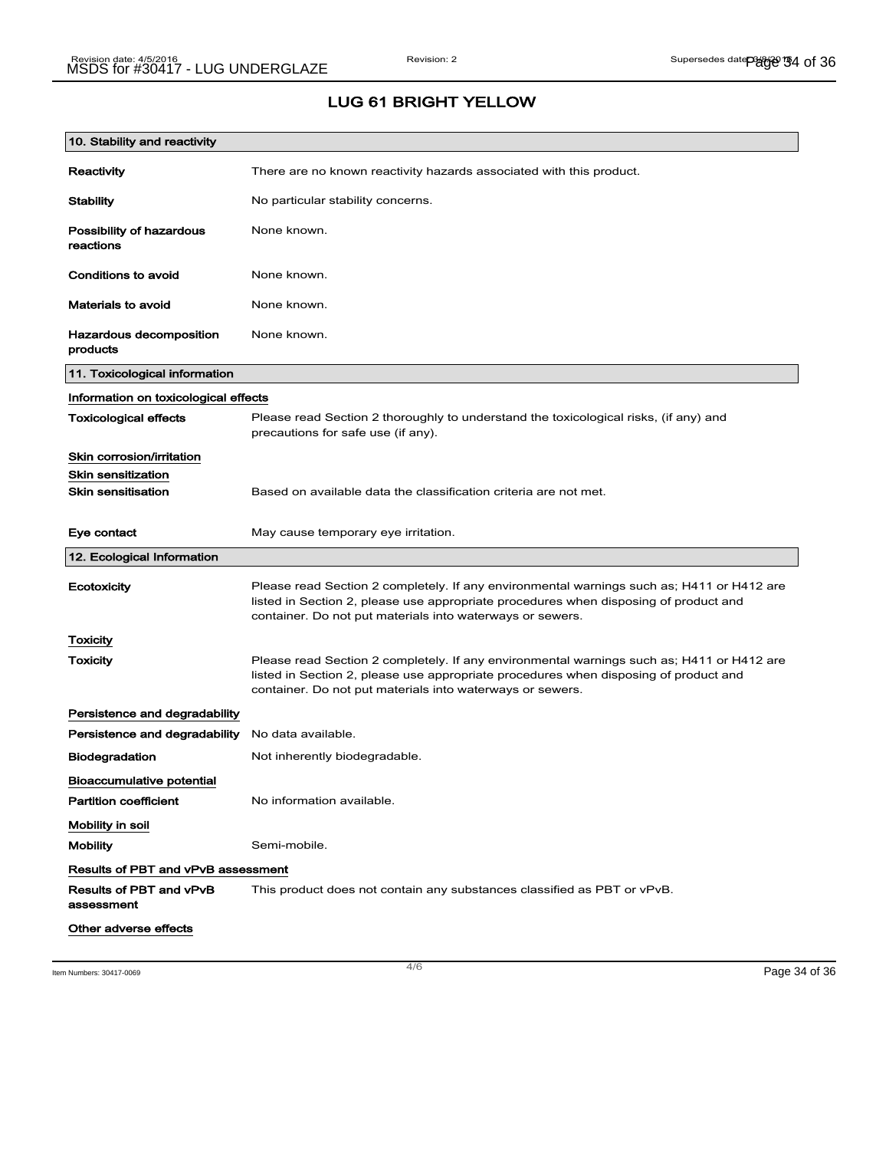| 10. Stability and reactivity              |                                                                                                                                                                                                                                                |
|-------------------------------------------|------------------------------------------------------------------------------------------------------------------------------------------------------------------------------------------------------------------------------------------------|
| Reactivity                                | There are no known reactivity hazards associated with this product.                                                                                                                                                                            |
| <b>Stability</b>                          | No particular stability concerns.                                                                                                                                                                                                              |
| Possibility of hazardous<br>reactions     | None known.                                                                                                                                                                                                                                    |
| Conditions to avoid                       | None known.                                                                                                                                                                                                                                    |
| Materials to avoid                        | None known.                                                                                                                                                                                                                                    |
| Hazardous decomposition<br>products       | None known.                                                                                                                                                                                                                                    |
| 11. Toxicological information             |                                                                                                                                                                                                                                                |
| Information on toxicological effects      |                                                                                                                                                                                                                                                |
| <b>Toxicological effects</b>              | Please read Section 2 thoroughly to understand the toxicological risks, (if any) and<br>precautions for safe use (if any).                                                                                                                     |
| Skin corrosion/irritation                 |                                                                                                                                                                                                                                                |
| <b>Skin sensitization</b>                 |                                                                                                                                                                                                                                                |
| <b>Skin sensitisation</b>                 | Based on available data the classification criteria are not met.                                                                                                                                                                               |
| Eye contact                               | May cause temporary eye irritation.                                                                                                                                                                                                            |
| 12. Ecological Information                |                                                                                                                                                                                                                                                |
| Ecotoxicity                               | Please read Section 2 completely. If any environmental warnings such as; H411 or H412 are<br>listed in Section 2, please use appropriate procedures when disposing of product and<br>container. Do not put materials into waterways or sewers. |
| Toxicity                                  |                                                                                                                                                                                                                                                |
| <b>Toxicity</b>                           | Please read Section 2 completely. If any environmental warnings such as; H411 or H412 are<br>listed in Section 2, please use appropriate procedures when disposing of product and<br>container. Do not put materials into waterways or sewers. |
| Persistence and degradability             |                                                                                                                                                                                                                                                |
| Persistence and degradability             | No data available.                                                                                                                                                                                                                             |
| <b>Biodegradation</b>                     | Not inherently biodegradable.                                                                                                                                                                                                                  |
|                                           |                                                                                                                                                                                                                                                |
| <b>Bioaccumulative potential</b>          |                                                                                                                                                                                                                                                |
| <b>Partition coefficient</b>              | No information available.                                                                                                                                                                                                                      |
| Mobility in soil                          |                                                                                                                                                                                                                                                |
| <b>Mobility</b>                           | Semi-mobile.                                                                                                                                                                                                                                   |
| <b>Results of PBT and vPvB assessment</b> |                                                                                                                                                                                                                                                |
| Results of PBT and vPvB<br>assessment     | This product does not contain any substances classified as PBT or vPvB.                                                                                                                                                                        |

Item Numbers: 30417-0069 Page 34 of 36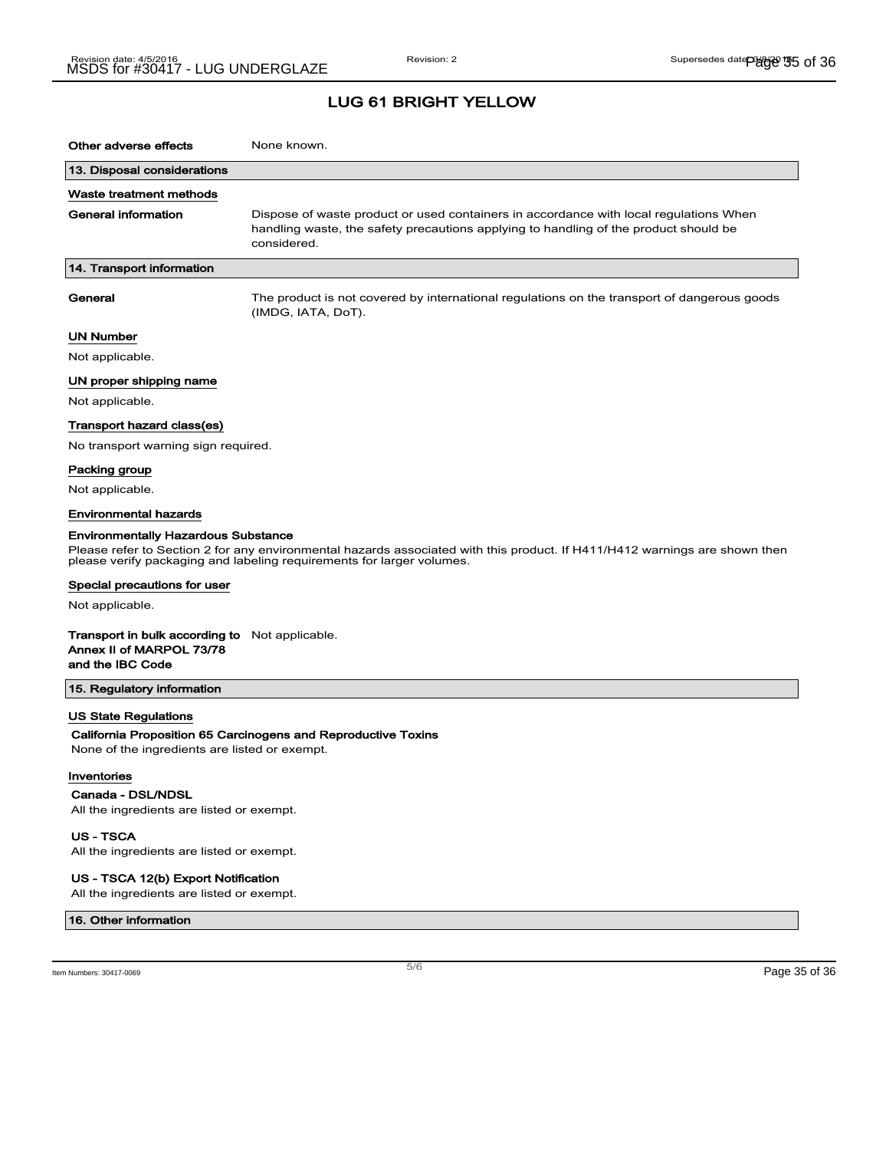| Other adverse effects                                                                                 | None known.                                                                                                                                                                                         |
|-------------------------------------------------------------------------------------------------------|-----------------------------------------------------------------------------------------------------------------------------------------------------------------------------------------------------|
| 13. Disposal considerations                                                                           |                                                                                                                                                                                                     |
| Waste treatment methods                                                                               |                                                                                                                                                                                                     |
| <b>General information</b>                                                                            | Dispose of waste product or used containers in accordance with local regulations When<br>handling waste, the safety precautions applying to handling of the product should be<br>considered.        |
| 14. Transport information                                                                             |                                                                                                                                                                                                     |
| General                                                                                               | The product is not covered by international regulations on the transport of dangerous goods<br>(IMDG, IATA, DoT).                                                                                   |
| UN Number                                                                                             |                                                                                                                                                                                                     |
| Not applicable.                                                                                       |                                                                                                                                                                                                     |
| UN proper shipping name                                                                               |                                                                                                                                                                                                     |
| Not applicable.                                                                                       |                                                                                                                                                                                                     |
| Transport hazard class(es)                                                                            |                                                                                                                                                                                                     |
| No transport warning sign required.                                                                   |                                                                                                                                                                                                     |
| Packing group                                                                                         |                                                                                                                                                                                                     |
| Not applicable.                                                                                       |                                                                                                                                                                                                     |
| Environmental hazards                                                                                 |                                                                                                                                                                                                     |
| <b>Environmentally Hazardous Substance</b>                                                            |                                                                                                                                                                                                     |
|                                                                                                       | Please refer to Section 2 for any environmental hazards associated with this product. If H411/H412 warnings are shown then<br>please verify packaging and labeling requirements for larger volumes. |
| Special precautions for user                                                                          |                                                                                                                                                                                                     |
| Not applicable.                                                                                       |                                                                                                                                                                                                     |
| <b>Transport in bulk according to</b> Not applicable.<br>Annex II of MARPOL 73/78<br>and the IBC Code |                                                                                                                                                                                                     |
| 15. Regulatory information                                                                            |                                                                                                                                                                                                     |
| US State Regulations                                                                                  |                                                                                                                                                                                                     |
|                                                                                                       | California Proposition 65 Carcinogens and Reproductive Toxins                                                                                                                                       |
| None of the ingredients are listed or exempt.                                                         |                                                                                                                                                                                                     |
| Inventories                                                                                           |                                                                                                                                                                                                     |
| Canada - DSL/NDSL                                                                                     |                                                                                                                                                                                                     |
| All the ingredients are listed or exempt.                                                             |                                                                                                                                                                                                     |

US - TSCA All the ingredients are listed or exempt.

#### US - TSCA 12(b) Export Notification

All the ingredients are listed or exempt.

#### 16. Other information